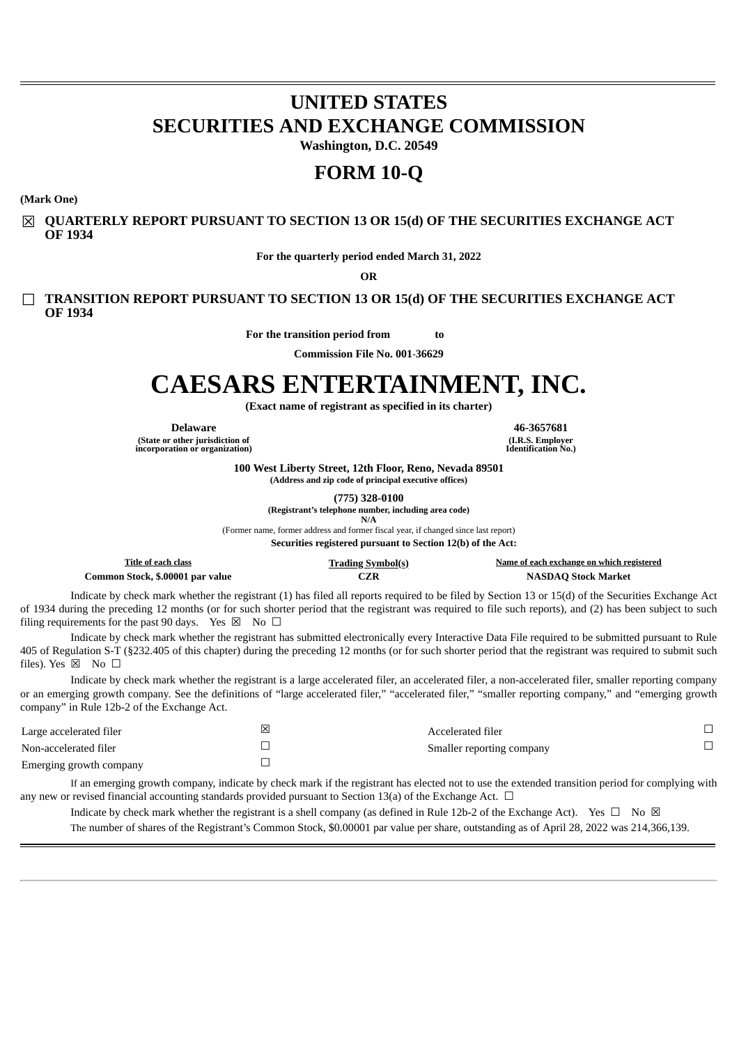# **UNITED STATES SECURITIES AND EXCHANGE COMMISSION**

**Washington, D.C. 20549**

# **FORM 10-Q**

**(Mark One)**

☒ **QUARTERLY REPORT PURSUANT TO SECTION 13 OR 15(d) OF THE SECURITIES EXCHANGE ACT OF 1934**

**For the quarterly period ended March 31, 2022**

**OR**

☐ **TRANSITION REPORT PURSUANT TO SECTION 13 OR 15(d) OF THE SECURITIES EXCHANGE ACT OF 1934**

**For the transition period from to**

**Commission File No. 001**-**36629**

# **CAESARS ENTERTAINMENT, INC.**

**(Exact name of registrant as specified in its charter)**

**(State or other jurisdiction of incorporation or organization)**

**Delaware 46-3657681 (I.R.S. Employer Identification No.)**

> **100 West Liberty Street, 12th Floor, Reno, Nevada 89501 (Address and zip code of principal executive offices)**

> > **(775) 328-0100**

**(Registrant's telephone number, including area code)**

**N/A**

(Former name, former address and former fiscal year, if changed since last report) **Securities registered pursuant to Section 12(b) of the Act:**

| Title of each class              | <b>Trading Symbol(s)</b> | Name of each exchange on which registered |
|----------------------------------|--------------------------|-------------------------------------------|
| Common Stock, \$.00001 par value | CZR                      | <b>NASDAO Stock Market</b>                |

Indicate by check mark whether the registrant (1) has filed all reports required to be filed by Section 13 or 15(d) of the Securities Exchange Act of 1934 during the preceding 12 months (or for such shorter period that the registrant was required to file such reports), and (2) has been subject to such filing requirements for the past 90 days. Yes  $\boxtimes$  No  $\Box$ 

Indicate by check mark whether the registrant has submitted electronically every Interactive Data File required to be submitted pursuant to Rule 405 of Regulation S-T (§232.405 of this chapter) during the preceding 12 months (or for such shorter period that the registrant was required to submit such files). Yes  $\boxtimes$  No  $\square$ 

Indicate by check mark whether the registrant is a large accelerated filer, an accelerated filer, a non-accelerated filer, smaller reporting company or an emerging growth company. See the definitions of "large accelerated filer," "accelerated filer," "smaller reporting company," and "emerging growth company" in Rule 12b-2 of the Exchange Act.

| Large accelerated filer | ⊠ | Accelerated filer         |  |
|-------------------------|---|---------------------------|--|
| Non-accelerated filer   |   | Smaller reporting company |  |
| Emerging growth company |   |                           |  |

If an emerging growth company, indicate by check mark if the registrant has elected not to use the extended transition period for complying with any new or revised financial accounting standards provided pursuant to Section 13(a) of the Exchange Act.  $\Box$ 

Indicate by check mark whether the registrant is a shell company (as defined in Rule 12b-2 of the Exchange Act). Yes  $\Box$  No  $\boxtimes$ 

<span id="page-0-0"></span>The number of shares of the Registrant's Common Stock, \$0.00001 par value per share, outstanding as of April 28, 2022 was 214,366,139.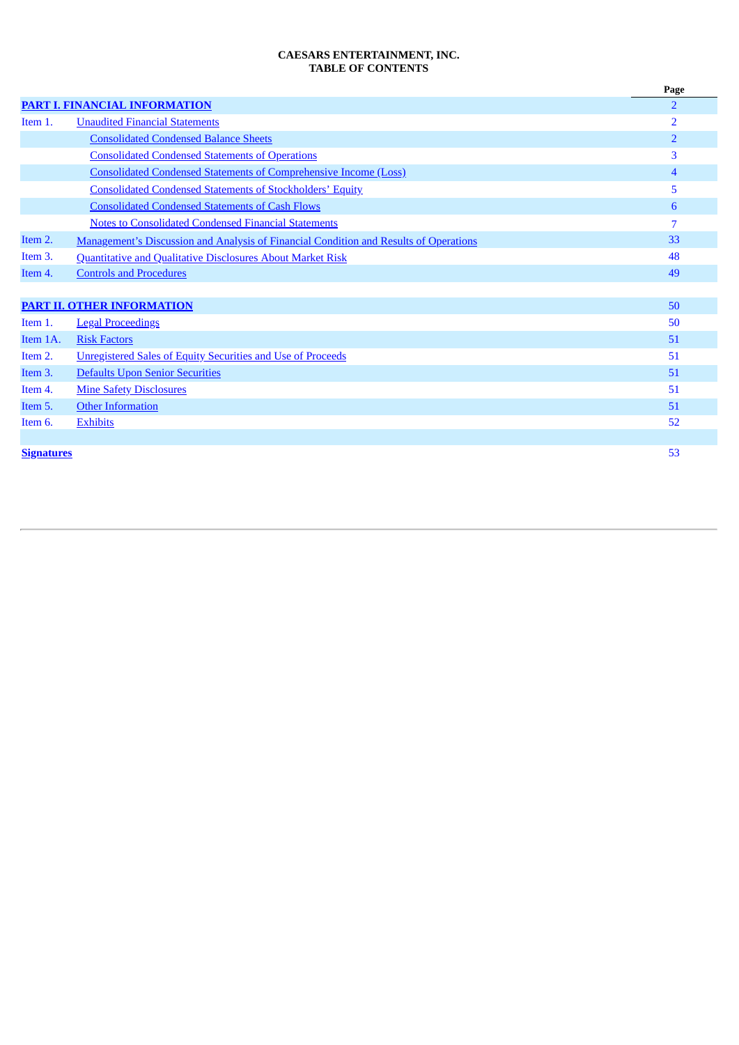## **CAESARS ENTERTAINMENT, INC. TABLE OF CONTENTS**

<span id="page-1-0"></span>

|                   |                                                                                              | Page           |
|-------------------|----------------------------------------------------------------------------------------------|----------------|
|                   | <b>PART I. FINANCIAL INFORMATION</b>                                                         | $\overline{2}$ |
| Item 1.           | <b>Unaudited Financial Statements</b>                                                        | 2              |
|                   | <b>Consolidated Condensed Balance Sheets</b>                                                 | $\overline{2}$ |
|                   | <b>Consolidated Condensed Statements of Operations</b>                                       | 3              |
|                   | <b>Consolidated Condensed Statements of Comprehensive Income (Loss)</b>                      | 4              |
|                   | <b>Consolidated Condensed Statements of Stockholders' Equity</b>                             | 5              |
|                   | <b>Consolidated Condensed Statements of Cash Flows</b>                                       | 6              |
|                   | <b>Notes to Consolidated Condensed Financial Statements</b>                                  | 7              |
| Item 2.           | <b>Management's Discussion and Analysis of Financial Condition and Results of Operations</b> | 33             |
| Item 3.           | <b>Quantitative and Qualitative Disclosures About Market Risk</b>                            | 48             |
| Item 4.           | <b>Controls and Procedures</b>                                                               | 49             |
|                   |                                                                                              |                |
|                   | <b>PART II. OTHER INFORMATION</b>                                                            | 50             |
| Item 1.           | <b>Legal Proceedings</b>                                                                     | 50             |
| Item 1A.          | <b>Risk Factors</b>                                                                          | 51             |
| Item 2.           | <b>Unregistered Sales of Equity Securities and Use of Proceeds</b>                           | 51             |
| Item 3.           | <b>Defaults Upon Senior Securities</b>                                                       | 51             |
| Item 4.           | <b>Mine Safety Disclosures</b>                                                               | 51             |
| Item 5.           | <b>Other Information</b>                                                                     | 51             |
| Item 6.           | <b>Exhibits</b>                                                                              | 52             |
|                   |                                                                                              |                |
| <b>Signatures</b> |                                                                                              | 53             |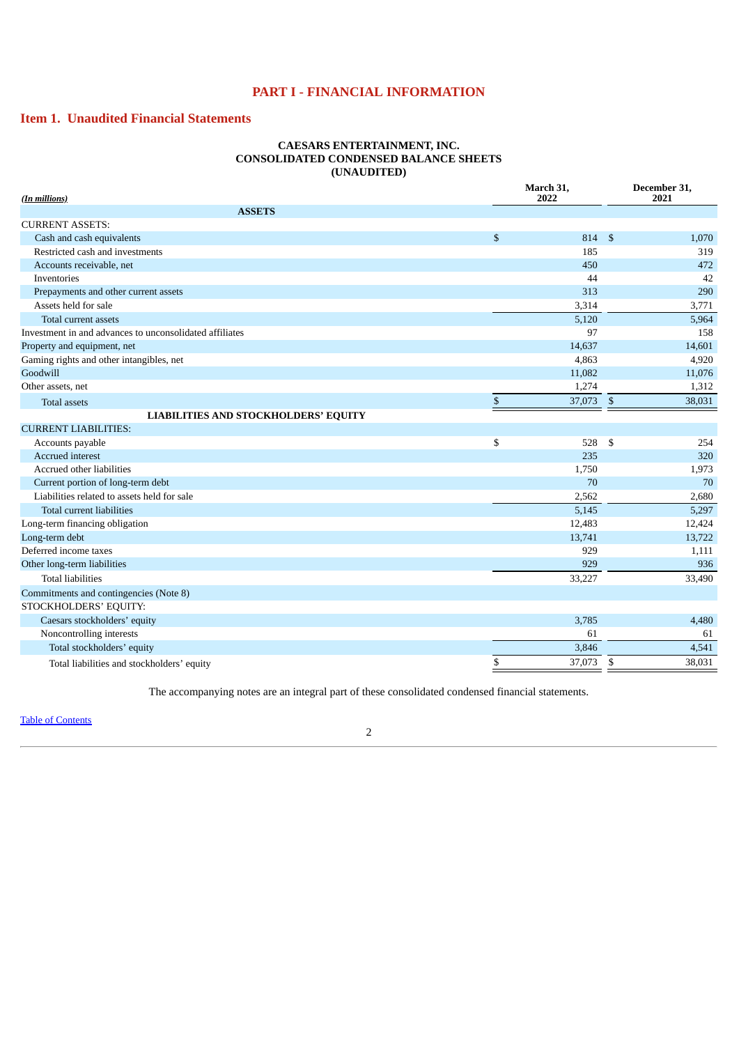# **PART I - FINANCIAL INFORMATION**

# <span id="page-2-0"></span>**Item 1. Unaudited Financial Statements**

## **CAESARS ENTERTAINMENT, INC. CONSOLIDATED CONDENSED BALANCE SHEETS (UNAUDITED)**

| (In millions)                                           |                | March 31,<br>2022 | December 31,<br>2021 |
|---------------------------------------------------------|----------------|-------------------|----------------------|
| <b>ASSETS</b>                                           |                |                   |                      |
| <b>CURRENT ASSETS:</b>                                  |                |                   |                      |
| Cash and cash equivalents                               | $\mathfrak{s}$ | 814               | \$<br>1,070          |
| Restricted cash and investments                         |                | 185               | 319                  |
| Accounts receivable, net                                |                | 450               | 472                  |
| Inventories                                             |                | 44                | 42                   |
| Prepayments and other current assets                    |                | 313               | 290                  |
| Assets held for sale                                    |                | 3,314             | 3,771                |
| Total current assets                                    |                | 5,120             | 5,964                |
| Investment in and advances to unconsolidated affiliates |                | 97                | 158                  |
| Property and equipment, net                             |                | 14,637            | 14,601               |
| Gaming rights and other intangibles, net                |                | 4,863             | 4,920                |
| Goodwill                                                |                | 11,082            | 11,076               |
| Other assets, net                                       |                | 1,274             | 1,312                |
| <b>Total assets</b>                                     | \$             | 37,073            | \$<br>38,031         |
| LIABILITIES AND STOCKHOLDERS' EQUITY                    |                |                   |                      |
| <b>CURRENT LIABILITIES:</b>                             |                |                   |                      |
| Accounts payable                                        | \$             | 528               | \$<br>254            |
| <b>Accrued</b> interest                                 |                | 235               | 320                  |
| Accrued other liabilities                               |                | 1,750             | 1,973                |
| Current portion of long-term debt                       |                | 70                | 70                   |
| Liabilities related to assets held for sale             |                | 2,562             | 2,680                |
| Total current liabilities                               |                | 5,145             | 5,297                |
| Long-term financing obligation                          |                | 12,483            | 12,424               |
| Long-term debt                                          |                | 13,741            | 13,722               |
| Deferred income taxes                                   |                | 929               | 1,111                |
| Other long-term liabilities                             |                | 929               | 936                  |
| <b>Total liabilities</b>                                |                | 33,227            | 33,490               |
| Commitments and contingencies (Note 8)                  |                |                   |                      |
| STOCKHOLDERS' EQUITY:                                   |                |                   |                      |
| Caesars stockholders' equity                            |                | 3,785             | 4,480                |
| Noncontrolling interests                                |                | 61                | 61                   |
| Total stockholders' equity                              |                | 3,846             | 4,541                |
| Total liabilities and stockholders' equity              | \$             | 37,073            | \$<br>38,031         |

<span id="page-2-1"></span>The accompanying notes are an integral part of these consolidated condensed financial statements.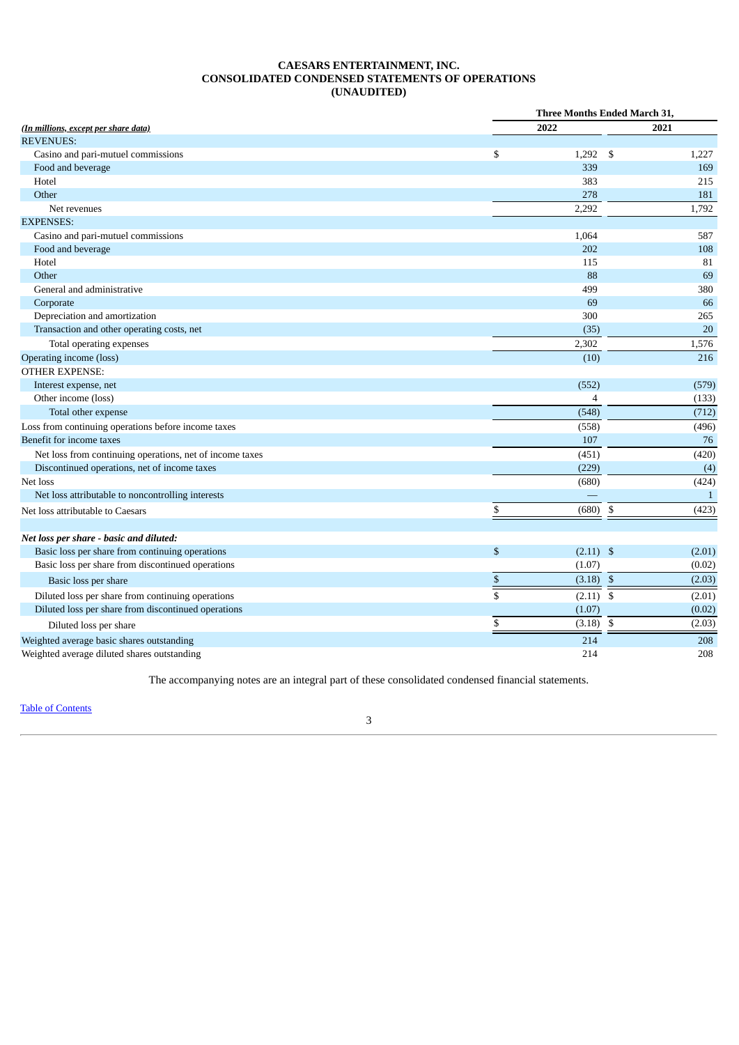## **CAESARS ENTERTAINMENT, INC. CONSOLIDATED CONDENSED STATEMENTS OF OPERATIONS (UNAUDITED)**

| 2022<br>2021<br><u>(In millions, except per share data)</u><br><b>REVENUES:</b><br>Casino and pari-mutuel commissions<br>\$<br>1,292<br>\$<br>1,227<br>Food and beverage<br>339<br>169<br>Hotel<br>383<br>215<br>Other<br>278<br>181<br>2,292<br>1,792<br>Net revenues<br><b>EXPENSES:</b><br>Casino and pari-mutuel commissions<br>1,064<br>587<br>Food and beverage<br>202<br>108<br>Hotel<br>115<br>81<br>88<br>69<br>Other<br>General and administrative<br>499<br>380<br>69<br>66<br>Corporate<br>300<br>265<br>Depreciation and amortization<br>20<br>Transaction and other operating costs, net<br>(35)<br>2,302<br>Total operating expenses<br>1,576<br>Operating income (loss)<br>(10)<br>216<br><b>OTHER EXPENSE:</b><br>(552)<br>(579)<br>Interest expense, net<br>Other income (loss)<br>(133)<br>4<br>Total other expense<br>(548)<br>(712)<br>(496)<br>Loss from continuing operations before income taxes<br>(558)<br>76<br>Benefit for income taxes<br>107<br>Net loss from continuing operations, net of income taxes<br>(420)<br>(451)<br>Discontinued operations, net of income taxes<br>(229)<br>(4)<br>Net loss<br>(424)<br>(680)<br>Net loss attributable to noncontrolling interests<br>$\mathbf{1}$<br>\$<br>\$<br>(423)<br>(680)<br>Net loss attributable to Caesars<br>Net loss per share - basic and diluted:<br>Basic loss per share from continuing operations<br>\$<br>$(2.11)$ \$<br>(2.01)<br>Basic loss per share from discontinued operations<br>(1.07)<br>(0.02)<br>$\mathbb{S}$<br>\$<br>(3.18)<br>(2.03)<br>Basic loss per share<br>\$<br>$(2.11)$ \$<br>Diluted loss per share from continuing operations<br>(2.01)<br>Diluted loss per share from discontinued operations<br>(1.07)<br>(0.02)<br>\$<br>\$<br>(3.18)<br>(2.03)<br>Diluted loss per share<br>Weighted average basic shares outstanding<br>214<br>208 |                                             | Three Months Ended March 31, |  |     |  |  |  |  |
|-----------------------------------------------------------------------------------------------------------------------------------------------------------------------------------------------------------------------------------------------------------------------------------------------------------------------------------------------------------------------------------------------------------------------------------------------------------------------------------------------------------------------------------------------------------------------------------------------------------------------------------------------------------------------------------------------------------------------------------------------------------------------------------------------------------------------------------------------------------------------------------------------------------------------------------------------------------------------------------------------------------------------------------------------------------------------------------------------------------------------------------------------------------------------------------------------------------------------------------------------------------------------------------------------------------------------------------------------------------------------------------------------------------------------------------------------------------------------------------------------------------------------------------------------------------------------------------------------------------------------------------------------------------------------------------------------------------------------------------------------------------------------------------------------------------------------------------------------------------|---------------------------------------------|------------------------------|--|-----|--|--|--|--|
|                                                                                                                                                                                                                                                                                                                                                                                                                                                                                                                                                                                                                                                                                                                                                                                                                                                                                                                                                                                                                                                                                                                                                                                                                                                                                                                                                                                                                                                                                                                                                                                                                                                                                                                                                                                                                                                           |                                             |                              |  |     |  |  |  |  |
|                                                                                                                                                                                                                                                                                                                                                                                                                                                                                                                                                                                                                                                                                                                                                                                                                                                                                                                                                                                                                                                                                                                                                                                                                                                                                                                                                                                                                                                                                                                                                                                                                                                                                                                                                                                                                                                           |                                             |                              |  |     |  |  |  |  |
|                                                                                                                                                                                                                                                                                                                                                                                                                                                                                                                                                                                                                                                                                                                                                                                                                                                                                                                                                                                                                                                                                                                                                                                                                                                                                                                                                                                                                                                                                                                                                                                                                                                                                                                                                                                                                                                           |                                             |                              |  |     |  |  |  |  |
|                                                                                                                                                                                                                                                                                                                                                                                                                                                                                                                                                                                                                                                                                                                                                                                                                                                                                                                                                                                                                                                                                                                                                                                                                                                                                                                                                                                                                                                                                                                                                                                                                                                                                                                                                                                                                                                           |                                             |                              |  |     |  |  |  |  |
|                                                                                                                                                                                                                                                                                                                                                                                                                                                                                                                                                                                                                                                                                                                                                                                                                                                                                                                                                                                                                                                                                                                                                                                                                                                                                                                                                                                                                                                                                                                                                                                                                                                                                                                                                                                                                                                           |                                             |                              |  |     |  |  |  |  |
|                                                                                                                                                                                                                                                                                                                                                                                                                                                                                                                                                                                                                                                                                                                                                                                                                                                                                                                                                                                                                                                                                                                                                                                                                                                                                                                                                                                                                                                                                                                                                                                                                                                                                                                                                                                                                                                           |                                             |                              |  |     |  |  |  |  |
|                                                                                                                                                                                                                                                                                                                                                                                                                                                                                                                                                                                                                                                                                                                                                                                                                                                                                                                                                                                                                                                                                                                                                                                                                                                                                                                                                                                                                                                                                                                                                                                                                                                                                                                                                                                                                                                           |                                             |                              |  |     |  |  |  |  |
|                                                                                                                                                                                                                                                                                                                                                                                                                                                                                                                                                                                                                                                                                                                                                                                                                                                                                                                                                                                                                                                                                                                                                                                                                                                                                                                                                                                                                                                                                                                                                                                                                                                                                                                                                                                                                                                           |                                             |                              |  |     |  |  |  |  |
|                                                                                                                                                                                                                                                                                                                                                                                                                                                                                                                                                                                                                                                                                                                                                                                                                                                                                                                                                                                                                                                                                                                                                                                                                                                                                                                                                                                                                                                                                                                                                                                                                                                                                                                                                                                                                                                           |                                             |                              |  |     |  |  |  |  |
|                                                                                                                                                                                                                                                                                                                                                                                                                                                                                                                                                                                                                                                                                                                                                                                                                                                                                                                                                                                                                                                                                                                                                                                                                                                                                                                                                                                                                                                                                                                                                                                                                                                                                                                                                                                                                                                           |                                             |                              |  |     |  |  |  |  |
|                                                                                                                                                                                                                                                                                                                                                                                                                                                                                                                                                                                                                                                                                                                                                                                                                                                                                                                                                                                                                                                                                                                                                                                                                                                                                                                                                                                                                                                                                                                                                                                                                                                                                                                                                                                                                                                           |                                             |                              |  |     |  |  |  |  |
|                                                                                                                                                                                                                                                                                                                                                                                                                                                                                                                                                                                                                                                                                                                                                                                                                                                                                                                                                                                                                                                                                                                                                                                                                                                                                                                                                                                                                                                                                                                                                                                                                                                                                                                                                                                                                                                           |                                             |                              |  |     |  |  |  |  |
|                                                                                                                                                                                                                                                                                                                                                                                                                                                                                                                                                                                                                                                                                                                                                                                                                                                                                                                                                                                                                                                                                                                                                                                                                                                                                                                                                                                                                                                                                                                                                                                                                                                                                                                                                                                                                                                           |                                             |                              |  |     |  |  |  |  |
|                                                                                                                                                                                                                                                                                                                                                                                                                                                                                                                                                                                                                                                                                                                                                                                                                                                                                                                                                                                                                                                                                                                                                                                                                                                                                                                                                                                                                                                                                                                                                                                                                                                                                                                                                                                                                                                           |                                             |                              |  |     |  |  |  |  |
|                                                                                                                                                                                                                                                                                                                                                                                                                                                                                                                                                                                                                                                                                                                                                                                                                                                                                                                                                                                                                                                                                                                                                                                                                                                                                                                                                                                                                                                                                                                                                                                                                                                                                                                                                                                                                                                           |                                             |                              |  |     |  |  |  |  |
|                                                                                                                                                                                                                                                                                                                                                                                                                                                                                                                                                                                                                                                                                                                                                                                                                                                                                                                                                                                                                                                                                                                                                                                                                                                                                                                                                                                                                                                                                                                                                                                                                                                                                                                                                                                                                                                           |                                             |                              |  |     |  |  |  |  |
|                                                                                                                                                                                                                                                                                                                                                                                                                                                                                                                                                                                                                                                                                                                                                                                                                                                                                                                                                                                                                                                                                                                                                                                                                                                                                                                                                                                                                                                                                                                                                                                                                                                                                                                                                                                                                                                           |                                             |                              |  |     |  |  |  |  |
|                                                                                                                                                                                                                                                                                                                                                                                                                                                                                                                                                                                                                                                                                                                                                                                                                                                                                                                                                                                                                                                                                                                                                                                                                                                                                                                                                                                                                                                                                                                                                                                                                                                                                                                                                                                                                                                           |                                             |                              |  |     |  |  |  |  |
|                                                                                                                                                                                                                                                                                                                                                                                                                                                                                                                                                                                                                                                                                                                                                                                                                                                                                                                                                                                                                                                                                                                                                                                                                                                                                                                                                                                                                                                                                                                                                                                                                                                                                                                                                                                                                                                           |                                             |                              |  |     |  |  |  |  |
|                                                                                                                                                                                                                                                                                                                                                                                                                                                                                                                                                                                                                                                                                                                                                                                                                                                                                                                                                                                                                                                                                                                                                                                                                                                                                                                                                                                                                                                                                                                                                                                                                                                                                                                                                                                                                                                           |                                             |                              |  |     |  |  |  |  |
|                                                                                                                                                                                                                                                                                                                                                                                                                                                                                                                                                                                                                                                                                                                                                                                                                                                                                                                                                                                                                                                                                                                                                                                                                                                                                                                                                                                                                                                                                                                                                                                                                                                                                                                                                                                                                                                           |                                             |                              |  |     |  |  |  |  |
|                                                                                                                                                                                                                                                                                                                                                                                                                                                                                                                                                                                                                                                                                                                                                                                                                                                                                                                                                                                                                                                                                                                                                                                                                                                                                                                                                                                                                                                                                                                                                                                                                                                                                                                                                                                                                                                           |                                             |                              |  |     |  |  |  |  |
|                                                                                                                                                                                                                                                                                                                                                                                                                                                                                                                                                                                                                                                                                                                                                                                                                                                                                                                                                                                                                                                                                                                                                                                                                                                                                                                                                                                                                                                                                                                                                                                                                                                                                                                                                                                                                                                           |                                             |                              |  |     |  |  |  |  |
|                                                                                                                                                                                                                                                                                                                                                                                                                                                                                                                                                                                                                                                                                                                                                                                                                                                                                                                                                                                                                                                                                                                                                                                                                                                                                                                                                                                                                                                                                                                                                                                                                                                                                                                                                                                                                                                           |                                             |                              |  |     |  |  |  |  |
|                                                                                                                                                                                                                                                                                                                                                                                                                                                                                                                                                                                                                                                                                                                                                                                                                                                                                                                                                                                                                                                                                                                                                                                                                                                                                                                                                                                                                                                                                                                                                                                                                                                                                                                                                                                                                                                           |                                             |                              |  |     |  |  |  |  |
|                                                                                                                                                                                                                                                                                                                                                                                                                                                                                                                                                                                                                                                                                                                                                                                                                                                                                                                                                                                                                                                                                                                                                                                                                                                                                                                                                                                                                                                                                                                                                                                                                                                                                                                                                                                                                                                           |                                             |                              |  |     |  |  |  |  |
|                                                                                                                                                                                                                                                                                                                                                                                                                                                                                                                                                                                                                                                                                                                                                                                                                                                                                                                                                                                                                                                                                                                                                                                                                                                                                                                                                                                                                                                                                                                                                                                                                                                                                                                                                                                                                                                           |                                             |                              |  |     |  |  |  |  |
|                                                                                                                                                                                                                                                                                                                                                                                                                                                                                                                                                                                                                                                                                                                                                                                                                                                                                                                                                                                                                                                                                                                                                                                                                                                                                                                                                                                                                                                                                                                                                                                                                                                                                                                                                                                                                                                           |                                             |                              |  |     |  |  |  |  |
|                                                                                                                                                                                                                                                                                                                                                                                                                                                                                                                                                                                                                                                                                                                                                                                                                                                                                                                                                                                                                                                                                                                                                                                                                                                                                                                                                                                                                                                                                                                                                                                                                                                                                                                                                                                                                                                           |                                             |                              |  |     |  |  |  |  |
|                                                                                                                                                                                                                                                                                                                                                                                                                                                                                                                                                                                                                                                                                                                                                                                                                                                                                                                                                                                                                                                                                                                                                                                                                                                                                                                                                                                                                                                                                                                                                                                                                                                                                                                                                                                                                                                           |                                             |                              |  |     |  |  |  |  |
|                                                                                                                                                                                                                                                                                                                                                                                                                                                                                                                                                                                                                                                                                                                                                                                                                                                                                                                                                                                                                                                                                                                                                                                                                                                                                                                                                                                                                                                                                                                                                                                                                                                                                                                                                                                                                                                           |                                             |                              |  |     |  |  |  |  |
|                                                                                                                                                                                                                                                                                                                                                                                                                                                                                                                                                                                                                                                                                                                                                                                                                                                                                                                                                                                                                                                                                                                                                                                                                                                                                                                                                                                                                                                                                                                                                                                                                                                                                                                                                                                                                                                           |                                             |                              |  |     |  |  |  |  |
|                                                                                                                                                                                                                                                                                                                                                                                                                                                                                                                                                                                                                                                                                                                                                                                                                                                                                                                                                                                                                                                                                                                                                                                                                                                                                                                                                                                                                                                                                                                                                                                                                                                                                                                                                                                                                                                           |                                             |                              |  |     |  |  |  |  |
|                                                                                                                                                                                                                                                                                                                                                                                                                                                                                                                                                                                                                                                                                                                                                                                                                                                                                                                                                                                                                                                                                                                                                                                                                                                                                                                                                                                                                                                                                                                                                                                                                                                                                                                                                                                                                                                           |                                             |                              |  |     |  |  |  |  |
|                                                                                                                                                                                                                                                                                                                                                                                                                                                                                                                                                                                                                                                                                                                                                                                                                                                                                                                                                                                                                                                                                                                                                                                                                                                                                                                                                                                                                                                                                                                                                                                                                                                                                                                                                                                                                                                           |                                             |                              |  |     |  |  |  |  |
|                                                                                                                                                                                                                                                                                                                                                                                                                                                                                                                                                                                                                                                                                                                                                                                                                                                                                                                                                                                                                                                                                                                                                                                                                                                                                                                                                                                                                                                                                                                                                                                                                                                                                                                                                                                                                                                           |                                             |                              |  |     |  |  |  |  |
|                                                                                                                                                                                                                                                                                                                                                                                                                                                                                                                                                                                                                                                                                                                                                                                                                                                                                                                                                                                                                                                                                                                                                                                                                                                                                                                                                                                                                                                                                                                                                                                                                                                                                                                                                                                                                                                           |                                             |                              |  |     |  |  |  |  |
|                                                                                                                                                                                                                                                                                                                                                                                                                                                                                                                                                                                                                                                                                                                                                                                                                                                                                                                                                                                                                                                                                                                                                                                                                                                                                                                                                                                                                                                                                                                                                                                                                                                                                                                                                                                                                                                           |                                             |                              |  |     |  |  |  |  |
|                                                                                                                                                                                                                                                                                                                                                                                                                                                                                                                                                                                                                                                                                                                                                                                                                                                                                                                                                                                                                                                                                                                                                                                                                                                                                                                                                                                                                                                                                                                                                                                                                                                                                                                                                                                                                                                           | Weighted average diluted shares outstanding | 214                          |  | 208 |  |  |  |  |

The accompanying notes are an integral part of these consolidated condensed financial statements.

<span id="page-3-0"></span>[Table of Contents](#page-0-0)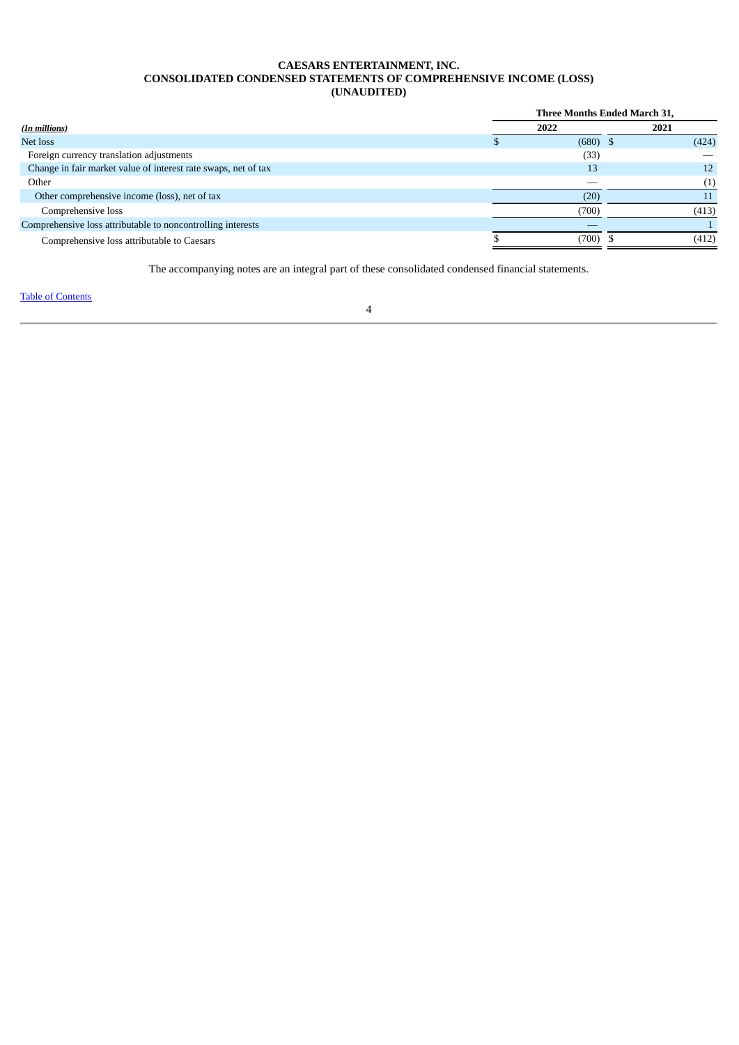## **CAESARS ENTERTAINMENT, INC. CONSOLIDATED CONDENSED STATEMENTS OF COMPREHENSIVE INCOME (LOSS) (UNAUDITED)**

|                                                                | Three Months Ended March 31, |            |      |       |  |  |  |  |
|----------------------------------------------------------------|------------------------------|------------|------|-------|--|--|--|--|
| (In millions)                                                  |                              | 2022       | 2021 |       |  |  |  |  |
| Net loss                                                       |                              | $(680)$ \$ |      | (424) |  |  |  |  |
| Foreign currency translation adjustments                       |                              | (33)       |      |       |  |  |  |  |
| Change in fair market value of interest rate swaps, net of tax |                              | 13         |      | 12    |  |  |  |  |
| Other                                                          |                              |            |      | (1)   |  |  |  |  |
| Other comprehensive income (loss), net of tax                  |                              | (20)       |      |       |  |  |  |  |
| Comprehensive loss                                             |                              | (700)      |      | (413) |  |  |  |  |
| Comprehensive loss attributable to noncontrolling interests    |                              |            |      |       |  |  |  |  |
| Comprehensive loss attributable to Caesars                     |                              | (700)      |      | (412) |  |  |  |  |

<span id="page-4-0"></span>The accompanying notes are an integral part of these consolidated condensed financial statements.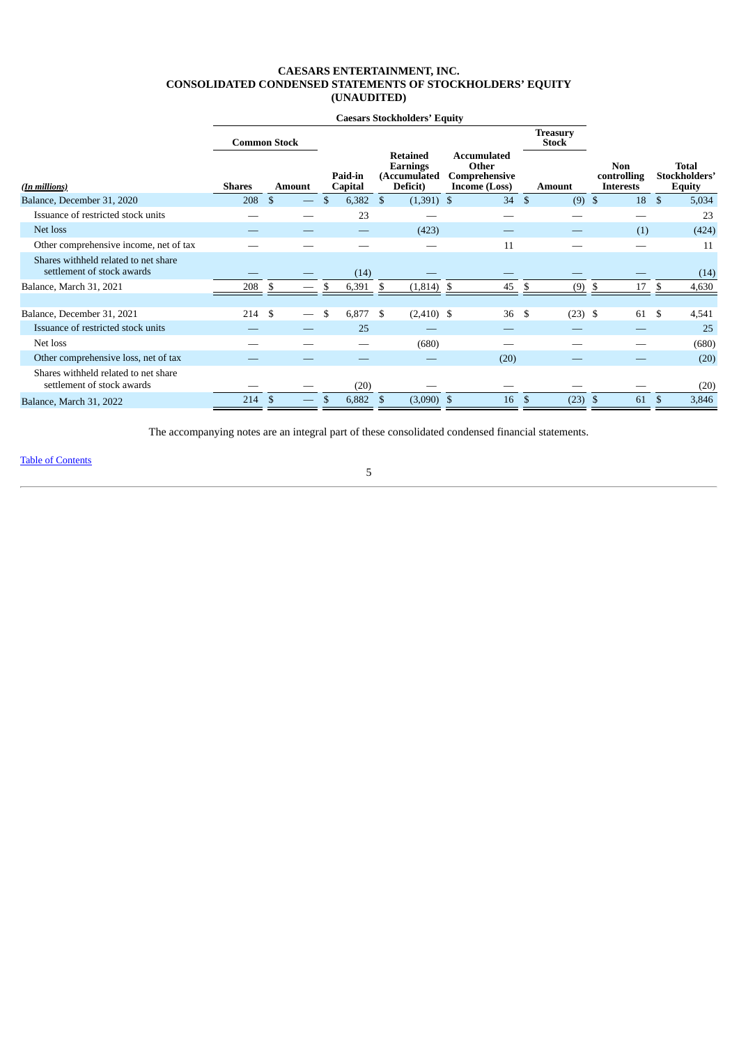## **CAESARS ENTERTAINMENT, INC. CONSOLIDATED CONDENSED STATEMENTS OF STOCKHOLDERS' EQUITY (UNAUDITED)**

|                                                                    |                     |                |               |                           |      | <b>Caesars Stockholders' Equity</b>                            |                                                               |                    |                                 |      |                                               |               |                                                |
|--------------------------------------------------------------------|---------------------|----------------|---------------|---------------------------|------|----------------------------------------------------------------|---------------------------------------------------------------|--------------------|---------------------------------|------|-----------------------------------------------|---------------|------------------------------------------------|
|                                                                    | <b>Common Stock</b> |                |               |                           |      |                                                                |                                                               |                    | <b>Treasury</b><br><b>Stock</b> |      |                                               |               |                                                |
| (In millions)                                                      | <b>Shares</b>       |                | <b>Amount</b> | Paid-in<br><b>Capital</b> |      | <b>Retained</b><br><b>Earnings</b><br>(Accumulated<br>Deficit) | Accumulated<br>Other<br>Comprehensive<br><b>Income (Loss)</b> |                    | <b>Amount</b>                   |      | <b>Non</b><br>controlling<br><b>Interests</b> |               | <b>Total</b><br>Stockholders'<br><b>Equity</b> |
| Balance, December 31, 2020                                         | 208                 | $\mathfrak{S}$ |               | 6,382                     | - \$ | $(1,391)$ \$                                                   | 34                                                            | $\mathbf{s}$       | $(9)$ \$                        |      | 18                                            | -\$           | 5,034                                          |
| Issuance of restricted stock units                                 |                     |                |               | 23                        |      |                                                                |                                                               |                    |                                 |      |                                               |               | 23                                             |
| Net loss                                                           |                     |                |               |                           |      | (423)                                                          |                                                               |                    |                                 |      | (1)                                           |               | (424)                                          |
| Other comprehensive income, net of tax                             |                     |                |               |                           |      |                                                                | 11                                                            |                    |                                 |      |                                               |               | 11                                             |
| Shares withheld related to net share<br>settlement of stock awards |                     |                |               | (14)                      |      |                                                                |                                                               |                    |                                 |      |                                               |               | (14)                                           |
| Balance, March 31, 2021                                            | 208                 | S              |               | 6,391                     | S    | $(1,814)$ \$                                                   | 45                                                            | S                  | (9)                             | - \$ | 17                                            | \$            | 4,630                                          |
|                                                                    |                     |                |               |                           |      |                                                                |                                                               |                    |                                 |      |                                               |               |                                                |
| Balance, December 31, 2021                                         | 214                 | \$             |               | \$<br>6,877               | S.   | $(2,410)$ \$                                                   | 36                                                            | \$                 | $(23)$ \$                       |      | 61                                            | \$            | 4,541                                          |
| Issuance of restricted stock units                                 |                     |                |               | 25                        |      |                                                                |                                                               |                    |                                 |      |                                               |               | 25                                             |
| Net loss                                                           |                     |                |               |                           |      | (680)                                                          | –                                                             |                    |                                 |      |                                               |               | (680)                                          |
| Other comprehensive loss, net of tax                               |                     |                |               |                           |      |                                                                | (20)                                                          |                    |                                 |      |                                               |               | (20)                                           |
| Shares withheld related to net share<br>settlement of stock awards |                     |                |               | (20)                      |      |                                                                |                                                               |                    |                                 |      |                                               |               | (20)                                           |
| Balance, March 31, 2022                                            | 214                 | $\mathfrak{S}$ |               | 6,882                     | \$   | $(3,090)$ \$                                                   | 16                                                            | $\mathbf{\hat{S}}$ | $(23)$ \$                       |      | 61                                            | $\mathbf{\$}$ | 3,846                                          |

The accompanying notes are an integral part of these consolidated condensed financial statements.

<span id="page-5-0"></span>[Table of Contents](#page-0-0)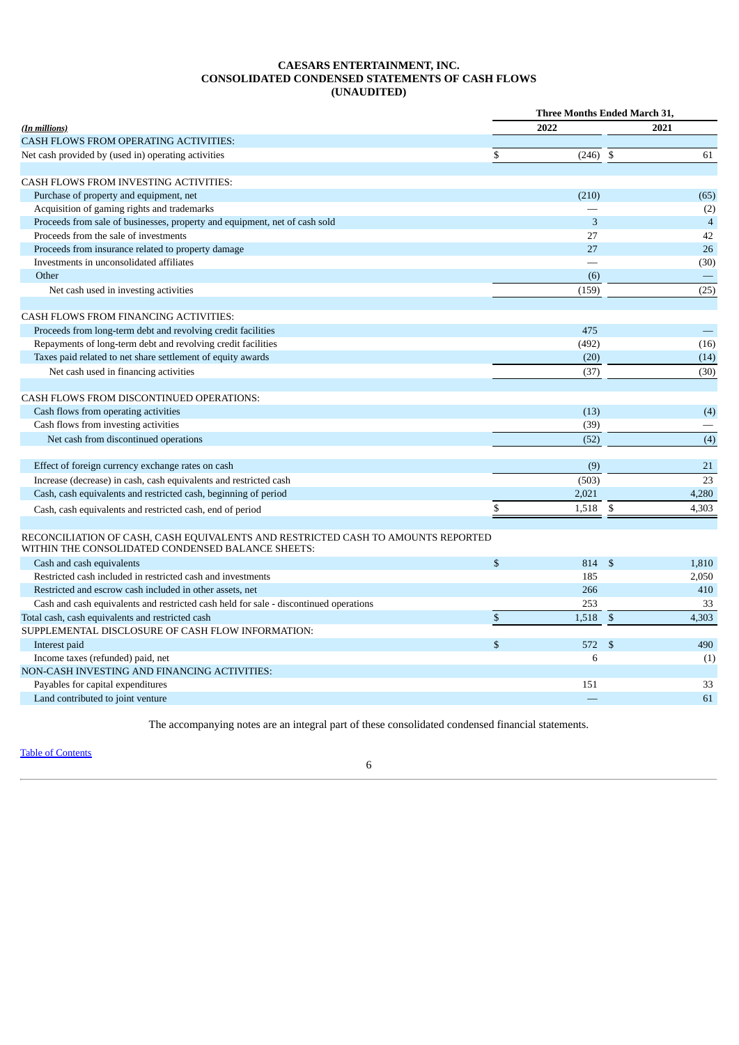## **CAESARS ENTERTAINMENT, INC. CONSOLIDATED CONDENSED STATEMENTS OF CASH FLOWS (UNAUDITED)**

|                                                                                       | Three Months Ended March 31, |                         |  |  |  |  |  |  |
|---------------------------------------------------------------------------------------|------------------------------|-------------------------|--|--|--|--|--|--|
| (In millions)                                                                         | 2022                         | 2021                    |  |  |  |  |  |  |
| <b>CASH FLOWS FROM OPERATING ACTIVITIES:</b>                                          |                              |                         |  |  |  |  |  |  |
| Net cash provided by (used in) operating activities                                   | \$<br>(246)                  | \$<br>61                |  |  |  |  |  |  |
|                                                                                       |                              |                         |  |  |  |  |  |  |
| CASH FLOWS FROM INVESTING ACTIVITIES:                                                 |                              |                         |  |  |  |  |  |  |
| Purchase of property and equipment, net                                               | (210)                        | (65)                    |  |  |  |  |  |  |
| Acquisition of gaming rights and trademarks                                           |                              | (2)                     |  |  |  |  |  |  |
| Proceeds from sale of businesses, property and equipment, net of cash sold            | 3                            | $\overline{4}$          |  |  |  |  |  |  |
| Proceeds from the sale of investments                                                 | 27                           | 42                      |  |  |  |  |  |  |
| Proceeds from insurance related to property damage                                    | 27                           | 26                      |  |  |  |  |  |  |
| Investments in unconsolidated affiliates                                              |                              | (30)                    |  |  |  |  |  |  |
| Other                                                                                 | (6)                          | $\equiv$                |  |  |  |  |  |  |
| Net cash used in investing activities                                                 | (159)                        | (25)                    |  |  |  |  |  |  |
|                                                                                       |                              |                         |  |  |  |  |  |  |
| CASH FLOWS FROM FINANCING ACTIVITIES:                                                 |                              |                         |  |  |  |  |  |  |
| Proceeds from long-term debt and revolving credit facilities                          | 475                          |                         |  |  |  |  |  |  |
| Repayments of long-term debt and revolving credit facilities                          | (492)                        | (16)                    |  |  |  |  |  |  |
| Taxes paid related to net share settlement of equity awards                           | (20)                         | (14)                    |  |  |  |  |  |  |
| Net cash used in financing activities                                                 | (37)                         | (30)                    |  |  |  |  |  |  |
|                                                                                       |                              |                         |  |  |  |  |  |  |
| CASH FLOWS FROM DISCONTINUED OPERATIONS:                                              |                              |                         |  |  |  |  |  |  |
| Cash flows from operating activities                                                  | (13)                         | (4)                     |  |  |  |  |  |  |
| Cash flows from investing activities                                                  | (39)                         |                         |  |  |  |  |  |  |
| Net cash from discontinued operations                                                 | (52)                         | (4)                     |  |  |  |  |  |  |
|                                                                                       |                              |                         |  |  |  |  |  |  |
| Effect of foreign currency exchange rates on cash                                     | (9)                          | 21                      |  |  |  |  |  |  |
| Increase (decrease) in cash, cash equivalents and restricted cash                     | (503)                        | $\overline{23}$         |  |  |  |  |  |  |
| Cash, cash equivalents and restricted cash, beginning of period                       | 2,021                        | 4,280                   |  |  |  |  |  |  |
| Cash, cash equivalents and restricted cash, end of period                             | \$<br>1,518                  | \$<br>4,303             |  |  |  |  |  |  |
|                                                                                       |                              |                         |  |  |  |  |  |  |
| RECONCILIATION OF CASH, CASH EQUIVALENTS AND RESTRICTED CASH TO AMOUNTS REPORTED      |                              |                         |  |  |  |  |  |  |
| WITHIN THE CONSOLIDATED CONDENSED BALANCE SHEETS:                                     |                              |                         |  |  |  |  |  |  |
| Cash and cash equivalents                                                             | \$<br>814                    | $\mathfrak{S}$<br>1,810 |  |  |  |  |  |  |
| Restricted cash included in restricted cash and investments                           | 185                          | 2,050                   |  |  |  |  |  |  |
| Restricted and escrow cash included in other assets, net                              | 266                          | 410                     |  |  |  |  |  |  |
| Cash and cash equivalents and restricted cash held for sale - discontinued operations | 253                          | 33                      |  |  |  |  |  |  |
| Total cash, cash equivalents and restricted cash                                      | \$<br>1,518                  | $\mathbb{S}$<br>4,303   |  |  |  |  |  |  |
| SUPPLEMENTAL DISCLOSURE OF CASH FLOW INFORMATION:                                     |                              |                         |  |  |  |  |  |  |
| Interest paid                                                                         | \$<br>572                    | \$<br>490               |  |  |  |  |  |  |
| Income taxes (refunded) paid, net                                                     | 6                            | (1)                     |  |  |  |  |  |  |
| NON-CASH INVESTING AND FINANCING ACTIVITIES:                                          |                              |                         |  |  |  |  |  |  |
| Payables for capital expenditures                                                     | 151                          | 33                      |  |  |  |  |  |  |
| Land contributed to joint venture                                                     |                              | 61                      |  |  |  |  |  |  |
|                                                                                       |                              |                         |  |  |  |  |  |  |

The accompanying notes are an integral part of these consolidated condensed financial statements.

<span id="page-6-0"></span>[Table of Contents](#page-0-0)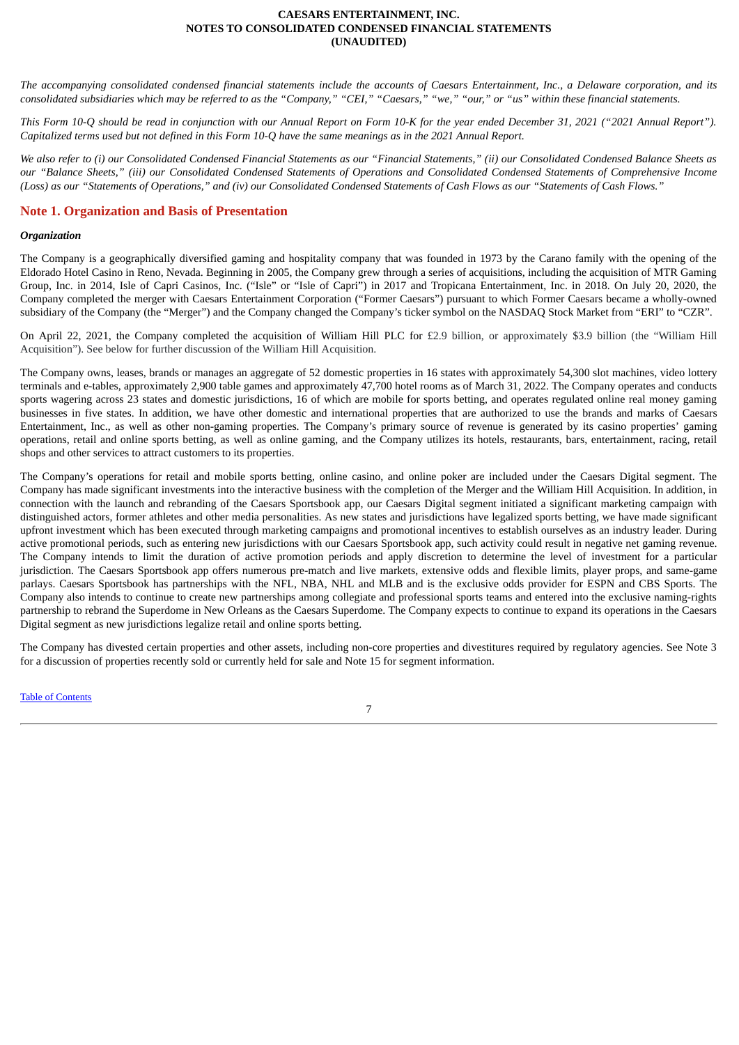The accompanying consolidated condensed financial statements include the accounts of Caesars Entertainment, Inc., a Delaware corporation, and its consolidated subsidiaries which may be referred to as the "Company," "CEI," "Caesars," "we," "our," or "us" within these financial statements.

This Form 10-O should be read in conjunction with our Annual Report on Form 10-K for the vear ended December 31, 2021 ("2021 Annual Report"). Capitalized terms used but not defined in this Form 10-O have the same meanings as in the 2021 Annual Report.

We also refer to (i) our Consolidated Condensed Financial Statements as our "Financial Statements," (ii) our Consolidated Condensed Balance Sheets as our "Balance Sheets." (iii) our Consolidated Condensed Statements of Operations and Consolidated Condensed Statements of Comprehensive Income (Loss) as our "Statements of Operations," and (iv) our Consolidated Condensed Statements of Cash Flows as our "Statements of Cash Flows."

## **Note 1. Organization and Basis of Presentation**

### *Organization*

The Company is a geographically diversified gaming and hospitality company that was founded in 1973 by the Carano family with the opening of the Eldorado Hotel Casino in Reno, Nevada. Beginning in 2005, the Company grew through a series of acquisitions, including the acquisition of MTR Gaming Group, Inc. in 2014, Isle of Capri Casinos, Inc. ("Isle" or "Isle of Capri") in 2017 and Tropicana Entertainment, Inc. in 2018. On July 20, 2020, the Company completed the merger with Caesars Entertainment Corporation ("Former Caesars") pursuant to which Former Caesars became a wholly-owned subsidiary of the Company (the "Merger") and the Company changed the Company's ticker symbol on the NASDAQ Stock Market from "ERI" to "CZR".

On April 22, 2021, the Company completed the acquisition of William Hill PLC for £2.9 billion, or approximately \$3.9 billion (the "William Hill Acquisition"). See below for further discussion of the William Hill Acquisition.

The Company owns, leases, brands or manages an aggregate of 52 domestic properties in 16 states with approximately 54,300 slot machines, video lottery terminals and e-tables, approximately 2,900 table games and approximately 47,700 hotel rooms as of March 31, 2022. The Company operates and conducts sports wagering across 23 states and domestic jurisdictions, 16 of which are mobile for sports betting, and operates regulated online real money gaming businesses in five states. In addition, we have other domestic and international properties that are authorized to use the brands and marks of Caesars Entertainment, Inc., as well as other non-gaming properties. The Company's primary source of revenue is generated by its casino properties' gaming operations, retail and online sports betting, as well as online gaming, and the Company utilizes its hotels, restaurants, bars, entertainment, racing, retail shops and other services to attract customers to its properties.

The Company's operations for retail and mobile sports betting, online casino, and online poker are included under the Caesars Digital segment. The Company has made significant investments into the interactive business with the completion of the Merger and the William Hill Acquisition. In addition, in connection with the launch and rebranding of the Caesars Sportsbook app, our Caesars Digital segment initiated a significant marketing campaign with distinguished actors, former athletes and other media personalities. As new states and jurisdictions have legalized sports betting, we have made significant upfront investment which has been executed through marketing campaigns and promotional incentives to establish ourselves as an industry leader. During active promotional periods, such as entering new jurisdictions with our Caesars Sportsbook app, such activity could result in negative net gaming revenue. The Company intends to limit the duration of active promotion periods and apply discretion to determine the level of investment for a particular jurisdiction. The Caesars Sportsbook app offers numerous pre-match and live markets, extensive odds and flexible limits, player props, and same-game parlays. Caesars Sportsbook has partnerships with the NFL, NBA, NHL and MLB and is the exclusive odds provider for ESPN and CBS Sports. The Company also intends to continue to create new partnerships among collegiate and professional sports teams and entered into the exclusive naming-rights partnership to rebrand the Superdome in New Orleans as the Caesars Superdome. The Company expects to continue to expand its operations in the Caesars Digital segment as new jurisdictions legalize retail and online sports betting.

The Company has divested certain properties and other assets, including non-core properties and divestitures required by regulatory agencies. See Note 3 for a discussion of properties recently sold or currently held for sale and Note 15 for segment information.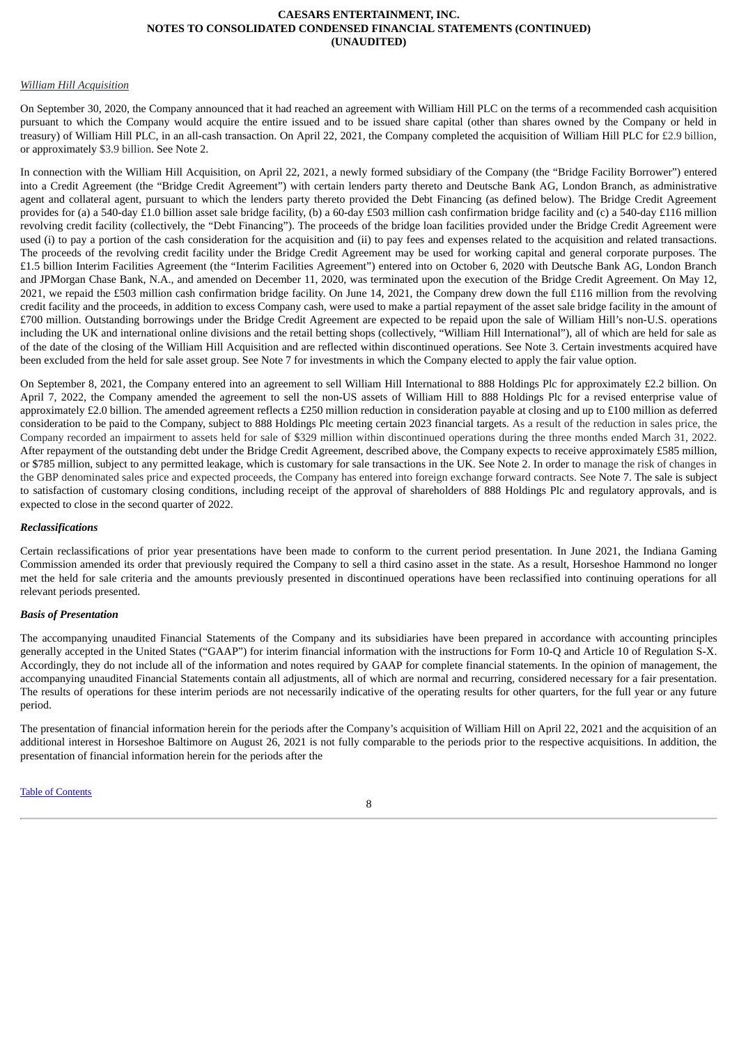#### *William Hill Acquisition*

On September 30, 2020, the Company announced that it had reached an agreement with William Hill PLC on the terms of a recommended cash acquisition pursuant to which the Company would acquire the entire issued and to be issued share capital (other than shares owned by the Company or held in treasury) of William Hill PLC, in an all-cash transaction. On April 22, 2021, the Company completed the acquisition of William Hill PLC for £2.9 billion, or approximately \$3.9 billion. See Note 2.

In connection with the William Hill Acquisition, on April 22, 2021, a newly formed subsidiary of the Company (the "Bridge Facility Borrower") entered into a Credit Agreement (the "Bridge Credit Agreement") with certain lenders party thereto and Deutsche Bank AG, London Branch, as administrative agent and collateral agent, pursuant to which the lenders party thereto provided the Debt Financing (as defined below). The Bridge Credit Agreement provides for (a) a 540-day £1.0 billion asset sale bridge facility, (b) a 60-day £503 million cash confirmation bridge facility and (c) a 540-day £116 million revolving credit facility (collectively, the "Debt Financing"). The proceeds of the bridge loan facilities provided under the Bridge Credit Agreement were used (i) to pay a portion of the cash consideration for the acquisition and (ii) to pay fees and expenses related to the acquisition and related transactions. The proceeds of the revolving credit facility under the Bridge Credit Agreement may be used for working capital and general corporate purposes. The £1.5 billion Interim Facilities Agreement (the "Interim Facilities Agreement") entered into on October 6, 2020 with Deutsche Bank AG, London Branch and JPMorgan Chase Bank, N.A., and amended on December 11, 2020, was terminated upon the execution of the Bridge Credit Agreement. On May 12, 2021, we repaid the £503 million cash confirmation bridge facility. On June 14, 2021, the Company drew down the full £116 million from the revolving credit facility and the proceeds, in addition to excess Company cash, were used to make a partial repayment of the asset sale bridge facility in the amount of £700 million. Outstanding borrowings under the Bridge Credit Agreement are expected to be repaid upon the sale of William Hill's non-U.S. operations including the UK and international online divisions and the retail betting shops (collectively, "William Hill International"), all of which are held for sale as of the date of the closing of the William Hill Acquisition and are reflected within discontinued operations. See Note 3. Certain investments acquired have been excluded from the held for sale asset group. See Note 7 for investments in which the Company elected to apply the fair value option.

On September 8, 2021, the Company entered into an agreement to sell William Hill International to 888 Holdings Plc for approximately £2.2 billion. On April 7, 2022, the Company amended the agreement to sell the non-US assets of William Hill to 888 Holdings Plc for a revised enterprise value of approximately £2.0 billion. The amended agreement reflects a £250 million reduction in consideration payable at closing and up to £100 million as deferred consideration to be paid to the Company, subject to 888 Holdings Plc meeting certain 2023 financial targets. As a result of the reduction in sales price, the Company recorded an impairment to assets held for sale of \$329 million within discontinued operations during the three months ended March 31, 2022. After repayment of the outstanding debt under the Bridge Credit Agreement, described above, the Company expects to receive approximately £585 million, or \$785 million, subject to any permitted leakage, which is customary for sale transactions in the UK. See Note 2. In order to manage the risk of changes in the GBP denominated sales price and expected proceeds, the Company has entered into foreign exchange forward contracts. See Note 7. The sale is subject to satisfaction of customary closing conditions, including receipt of the approval of shareholders of 888 Holdings Plc and regulatory approvals, and is expected to close in the second quarter of 2022.

#### *Reclassifications*

Certain reclassifications of prior year presentations have been made to conform to the current period presentation. In June 2021, the Indiana Gaming Commission amended its order that previously required the Company to sell a third casino asset in the state. As a result, Horseshoe Hammond no longer met the held for sale criteria and the amounts previously presented in discontinued operations have been reclassified into continuing operations for all relevant periods presented.

#### *Basis of Presentation*

The accompanying unaudited Financial Statements of the Company and its subsidiaries have been prepared in accordance with accounting principles generally accepted in the United States ("GAAP") for interim financial information with the instructions for Form 10-Q and Article 10 of Regulation S-X. Accordingly, they do not include all of the information and notes required by GAAP for complete financial statements. In the opinion of management, the accompanying unaudited Financial Statements contain all adjustments, all of which are normal and recurring, considered necessary for a fair presentation. The results of operations for these interim periods are not necessarily indicative of the operating results for other quarters, for the full year or any future period.

The presentation of financial information herein for the periods after the Company's acquisition of William Hill on April 22, 2021 and the acquisition of an additional interest in Horseshoe Baltimore on August 26, 2021 is not fully comparable to the periods prior to the respective acquisitions. In addition, the presentation of financial information herein for the periods after the

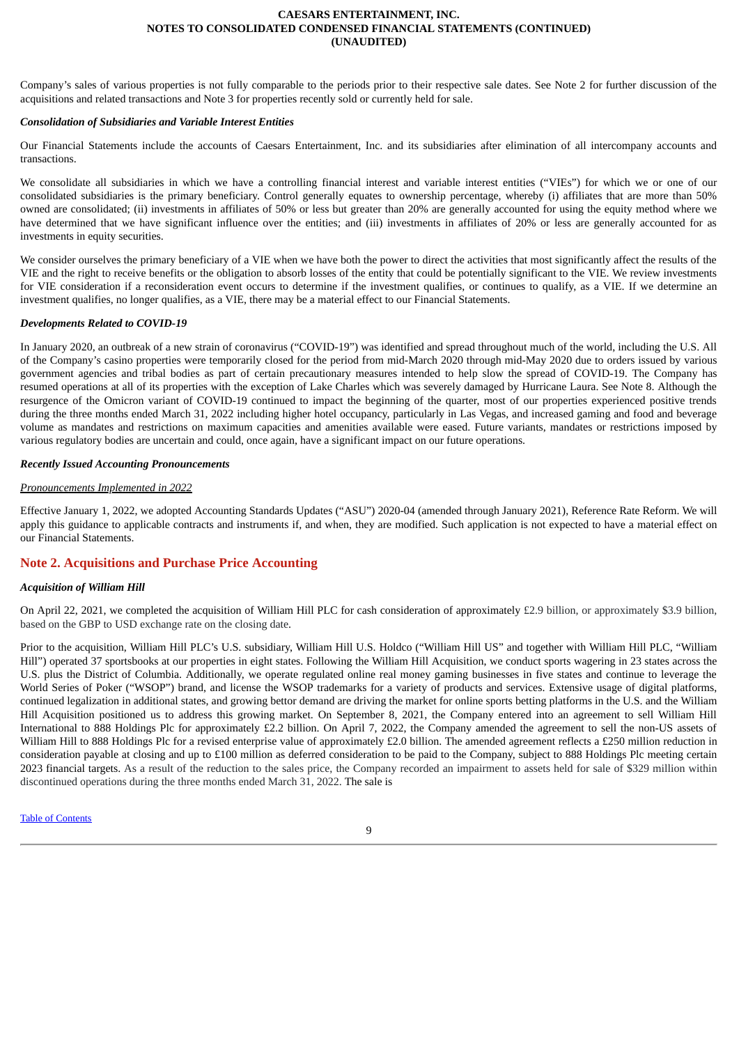Company's sales of various properties is not fully comparable to the periods prior to their respective sale dates. See Note 2 for further discussion of the acquisitions and related transactions and Note 3 for properties recently sold or currently held for sale.

## *Consolidation of Subsidiaries and Variable Interest Entities*

Our Financial Statements include the accounts of Caesars Entertainment, Inc. and its subsidiaries after elimination of all intercompany accounts and transactions.

We consolidate all subsidiaries in which we have a controlling financial interest and variable interest entities ("VIEs") for which we or one of our consolidated subsidiaries is the primary beneficiary. Control generally equates to ownership percentage, whereby (i) affiliates that are more than 50% owned are consolidated; (ii) investments in affiliates of 50% or less but greater than 20% are generally accounted for using the equity method where we have determined that we have significant influence over the entities; and (iii) investments in affiliates of 20% or less are generally accounted for as investments in equity securities.

We consider ourselves the primary beneficiary of a VIE when we have both the power to direct the activities that most significantly affect the results of the VIE and the right to receive benefits or the obligation to absorb losses of the entity that could be potentially significant to the VIE. We review investments for VIE consideration if a reconsideration event occurs to determine if the investment qualifies, or continues to qualify, as a VIE. If we determine an investment qualifies, no longer qualifies, as a VIE, there may be a material effect to our Financial Statements.

#### *Developments Related to COVID-19*

In January 2020, an outbreak of a new strain of coronavirus ("COVID-19") was identified and spread throughout much of the world, including the U.S. All of the Company's casino properties were temporarily closed for the period from mid-March 2020 through mid-May 2020 due to orders issued by various government agencies and tribal bodies as part of certain precautionary measures intended to help slow the spread of COVID-19. The Company has resumed operations at all of its properties with the exception of Lake Charles which was severely damaged by Hurricane Laura. See Note 8. Although the resurgence of the Omicron variant of COVID-19 continued to impact the beginning of the quarter, most of our properties experienced positive trends during the three months ended March 31, 2022 including higher hotel occupancy, particularly in Las Vegas, and increased gaming and food and beverage volume as mandates and restrictions on maximum capacities and amenities available were eased. Future variants, mandates or restrictions imposed by various regulatory bodies are uncertain and could, once again, have a significant impact on our future operations.

#### *Recently Issued Accounting Pronouncements*

#### *Pronouncements Implemented in 2022*

Effective January 1, 2022, we adopted Accounting Standards Updates ("ASU") 2020-04 (amended through January 2021), Reference Rate Reform. We will apply this guidance to applicable contracts and instruments if, and when, they are modified. Such application is not expected to have a material effect on our Financial Statements.

## **Note 2. Acquisitions and Purchase Price Accounting**

#### *Acquisition of William Hill*

On April 22, 2021, we completed the acquisition of William Hill PLC for cash consideration of approximately £2.9 billion, or approximately \$3.9 billion, based on the GBP to USD exchange rate on the closing date.

Prior to the acquisition, William Hill PLC's U.S. subsidiary, William Hill U.S. Holdco ("William Hill US" and together with William Hill PLC, "William Hill") operated 37 sportsbooks at our properties in eight states. Following the William Hill Acquisition, we conduct sports wagering in 23 states across the U.S. plus the District of Columbia. Additionally, we operate regulated online real money gaming businesses in five states and continue to leverage the World Series of Poker ("WSOP") brand, and license the WSOP trademarks for a variety of products and services. Extensive usage of digital platforms, continued legalization in additional states, and growing bettor demand are driving the market for online sports betting platforms in the U.S. and the William Hill Acquisition positioned us to address this growing market. On September 8, 2021, the Company entered into an agreement to sell William Hill International to 888 Holdings Plc for approximately £2.2 billion. On April 7, 2022, the Company amended the agreement to sell the non-US assets of William Hill to 888 Holdings Plc for a revised enterprise value of approximately £2.0 billion. The amended agreement reflects a £250 million reduction in consideration payable at closing and up to £100 million as deferred consideration to be paid to the Company, subject to 888 Holdings Plc meeting certain 2023 financial targets. As a result of the reduction to the sales price, the Company recorded an impairment to assets held for sale of \$329 million within discontinued operations during the three months ended March 31, 2022. The sale is

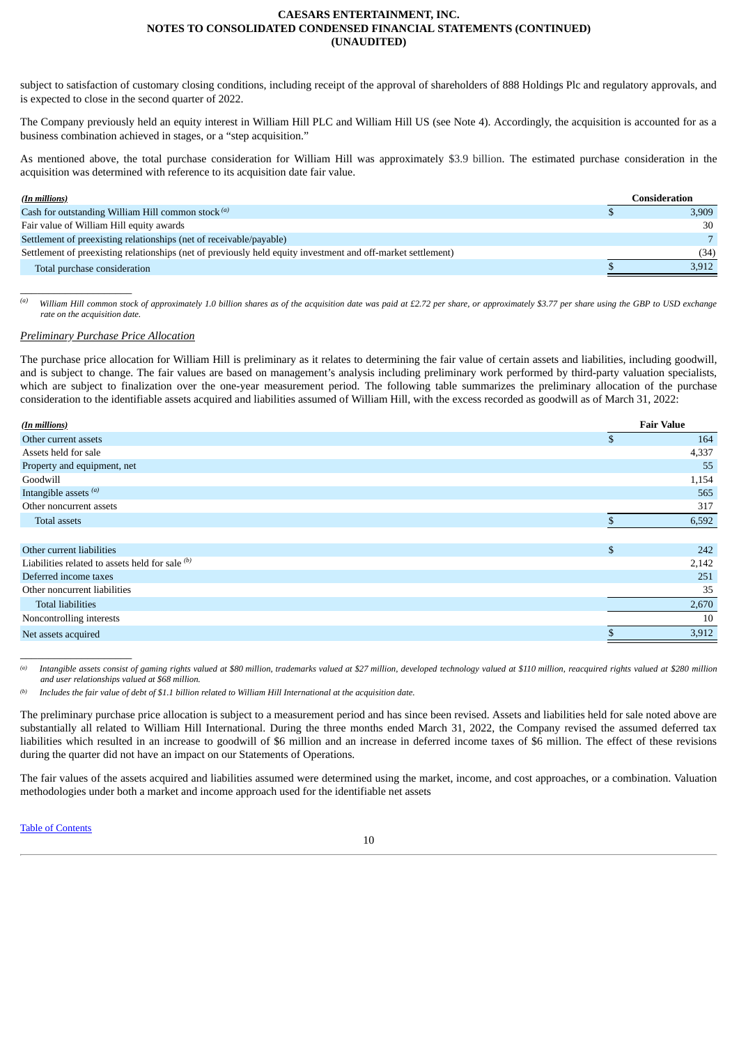subject to satisfaction of customary closing conditions, including receipt of the approval of shareholders of 888 Holdings Plc and regulatory approvals, and is expected to close in the second quarter of 2022.

The Company previously held an equity interest in William Hill PLC and William Hill US (see Note 4). Accordingly, the acquisition is accounted for as a business combination achieved in stages, or a "step acquisition."

As mentioned above, the total purchase consideration for William Hill was approximately \$3.9 billion. The estimated purchase consideration in the acquisition was determined with reference to its acquisition date fair value.

| (In millions)                                                                                                | Consideration |
|--------------------------------------------------------------------------------------------------------------|---------------|
| Cash for outstanding William Hill common stock (a)                                                           | 3,909         |
| Fair value of William Hill equity awards                                                                     | 30            |
| Settlement of preexisting relationships (net of receivable/payable)                                          | $7^{\circ}$   |
| Settlement of preexisting relationships (net of previously held equity investment and off-market settlement) | (34)          |
| Total purchase consideration                                                                                 | 3,912         |

William Hill common stock of approximately 1.0 billion shares as of the acquisition date was paid at £2.72 per share, or approximately \$3.77 per share using the GBP to USD exchange *rate on the acquisition date. (a)*

## *Preliminary Purchase Price Allocation*

 $\_$ 

The purchase price allocation for William Hill is preliminary as it relates to determining the fair value of certain assets and liabilities, including goodwill, and is subject to change. The fair values are based on management's analysis including preliminary work performed by third-party valuation specialists, which are subject to finalization over the one-year measurement period. The following table summarizes the preliminary allocation of the purchase consideration to the identifiable assets acquired and liabilities assumed of William Hill, with the excess recorded as goodwill as of March 31, 2022:

| (In millions)                                     |     | <b>Fair Value</b> |
|---------------------------------------------------|-----|-------------------|
| Other current assets                              | \$. | 164               |
| Assets held for sale                              |     | 4,337             |
| Property and equipment, net                       |     | 55                |
| Goodwill                                          |     | 1,154             |
| Intangible assets (a)                             |     | 565               |
| Other noncurrent assets                           |     | 317               |
| Total assets                                      |     | 6,592             |
|                                                   |     |                   |
| Other current liabilities                         | \$  | 242               |
| Liabilities related to assets held for sale $(b)$ |     | 2,142             |
| Deferred income taxes                             |     | 251               |
| Other noncurrent liabilities                      |     | 35                |
| <b>Total liabilities</b>                          |     | 2,670             |
| Noncontrolling interests                          |     | 10                |
| Net assets acquired                               |     | 3,912             |
|                                                   |     |                   |

Intangible assets consist of gaming rights valued at \$80 million, trademarks valued at \$27 million, developed technology valued at \$110 million, reacquired rights valued at \$280 million *and user relationships valued at \$68 million. (a)*

Includes the fair value of debt of \$1.1 billion related to William Hill International at the acquisition date. *(b)*

The preliminary purchase price allocation is subject to a measurement period and has since been revised. Assets and liabilities held for sale noted above are substantially all related to William Hill International. During the three months ended March 31, 2022, the Company revised the assumed deferred tax liabilities which resulted in an increase to goodwill of \$6 million and an increase in deferred income taxes of \$6 million. The effect of these revisions during the quarter did not have an impact on our Statements of Operations.

The fair values of the assets acquired and liabilities assumed were determined using the market, income, and cost approaches, or a combination. Valuation methodologies under both a market and income approach used for the identifiable net assets

 $\_$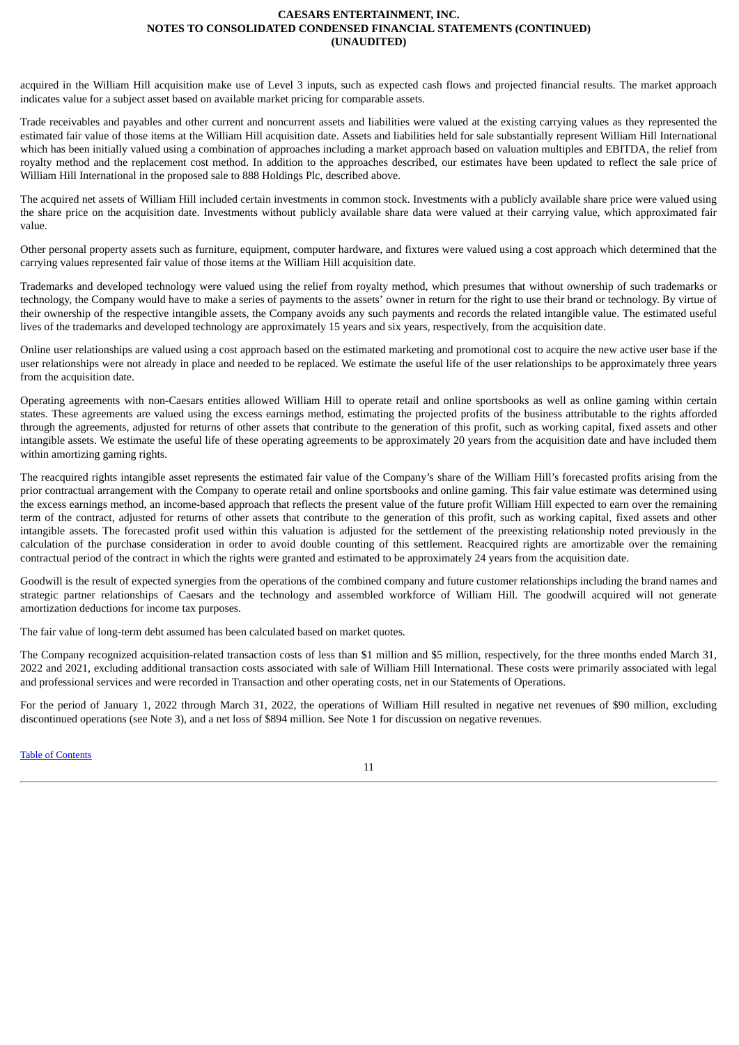acquired in the William Hill acquisition make use of Level 3 inputs, such as expected cash flows and projected financial results. The market approach indicates value for a subject asset based on available market pricing for comparable assets.

Trade receivables and payables and other current and noncurrent assets and liabilities were valued at the existing carrying values as they represented the estimated fair value of those items at the William Hill acquisition date. Assets and liabilities held for sale substantially represent William Hill International which has been initially valued using a combination of approaches including a market approach based on valuation multiples and EBITDA, the relief from royalty method and the replacement cost method. In addition to the approaches described, our estimates have been updated to reflect the sale price of William Hill International in the proposed sale to 888 Holdings Plc, described above.

The acquired net assets of William Hill included certain investments in common stock. Investments with a publicly available share price were valued using the share price on the acquisition date. Investments without publicly available share data were valued at their carrying value, which approximated fair value.

Other personal property assets such as furniture, equipment, computer hardware, and fixtures were valued using a cost approach which determined that the carrying values represented fair value of those items at the William Hill acquisition date.

Trademarks and developed technology were valued using the relief from royalty method, which presumes that without ownership of such trademarks or technology, the Company would have to make a series of payments to the assets' owner in return for the right to use their brand or technology. By virtue of their ownership of the respective intangible assets, the Company avoids any such payments and records the related intangible value. The estimated useful lives of the trademarks and developed technology are approximately 15 years and six years, respectively, from the acquisition date.

Online user relationships are valued using a cost approach based on the estimated marketing and promotional cost to acquire the new active user base if the user relationships were not already in place and needed to be replaced. We estimate the useful life of the user relationships to be approximately three years from the acquisition date.

Operating agreements with non-Caesars entities allowed William Hill to operate retail and online sportsbooks as well as online gaming within certain states. These agreements are valued using the excess earnings method, estimating the projected profits of the business attributable to the rights afforded through the agreements, adjusted for returns of other assets that contribute to the generation of this profit, such as working capital, fixed assets and other intangible assets. We estimate the useful life of these operating agreements to be approximately 20 years from the acquisition date and have included them within amortizing gaming rights.

The reacquired rights intangible asset represents the estimated fair value of the Company's share of the William Hill's forecasted profits arising from the prior contractual arrangement with the Company to operate retail and online sportsbooks and online gaming. This fair value estimate was determined using the excess earnings method, an income-based approach that reflects the present value of the future profit William Hill expected to earn over the remaining term of the contract, adjusted for returns of other assets that contribute to the generation of this profit, such as working capital, fixed assets and other intangible assets. The forecasted profit used within this valuation is adjusted for the settlement of the preexisting relationship noted previously in the calculation of the purchase consideration in order to avoid double counting of this settlement. Reacquired rights are amortizable over the remaining contractual period of the contract in which the rights were granted and estimated to be approximately 24 years from the acquisition date.

Goodwill is the result of expected synergies from the operations of the combined company and future customer relationships including the brand names and strategic partner relationships of Caesars and the technology and assembled workforce of William Hill. The goodwill acquired will not generate amortization deductions for income tax purposes.

The fair value of long-term debt assumed has been calculated based on market quotes.

The Company recognized acquisition-related transaction costs of less than \$1 million and \$5 million, respectively, for the three months ended March 31, 2022 and 2021, excluding additional transaction costs associated with sale of William Hill International. These costs were primarily associated with legal and professional services and were recorded in Transaction and other operating costs, net in our Statements of Operations.

For the period of January 1, 2022 through March 31, 2022, the operations of William Hill resulted in negative net revenues of \$90 million, excluding discontinued operations (see Note 3), and a net loss of \$894 million. See Note 1 for discussion on negative revenues.

[Table of Contents](#page-0-0)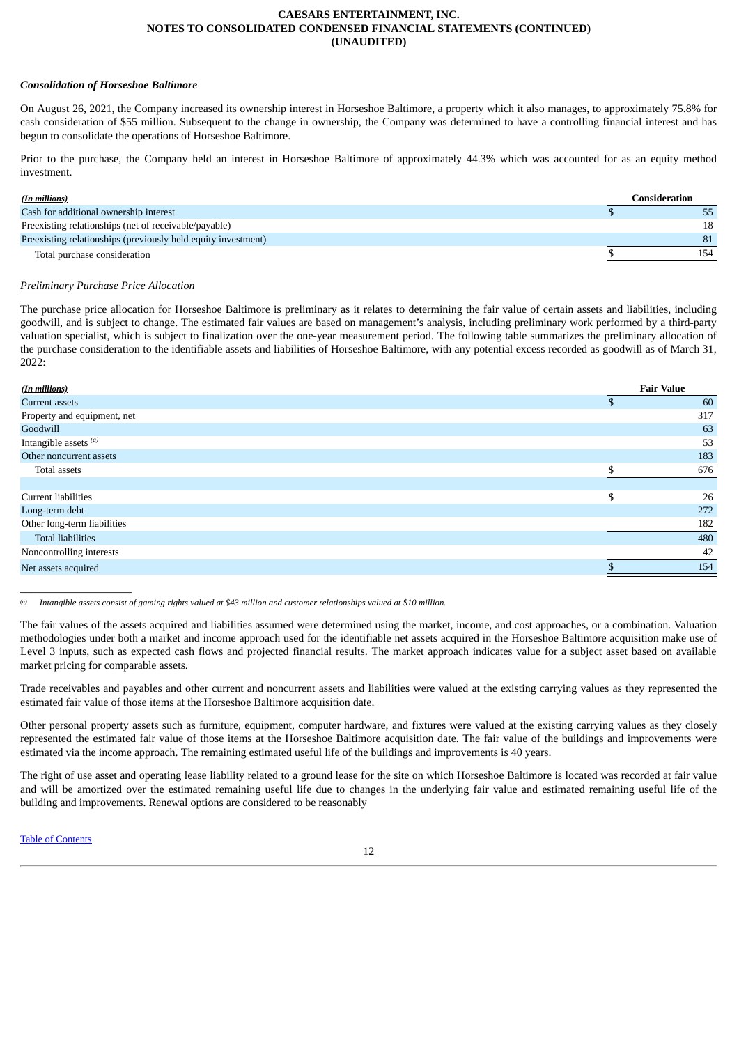#### *Consolidation of Horseshoe Baltimore*

On August 26, 2021, the Company increased its ownership interest in Horseshoe Baltimore, a property which it also manages, to approximately 75.8% for cash consideration of \$55 million. Subsequent to the change in ownership, the Company was determined to have a controlling financial interest and has begun to consolidate the operations of Horseshoe Baltimore.

Prior to the purchase, the Company held an interest in Horseshoe Baltimore of approximately 44.3% which was accounted for as an equity method investment.

| (In millions)                                                 | Consideration |
|---------------------------------------------------------------|---------------|
| Cash for additional ownership interest                        |               |
| Preexisting relationships (net of receivable/payable)         | 18            |
| Preexisting relationships (previously held equity investment) | 81            |
| Total purchase consideration                                  |               |

#### *Preliminary Purchase Price Allocation*

The purchase price allocation for Horseshoe Baltimore is preliminary as it relates to determining the fair value of certain assets and liabilities, including goodwill, and is subject to change. The estimated fair values are based on management's analysis, including preliminary work performed by a third-party valuation specialist, which is subject to finalization over the one-year measurement period. The following table summarizes the preliminary allocation of the purchase consideration to the identifiable assets and liabilities of Horseshoe Baltimore, with any potential excess recorded as goodwill as of March 31,  $2022$ 

| (In millions)               | <b>Fair Value</b> |
|-----------------------------|-------------------|
| <b>Current assets</b>       | 60                |
| Property and equipment, net | 317               |
| Goodwill                    | 63                |
| Intangible assets (a)       | 53                |
| Other noncurrent assets     | 183               |
| Total assets                | 676               |
|                             |                   |
| <b>Current liabilities</b>  | \$<br>26          |
| Long-term debt              | 272               |
| Other long-term liabilities | 182               |
| <b>Total liabilities</b>    | 480               |
| Noncontrolling interests    | 42                |
| Net assets acquired         | 154               |
|                             |                   |

Intangible assets consist of gaming rights valued at \$43 million and customer relationships valued at \$10 million. *(a)*

The fair values of the assets acquired and liabilities assumed were determined using the market, income, and cost approaches, or a combination. Valuation methodologies under both a market and income approach used for the identifiable net assets acquired in the Horseshoe Baltimore acquisition make use of Level 3 inputs, such as expected cash flows and projected financial results. The market approach indicates value for a subject asset based on available market pricing for comparable assets.

Trade receivables and payables and other current and noncurrent assets and liabilities were valued at the existing carrying values as they represented the estimated fair value of those items at the Horseshoe Baltimore acquisition date.

Other personal property assets such as furniture, equipment, computer hardware, and fixtures were valued at the existing carrying values as they closely represented the estimated fair value of those items at the Horseshoe Baltimore acquisition date. The fair value of the buildings and improvements were estimated via the income approach. The remaining estimated useful life of the buildings and improvements is 40 years.

The right of use asset and operating lease liability related to a ground lease for the site on which Horseshoe Baltimore is located was recorded at fair value and will be amortized over the estimated remaining useful life due to changes in the underlying fair value and estimated remaining useful life of the building and improvements. Renewal options are considered to be reasonably

 $\_$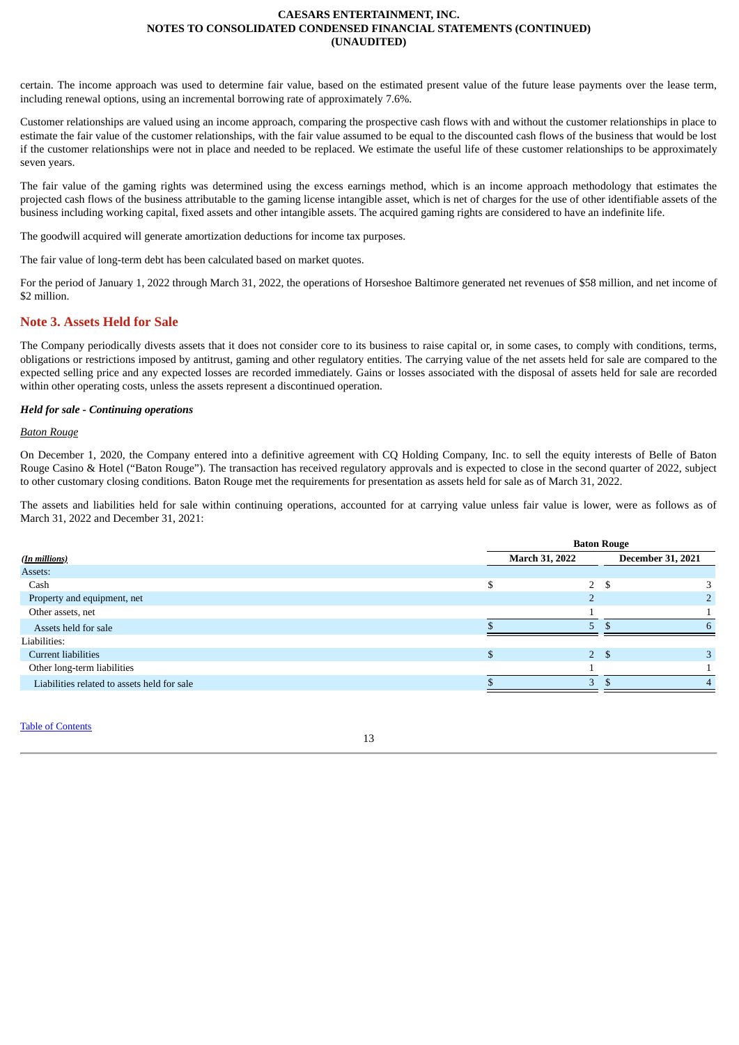certain. The income approach was used to determine fair value, based on the estimated present value of the future lease payments over the lease term, including renewal options, using an incremental borrowing rate of approximately 7.6%.

Customer relationships are valued using an income approach, comparing the prospective cash flows with and without the customer relationships in place to estimate the fair value of the customer relationships, with the fair value assumed to be equal to the discounted cash flows of the business that would be lost if the customer relationships were not in place and needed to be replaced. We estimate the useful life of these customer relationships to be approximately seven years.

The fair value of the gaming rights was determined using the excess earnings method, which is an income approach methodology that estimates the projected cash flows of the business attributable to the gaming license intangible asset, which is net of charges for the use of other identifiable assets of the business including working capital, fixed assets and other intangible assets. The acquired gaming rights are considered to have an indefinite life.

The goodwill acquired will generate amortization deductions for income tax purposes.

The fair value of long-term debt has been calculated based on market quotes.

For the period of January 1, 2022 through March 31, 2022, the operations of Horseshoe Baltimore generated net revenues of \$58 million, and net income of \$2 million.

## **Note 3. Assets Held for Sale**

The Company periodically divests assets that it does not consider core to its business to raise capital or, in some cases, to comply with conditions, terms, obligations or restrictions imposed by antitrust, gaming and other regulatory entities. The carrying value of the net assets held for sale are compared to the expected selling price and any expected losses are recorded immediately. Gains or losses associated with the disposal of assets held for sale are recorded within other operating costs, unless the assets represent a discontinued operation.

#### *Held for sale - Continuing operations*

## *Baton Rouge*

On December 1, 2020, the Company entered into a definitive agreement with CQ Holding Company, Inc. to sell the equity interests of Belle of Baton Rouge Casino & Hotel ("Baton Rouge"). The transaction has received regulatory approvals and is expected to close in the second quarter of 2022, subject to other customary closing conditions. Baton Rouge met the requirements for presentation as assets held for sale as of March 31, 2022.

The assets and liabilities held for sale within continuing operations, accounted for at carrying value unless fair value is lower, were as follows as of March 31, 2022 and December 31, 2021:

|                                             | <b>Baton Rouge</b>    |  |                          |  |  |  |  |  |  |
|---------------------------------------------|-----------------------|--|--------------------------|--|--|--|--|--|--|
| (In millions)                               | <b>March 31, 2022</b> |  | <b>December 31, 2021</b> |  |  |  |  |  |  |
| Assets:                                     |                       |  |                          |  |  |  |  |  |  |
| Cash                                        | 2 <sub>5</sub>        |  |                          |  |  |  |  |  |  |
| Property and equipment, net                 | n                     |  |                          |  |  |  |  |  |  |
| Other assets, net                           |                       |  |                          |  |  |  |  |  |  |
| Assets held for sale                        | h                     |  | h                        |  |  |  |  |  |  |
| Liabilities:                                |                       |  |                          |  |  |  |  |  |  |
| <b>Current liabilities</b>                  | 2 <sub>5</sub>        |  |                          |  |  |  |  |  |  |
| Other long-term liabilities                 |                       |  |                          |  |  |  |  |  |  |
| Liabilities related to assets held for sale |                       |  |                          |  |  |  |  |  |  |
|                                             |                       |  |                          |  |  |  |  |  |  |

[Table of Contents](#page-0-0)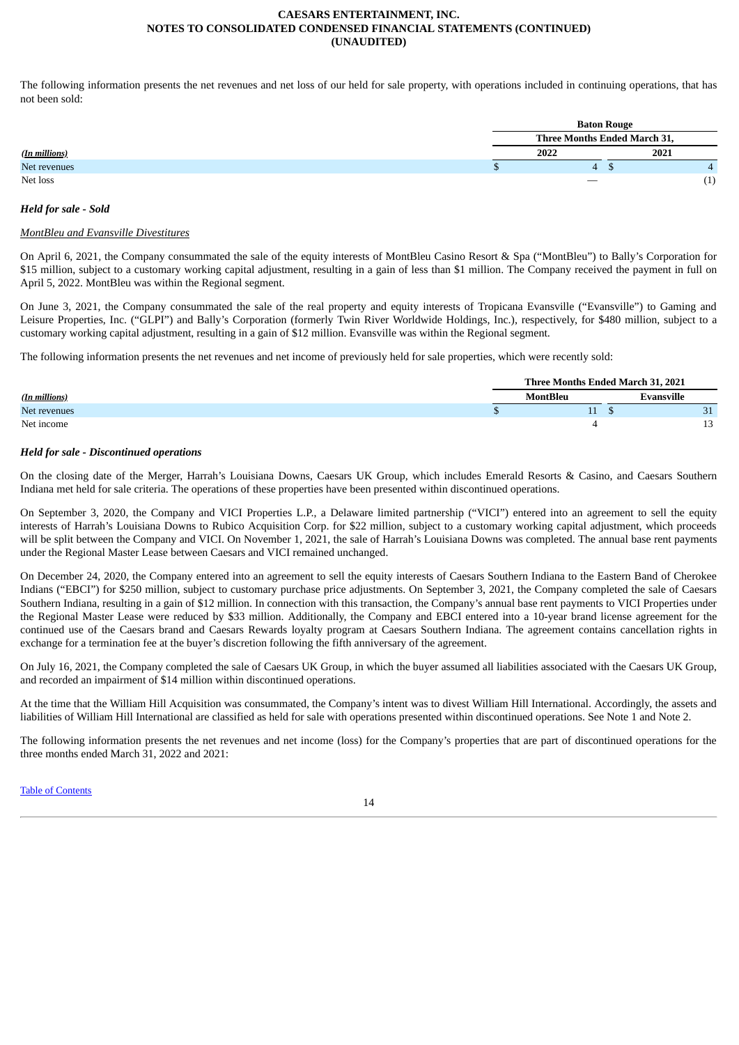The following information presents the net revenues and net loss of our held for sale property, with operations included in continuing operations, that has not been sold:

|               | <b>Baton Rouge</b> |                              |              |  |  |  |
|---------------|--------------------|------------------------------|--------------|--|--|--|
|               |                    | Three Months Ended March 31, |              |  |  |  |
| (In millions) | 2022               | 2021                         |              |  |  |  |
| Net revenues  | 4                  |                              | $\mathbf{A}$ |  |  |  |
| Net loss      | __                 |                              | (1)<br>(エ)   |  |  |  |

#### *Held for sale - Sold*

#### *MontBleu and Evansville Divestitures*

On April 6, 2021, the Company consummated the sale of the equity interests of MontBleu Casino Resort & Spa ("MontBleu") to Bally's Corporation for \$15 million, subject to a customary working capital adjustment, resulting in a gain of less than \$1 million. The Company received the payment in full on April 5, 2022. MontBleu was within the Regional segment.

On June 3, 2021, the Company consummated the sale of the real property and equity interests of Tropicana Evansville ("Evansville") to Gaming and Leisure Properties, Inc. ("GLPI") and Bally's Corporation (formerly Twin River Worldwide Holdings, Inc.), respectively, for \$480 million, subject to a customary working capital adjustment, resulting in a gain of \$12 million. Evansville was within the Regional segment.

The following information presents the net revenues and net income of previously held for sale properties, which were recently sold:

|               |          | Three Months Ended March 31, 2021 |
|---------------|----------|-----------------------------------|
| (In millions) | MontBleu | Evansville                        |
| Net revenues  | 11       | 21<br>1 ب                         |
| Net income    |          | 1つ<br>ᆂᇦ                          |

#### *Held for sale - Discontinued operations*

On the closing date of the Merger, Harrah's Louisiana Downs, Caesars UK Group, which includes Emerald Resorts & Casino, and Caesars Southern Indiana met held for sale criteria. The operations of these properties have been presented within discontinued operations.

On September 3, 2020, the Company and VICI Properties L.P., a Delaware limited partnership ("VICI") entered into an agreement to sell the equity interests of Harrah's Louisiana Downs to Rubico Acquisition Corp. for \$22 million, subject to a customary working capital adjustment, which proceeds will be split between the Company and VICI. On November 1, 2021, the sale of Harrah's Louisiana Downs was completed. The annual base rent payments under the Regional Master Lease between Caesars and VICI remained unchanged.

On December 24, 2020, the Company entered into an agreement to sell the equity interests of Caesars Southern Indiana to the Eastern Band of Cherokee Indians ("EBCI") for \$250 million, subject to customary purchase price adjustments. On September 3, 2021, the Company completed the sale of Caesars Southern Indiana, resulting in a gain of \$12 million. In connection with this transaction, the Company's annual base rent payments to VICI Properties under the Regional Master Lease were reduced by \$33 million. Additionally, the Company and EBCI entered into a 10-year brand license agreement for the continued use of the Caesars brand and Caesars Rewards loyalty program at Caesars Southern Indiana. The agreement contains cancellation rights in exchange for a termination fee at the buyer's discretion following the fifth anniversary of the agreement.

On July 16, 2021, the Company completed the sale of Caesars UK Group, in which the buyer assumed all liabilities associated with the Caesars UK Group, and recorded an impairment of \$14 million within discontinued operations.

At the time that the William Hill Acquisition was consummated, the Company's intent was to divest William Hill International. Accordingly, the assets and liabilities of William Hill International are classified as held for sale with operations presented within discontinued operations. See Note 1 and Note 2.

The following information presents the net revenues and net income (loss) for the Company's properties that are part of discontinued operations for the three months ended March 31, 2022 and 2021:

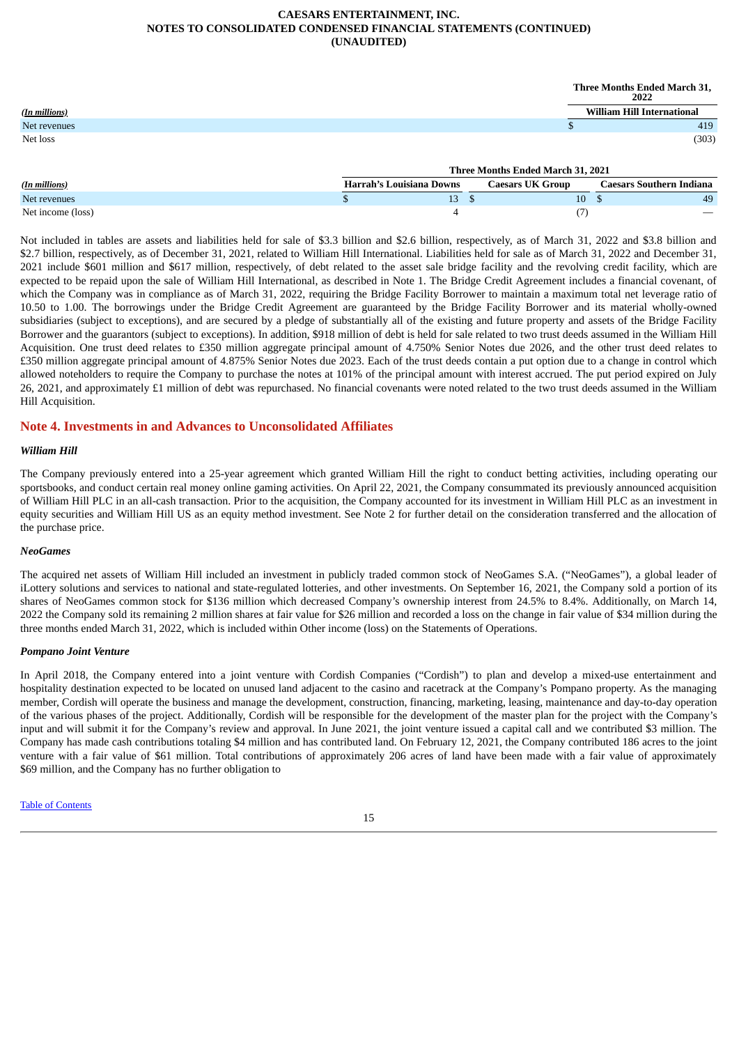|               |                                 |                                   | Three Months Ended March 31,<br>2022 |
|---------------|---------------------------------|-----------------------------------|--------------------------------------|
| (In millions) |                                 |                                   | <b>William Hill International</b>    |
| Net revenues  |                                 |                                   | 419                                  |
| Net loss      |                                 |                                   | (303)                                |
|               |                                 | Three Months Ended March 31, 2021 |                                      |
| (In millions) | <b>Harrah's Louisiana Downs</b> | <b>Caesars UK Group</b>           | <b>Caesars Southern Indiana</b>      |
| Net revenues  | 13                              |                                   | 10<br>49                             |

Net income (loss)  $\hspace{1.6cm} (7)$   $\hspace{1.6cm} (-7)$ 

Not included in tables are assets and liabilities held for sale of \$3.3 billion and \$2.6 billion, respectively, as of March 31, 2022 and \$3.8 billion and \$2.7 billion, respectively, as of December 31, 2021, related to William Hill International. Liabilities held for sale as of March 31, 2022 and December 31, 2021 include \$601 million and \$617 million, respectively, of debt related to the asset sale bridge facility and the revolving credit facility, which are expected to be repaid upon the sale of William Hill International, as described in Note 1. The Bridge Credit Agreement includes a financial covenant, of which the Company was in compliance as of March 31, 2022, requiring the Bridge Facility Borrower to maintain a maximum total net leverage ratio of 10.50 to 1.00. The borrowings under the Bridge Credit Agreement are guaranteed by the Bridge Facility Borrower and its material wholly-owned subsidiaries (subject to exceptions), and are secured by a pledge of substantially all of the existing and future property and assets of the Bridge Facility Borrower and the guarantors (subject to exceptions). In addition, \$918 million of debt is held for sale related to two trust deeds assumed in the William Hill Acquisition. One trust deed relates to £350 million aggregate principal amount of 4.750% Senior Notes due 2026, and the other trust deed relates to £350 million aggregate principal amount of 4.875% Senior Notes due 2023. Each of the trust deeds contain a put option due to a change in control which allowed noteholders to require the Company to purchase the notes at 101% of the principal amount with interest accrued. The put period expired on July 26, 2021, and approximately £1 million of debt was repurchased. No financial covenants were noted related to the two trust deeds assumed in the William Hill Acquisition.

## **Note 4. Investments in and Advances to Unconsolidated Affiliates**

#### *William Hill*

The Company previously entered into a 25-year agreement which granted William Hill the right to conduct betting activities, including operating our sportsbooks, and conduct certain real money online gaming activities. On April 22, 2021, the Company consummated its previously announced acquisition of William Hill PLC in an all-cash transaction. Prior to the acquisition, the Company accounted for its investment in William Hill PLC as an investment in equity securities and William Hill US as an equity method investment. See Note 2 for further detail on the consideration transferred and the allocation of the purchase price.

#### *NeoGames*

The acquired net assets of William Hill included an investment in publicly traded common stock of NeoGames S.A. ("NeoGames"), a global leader of iLottery solutions and services to national and state-regulated lotteries, and other investments. On September 16, 2021, the Company sold a portion of its shares of NeoGames common stock for \$136 million which decreased Company's ownership interest from 24.5% to 8.4%. Additionally, on March 14, 2022 the Company sold its remaining 2 million shares at fair value for \$26 million and recorded a loss on the change in fair value of \$34 million during the three months ended March 31, 2022, which is included within Other income (loss) on the Statements of Operations.

#### *Pompano Joint Venture*

In April 2018, the Company entered into a joint venture with Cordish Companies ("Cordish") to plan and develop a mixed-use entertainment and hospitality destination expected to be located on unused land adjacent to the casino and racetrack at the Company's Pompano property. As the managing member, Cordish will operate the business and manage the development, construction, financing, marketing, leasing, maintenance and day-to-day operation of the various phases of the project. Additionally, Cordish will be responsible for the development of the master plan for the project with the Company's input and will submit it for the Company's review and approval. In June 2021, the joint venture issued a capital call and we contributed \$3 million. The Company has made cash contributions totaling \$4 million and has contributed land. On February 12, 2021, the Company contributed 186 acres to the joint venture with a fair value of \$61 million. Total contributions of approximately 206 acres of land have been made with a fair value of approximately \$69 million, and the Company has no further obligation to

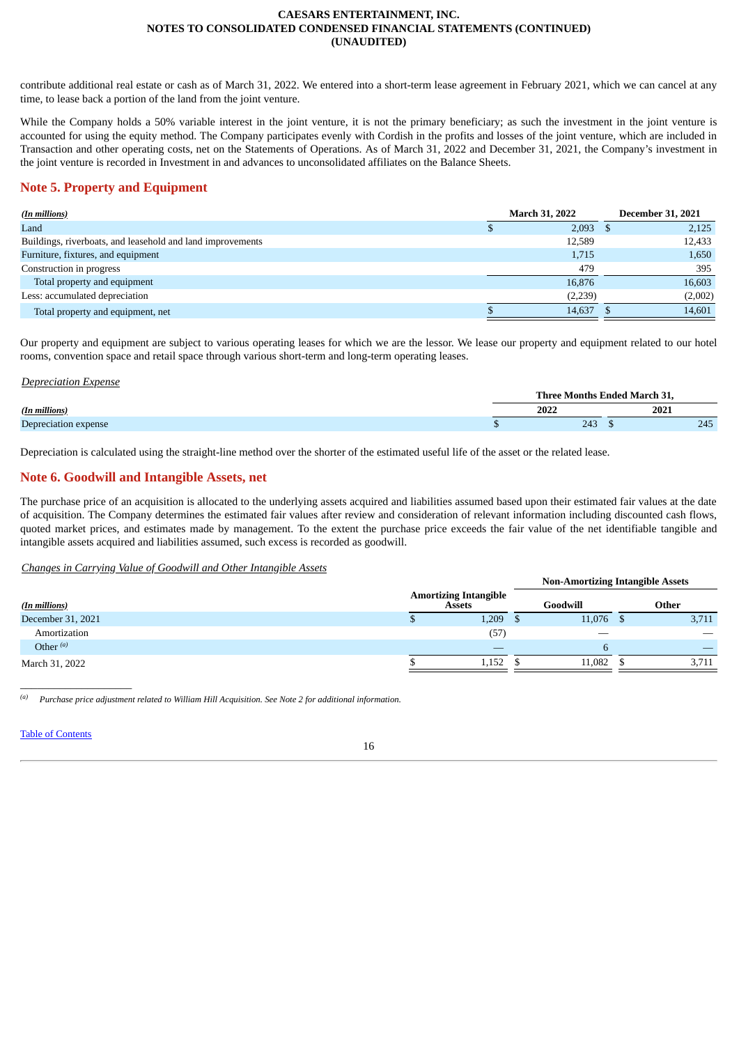contribute additional real estate or cash as of March 31, 2022. We entered into a short-term lease agreement in February 2021, which we can cancel at any time, to lease back a portion of the land from the joint venture.

While the Company holds a 50% variable interest in the joint venture, it is not the primary beneficiary; as such the investment in the joint venture is accounted for using the equity method. The Company participates evenly with Cordish in the profits and losses of the joint venture, which are included in Transaction and other operating costs, net on the Statements of Operations. As of March 31, 2022 and December 31, 2021, the Company's investment in the joint venture is recorded in Investment in and advances to unconsolidated affiliates on the Balance Sheets.

# **Note 5. Property and Equipment**

| (In millions)                                              | <b>March 31, 2022</b> | <b>December 31, 2021</b> |
|------------------------------------------------------------|-----------------------|--------------------------|
| Land                                                       | 2,093                 | 2,125                    |
| Buildings, riverboats, and leasehold and land improvements | 12,589                | 12,433                   |
| Furniture, fixtures, and equipment                         | 1,715                 | 1,650                    |
| Construction in progress                                   | 479                   | 395                      |
| Total property and equipment                               | 16,876                | 16,603                   |
| Less: accumulated depreciation                             | (2,239)               | (2,002)                  |
| Total property and equipment, net                          | 14,637                | 14,601                   |

Our property and equipment are subject to various operating leases for which we are the lessor. We lease our property and equipment related to our hotel rooms, convention space and retail space through various short-term and long-term operating leases.

## *Depreciation Expense*

|                | 1 hrec<br>Months 1   | Ended March | <b>D</b> 1<br>. |
|----------------|----------------------|-------------|-----------------|
| (In millions)  | 2022                 |             | 2021            |
| Dan<br>expense | $\sim$ $\sim$<br>243 |             | 245             |

Depreciation is calculated using the straight-line method over the shorter of the estimated useful life of the asset or the related lease.

# **Note 6. Goodwill and Intangible Assets, net**

The purchase price of an acquisition is allocated to the underlying assets acquired and liabilities assumed based upon their estimated fair values at the date of acquisition. The Company determines the estimated fair values after review and consideration of relevant information including discounted cash flows, quoted market prices, and estimates made by management. To the extent the purchase price exceeds the fair value of the net identifiable tangible and intangible assets acquired and liabilities assumed, such excess is recorded as goodwill.

## *Changes in Carrying Value of Goodwill and Other Intangible Assets*

|                   |                                               | <b>Non-Amortizing Intangible Assets</b> |  |       |  |  |  |  |  |
|-------------------|-----------------------------------------------|-----------------------------------------|--|-------|--|--|--|--|--|
| (In millions)     | <b>Amortizing Intangible</b><br><b>Assets</b> | Goodwill                                |  | Other |  |  |  |  |  |
| December 31, 2021 | 1,209                                         | 11,076                                  |  | 3,711 |  |  |  |  |  |
| Amortization      | (57)                                          |                                         |  | $-$   |  |  |  |  |  |
| Other $(a)$       |                                               |                                         |  |       |  |  |  |  |  |
| March 31, 2022    | 1,152                                         | 11,082                                  |  | 3,711 |  |  |  |  |  |

*Purchase price adjustment related to William Hill Acquisition. See Note 2 for additional information. (a)*

 $\_$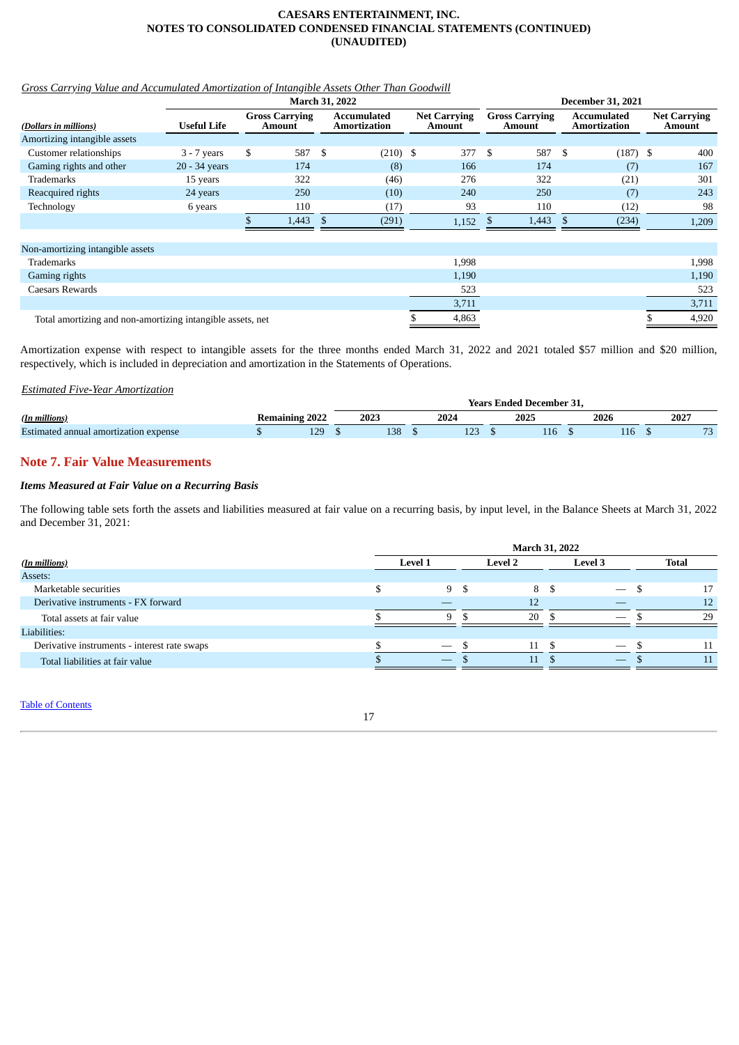## *Gross Carrying Value and Accumulated Amortization of Intangible Assets Other Than Goodwill*

|                                                            |                    |                                 |     | <b>March 31, 2022</b>              |                                      | <b>December 31, 2021</b>        |       |    |            |    |       |  |  |  |  |                                    |  |  |                                      |
|------------------------------------------------------------|--------------------|---------------------------------|-----|------------------------------------|--------------------------------------|---------------------------------|-------|----|------------|----|-------|--|--|--|--|------------------------------------|--|--|--------------------------------------|
| (Dollars in millions)                                      | <b>Useful Life</b> | <b>Gross Carrying</b><br>Amount |     | Accumulated<br><b>Amortization</b> | <b>Net Carrying</b><br><b>Amount</b> | <b>Gross Carrying</b><br>Amount |       |    |            |    |       |  |  |  |  | Accumulated<br><b>Amortization</b> |  |  | <b>Net Carrying</b><br><b>Amount</b> |
| Amortizing intangible assets                               |                    |                                 |     |                                    |                                      |                                 |       |    |            |    |       |  |  |  |  |                                    |  |  |                                      |
| Customer relationships                                     | $3 - 7$ years      | \$<br>587                       | -\$ | $(210)$ \$                         | 377                                  | \$                              | 587   | \$ | $(187)$ \$ |    | 400   |  |  |  |  |                                    |  |  |                                      |
| Gaming rights and other                                    | 20 - 34 years      | 174                             |     | (8)                                | 166                                  |                                 | 174   |    | (7)        |    | 167   |  |  |  |  |                                    |  |  |                                      |
| Trademarks                                                 | 15 years           | 322                             |     | (46)                               | 276                                  |                                 | 322   |    | (21)       |    | 301   |  |  |  |  |                                    |  |  |                                      |
| Reacquired rights                                          | 24 years           | 250                             |     | (10)                               | 240                                  |                                 | 250   |    | (7)        |    | 243   |  |  |  |  |                                    |  |  |                                      |
| Technology                                                 | 6 years            | 110                             |     | (17)                               | 93                                   |                                 | 110   |    | (12)       |    | 98    |  |  |  |  |                                    |  |  |                                      |
|                                                            |                    | 1,443                           | -\$ | (291)                              | 1,152                                |                                 | 1,443 | \$ | (234)      |    | 1,209 |  |  |  |  |                                    |  |  |                                      |
|                                                            |                    |                                 |     |                                    |                                      |                                 |       |    |            |    |       |  |  |  |  |                                    |  |  |                                      |
| Non-amortizing intangible assets                           |                    |                                 |     |                                    |                                      |                                 |       |    |            |    |       |  |  |  |  |                                    |  |  |                                      |
| Trademarks                                                 |                    |                                 |     |                                    | 1,998                                |                                 |       |    |            |    | 1,998 |  |  |  |  |                                    |  |  |                                      |
| Gaming rights                                              |                    |                                 |     |                                    | 1,190                                |                                 |       |    |            |    | 1,190 |  |  |  |  |                                    |  |  |                                      |
| Caesars Rewards                                            |                    |                                 |     |                                    | 523                                  |                                 |       |    |            |    | 523   |  |  |  |  |                                    |  |  |                                      |
|                                                            |                    |                                 |     |                                    | 3,711                                |                                 |       |    |            |    | 3,711 |  |  |  |  |                                    |  |  |                                      |
| Total amortizing and non-amortizing intangible assets, net |                    |                                 |     |                                    | \$<br>4,863                          |                                 |       |    |            | \$ | 4,920 |  |  |  |  |                                    |  |  |                                      |

Amortization expense with respect to intangible assets for the three months ended March 31, 2022 and 2021 totaled \$57 million and \$20 million, respectively, which is included in depreciation and amortization in the Statements of Operations.

*Estimated Five-Year Amortization*

|                                       |           |           | n.<br>* December 31,<br>Ended<br>Years |  |                |  |      |  |      |    |      |                                            |
|---------------------------------------|-----------|-----------|----------------------------------------|--|----------------|--|------|--|------|----|------|--------------------------------------------|
| (In millions,                         | kemaining | 2022      | 2023                                   |  | 2024           |  | 2025 |  | 2026 |    | 2027 |                                            |
| Estimated annual amortization expense |           | ם ו<br>ᅩᄼ | 138                                    |  | 122<br>ال کند. |  | 116  |  | 116  | пυ |      | $\blacksquare$<br>$\overline{\phantom{a}}$ |

# **Note 7. Fair Value Measurements**

## *Items Measured at Fair Value on a Recurring Basis*

The following table sets forth the assets and liabilities measured at fair value on a recurring basis, by input level, in the Balance Sheets at March 31, 2022 and December 31, 2021:

|                                              | <b>March 31, 2022</b> |                |                 |              |  |  |  |
|----------------------------------------------|-----------------------|----------------|-----------------|--------------|--|--|--|
| (In millions)                                | <b>Level 1</b>        | <b>Level 2</b> | <b>Level 3</b>  | <b>Total</b> |  |  |  |
| Assets:                                      |                       |                |                 |              |  |  |  |
| Marketable securities                        | 9 \$                  | 8 \$           | $\qquad \qquad$ |              |  |  |  |
| Derivative instruments - FX forward          |                       | 12             |                 |              |  |  |  |
| Total assets at fair value                   | 9                     | 20             |                 | 29           |  |  |  |
| Liabilities:                                 |                       |                |                 |              |  |  |  |
| Derivative instruments - interest rate swaps |                       | 11             |                 | 11           |  |  |  |
| Total liabilities at fair value              |                       | 11             |                 |              |  |  |  |

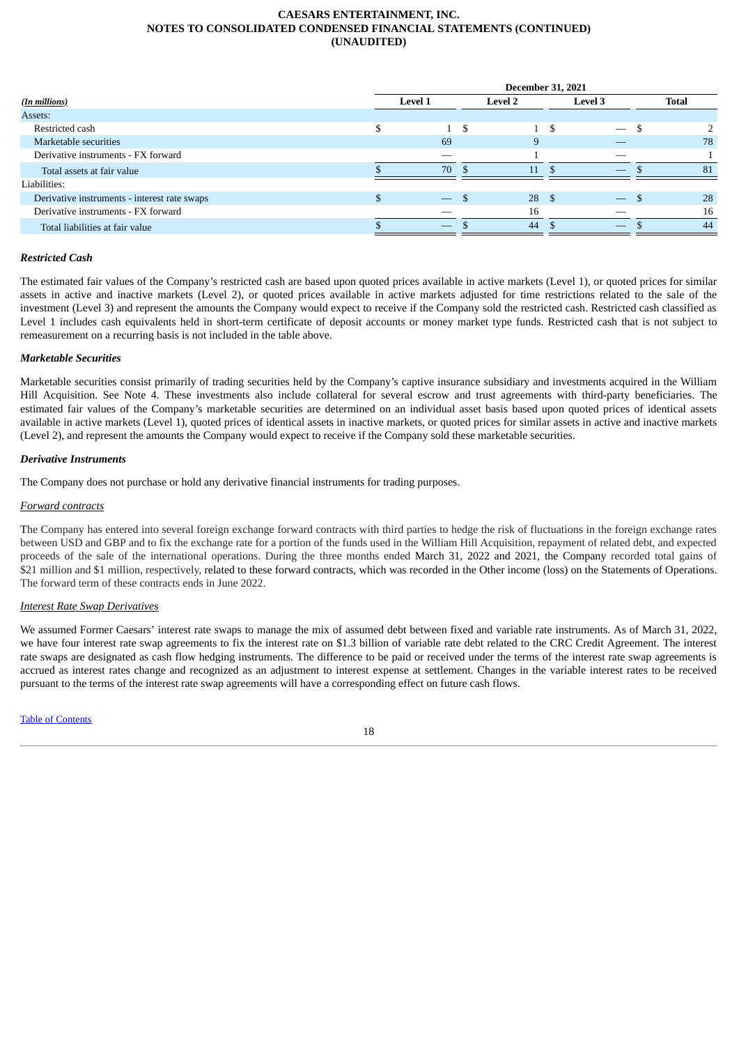|                                              | <b>December 31, 2021</b> |                          |  |                |                |                 |  |       |
|----------------------------------------------|--------------------------|--------------------------|--|----------------|----------------|-----------------|--|-------|
| (In millions)                                |                          | <b>Level 1</b>           |  | <b>Level 2</b> | <b>Level 3</b> |                 |  | Total |
| Assets:                                      |                          |                          |  |                |                |                 |  |       |
| Restricted cash                              |                          |                          |  |                |                |                 |  |       |
| Marketable securities                        |                          | 69                       |  | 9              |                |                 |  | 78    |
| Derivative instruments - FX forward          |                          | $\overline{\phantom{a}}$ |  |                |                | and the control |  |       |
| Total assets at fair value                   |                          | 70                       |  | 11             |                | _               |  | 81    |
| Liabilities:                                 |                          |                          |  |                |                |                 |  |       |
| Derivative instruments - interest rate swaps |                          |                          |  | 28             | - \$           |                 |  | 28    |
| Derivative instruments - FX forward          |                          |                          |  | 16             |                |                 |  | 16    |
| Total liabilities at fair value              |                          |                          |  | 44             |                |                 |  | 44    |

## *Restricted Cash*

The estimated fair values of the Company's restricted cash are based upon quoted prices available in active markets (Level 1), or quoted prices for similar assets in active and inactive markets (Level 2), or quoted prices available in active markets adjusted for time restrictions related to the sale of the investment (Level 3) and represent the amounts the Company would expect to receive if the Company sold the restricted cash. Restricted cash classified as Level 1 includes cash equivalents held in short-term certificate of deposit accounts or money market type funds. Restricted cash that is not subject to remeasurement on a recurring basis is not included in the table above.

#### *Marketable Securities*

Marketable securities consist primarily of trading securities held by the Company's captive insurance subsidiary and investments acquired in the William Hill Acquisition. See Note 4. These investments also include collateral for several escrow and trust agreements with third-party beneficiaries. The estimated fair values of the Company's marketable securities are determined on an individual asset basis based upon quoted prices of identical assets available in active markets (Level 1), quoted prices of identical assets in inactive markets, or quoted prices for similar assets in active and inactive markets (Level 2), and represent the amounts the Company would expect to receive if the Company sold these marketable securities.

#### *Derivative Instruments*

The Company does not purchase or hold any derivative financial instruments for trading purposes.

#### *Forward contracts*

The Company has entered into several foreign exchange forward contracts with third parties to hedge the risk of fluctuations in the foreign exchange rates between USD and GBP and to fix the exchange rate for a portion of the funds used in the William Hill Acquisition, repayment of related debt, and expected proceeds of the sale of the international operations. During the three months ended March 31, 2022 and 2021, the Company recorded total gains of \$21 million and \$1 million, respectively, related to these forward contracts, which was recorded in the Other income (loss) on the Statements of Operations. The forward term of these contracts ends in June 2022.

## *Interest Rate Swap Derivatives*

We assumed Former Caesars' interest rate swaps to manage the mix of assumed debt between fixed and variable rate instruments. As of March 31, 2022, we have four interest rate swap agreements to fix the interest rate on \$1.3 billion of variable rate debt related to the CRC Credit Agreement. The interest rate swaps are designated as cash flow hedging instruments. The difference to be paid or received under the terms of the interest rate swap agreements is accrued as interest rates change and recognized as an adjustment to interest expense at settlement. Changes in the variable interest rates to be received pursuant to the terms of the interest rate swap agreements will have a corresponding effect on future cash flows.

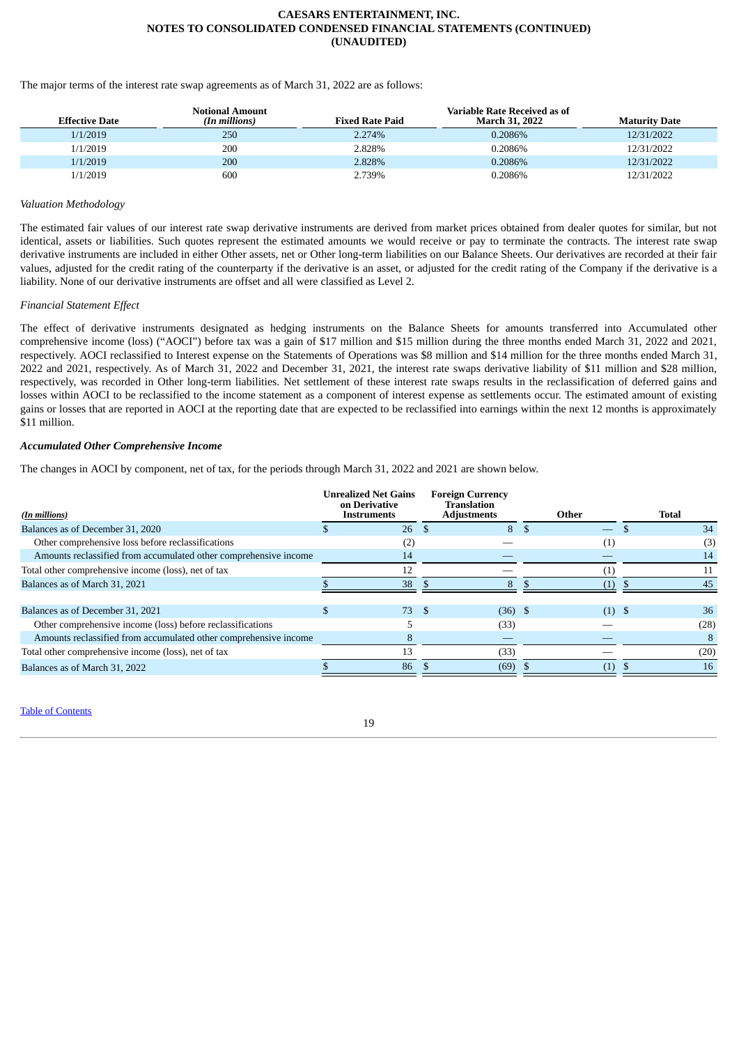The major terms of the interest rate swap agreements as of March 31, 2022 are as follows:

| <b>Effective Date</b> | <b>Notional Amount</b><br>(In millions) | <b>Fixed Rate Paid</b> | Variable Rate Received as of<br><b>March 31, 2022</b> | <b>Maturity Date</b> |
|-----------------------|-----------------------------------------|------------------------|-------------------------------------------------------|----------------------|
| 1/1/2019              | 250                                     | 2.274%                 | 0.2086%                                               | 12/31/2022           |
| 1/1/2019              | 200                                     | 2.828%                 | 0.2086%                                               | 12/31/2022           |
| 1/1/2019              | 200                                     | 2.828%                 | 0.2086%                                               | 12/31/2022           |
| 1/1/2019              | 600                                     | 2.739%                 | 0.2086%                                               | 12/31/2022           |

#### *Valuation Methodology*

The estimated fair values of our interest rate swap derivative instruments are derived from market prices obtained from dealer quotes for similar, but not identical, assets or liabilities. Such quotes represent the estimated amounts we would receive or pay to terminate the contracts. The interest rate swap derivative instruments are included in either Other assets, net or Other long-term liabilities on our Balance Sheets. Our derivatives are recorded at their fair values, adjusted for the credit rating of the counterparty if the derivative is an asset, or adjusted for the credit rating of the Company if the derivative is a liability. None of our derivative instruments are offset and all were classified as Level 2.

#### *Financial Statement Effect*

The effect of derivative instruments designated as hedging instruments on the Balance Sheets for amounts transferred into Accumulated other comprehensive income (loss) ("AOCI") before tax was a gain of \$17 million and \$15 million during the three months ended March 31, 2022 and 2021, respectively. AOCI reclassified to Interest expense on the Statements of Operations was \$8 million and \$14 million for the three months ended March 31, 2022 and 2021, respectively. As of March 31, 2022 and December 31, 2021, the interest rate swaps derivative liability of \$11 million and \$28 million, respectively, was recorded in Other long-term liabilities. Net settlement of these interest rate swaps results in the reclassification of deferred gains and losses within AOCI to be reclassified to the income statement as a component of interest expense as settlements occur. The estimated amount of existing gains or losses that are reported in AOCI at the reporting date that are expected to be reclassified into earnings within the next 12 months is approximately \$11 million.

#### *Accumulated Other Comprehensive Income*

The changes in AOCI by component, net of tax, for the periods through March 31, 2022 and 2021 are shown below.

| (In millions)                                                    | <b>Unrealized Net Gains</b><br>on Derivative<br><b>Instruments</b> | <b>Foreign Currency</b><br><b>Translation</b><br><b>Adjustments</b> |      | Other    | <b>Total</b> |
|------------------------------------------------------------------|--------------------------------------------------------------------|---------------------------------------------------------------------|------|----------|--------------|
| Balances as of December 31, 2020                                 | 26                                                                 | 8                                                                   | S.   |          | 34           |
| Other comprehensive loss before reclassifications                | (2)                                                                |                                                                     |      |          | (3)          |
| Amounts reclassified from accumulated other comprehensive income | 14                                                                 |                                                                     |      |          | 14           |
| Total other comprehensive income (loss), net of tax              | 12                                                                 |                                                                     |      |          |              |
| Balances as of March 31, 2021                                    | 38                                                                 |                                                                     |      |          | 45           |
|                                                                  |                                                                    |                                                                     |      |          |              |
| Balances as of December 31, 2021                                 | 73                                                                 | (36)                                                                | - \$ | $(1)$ \$ | 36           |
| Other comprehensive income (loss) before reclassifications       |                                                                    | (33)                                                                |      |          | (28)         |
| Amounts reclassified from accumulated other comprehensive income |                                                                    |                                                                     |      |          | 8            |
| Total other comprehensive income (loss), net of tax              | 13                                                                 | (33)                                                                |      |          | (20)         |
| Balances as of March 31, 2022                                    | 86                                                                 | (69)                                                                |      | (1)      | 16           |

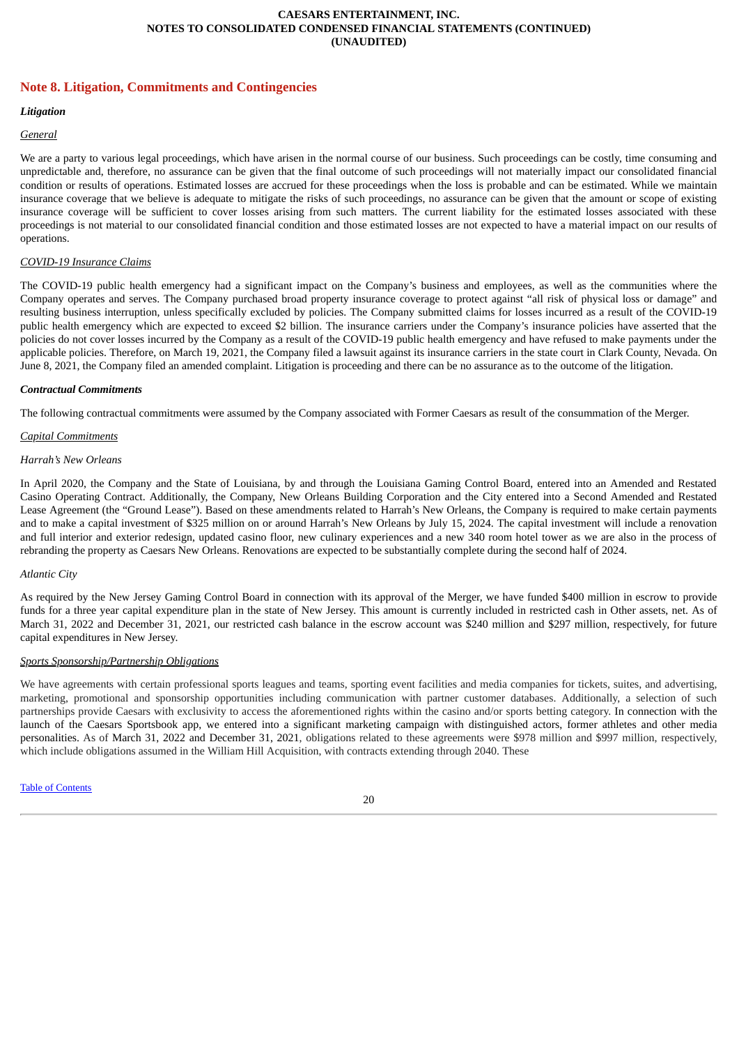## **Note 8. Litigation, Commitments and Contingencies**

#### *Litigation*

#### *General*

We are a party to various legal proceedings, which have arisen in the normal course of our business. Such proceedings can be costly, time consuming and unpredictable and, therefore, no assurance can be given that the final outcome of such proceedings will not materially impact our consolidated financial condition or results of operations. Estimated losses are accrued for these proceedings when the loss is probable and can be estimated. While we maintain insurance coverage that we believe is adequate to mitigate the risks of such proceedings, no assurance can be given that the amount or scope of existing insurance coverage will be sufficient to cover losses arising from such matters. The current liability for the estimated losses associated with these proceedings is not material to our consolidated financial condition and those estimated losses are not expected to have a material impact on our results of operations.

#### *COVID-19 Insurance Claims*

The COVID-19 public health emergency had a significant impact on the Company's business and employees, as well as the communities where the Company operates and serves. The Company purchased broad property insurance coverage to protect against "all risk of physical loss or damage" and resulting business interruption, unless specifically excluded by policies. The Company submitted claims for losses incurred as a result of the COVID-19 public health emergency which are expected to exceed \$2 billion. The insurance carriers under the Company's insurance policies have asserted that the policies do not cover losses incurred by the Company as a result of the COVID-19 public health emergency and have refused to make payments under the applicable policies. Therefore, on March 19, 2021, the Company filed a lawsuit against its insurance carriers in the state court in Clark County, Nevada. On June 8, 2021, the Company filed an amended complaint. Litigation is proceeding and there can be no assurance as to the outcome of the litigation.

#### *Contractual Commitments*

The following contractual commitments were assumed by the Company associated with Former Caesars as result of the consummation of the Merger.

#### *Capital Commitments*

#### *Harrah's New Orleans*

In April 2020, the Company and the State of Louisiana, by and through the Louisiana Gaming Control Board, entered into an Amended and Restated Casino Operating Contract. Additionally, the Company, New Orleans Building Corporation and the City entered into a Second Amended and Restated Lease Agreement (the "Ground Lease"). Based on these amendments related to Harrah's New Orleans, the Company is required to make certain payments and to make a capital investment of \$325 million on or around Harrah's New Orleans by July 15, 2024. The capital investment will include a renovation and full interior and exterior redesign, updated casino floor, new culinary experiences and a new 340 room hotel tower as we are also in the process of rebranding the property as Caesars New Orleans. Renovations are expected to be substantially complete during the second half of 2024.

#### *Atlantic City*

As required by the New Jersey Gaming Control Board in connection with its approval of the Merger, we have funded \$400 million in escrow to provide funds for a three year capital expenditure plan in the state of New Jersey. This amount is currently included in restricted cash in Other assets, net. As of March 31, 2022 and December 31, 2021, our restricted cash balance in the escrow account was \$240 million and \$297 million, respectively, for future capital expenditures in New Jersey.

#### *Sports Sponsorship/Partnership Obligations*

We have agreements with certain professional sports leagues and teams, sporting event facilities and media companies for tickets, suites, and advertising, marketing, promotional and sponsorship opportunities including communication with partner customer databases. Additionally, a selection of such partnerships provide Caesars with exclusivity to access the aforementioned rights within the casino and/or sports betting category. In connection with the launch of the Caesars Sportsbook app, we entered into a significant marketing campaign with distinguished actors, former athletes and other media personalities. As of March 31, 2022 and December 31, 2021, obligations related to these agreements were \$978 million and \$997 million, respectively, which include obligations assumed in the William Hill Acquisition, with contracts extending through 2040. These

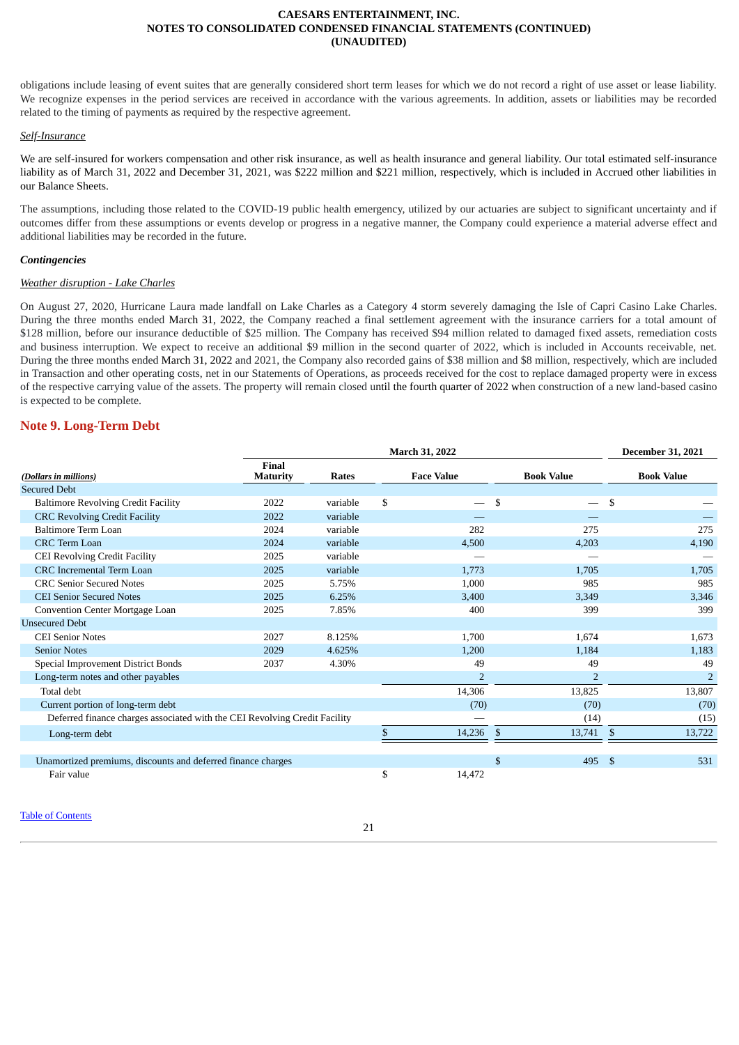obligations include leasing of event suites that are generally considered short term leases for which we do not record a right of use asset or lease liability. We recognize expenses in the period services are received in accordance with the various agreements. In addition, assets or liabilities may be recorded related to the timing of payments as required by the respective agreement.

### *Self-Insurance*

We are self-insured for workers compensation and other risk insurance, as well as health insurance and general liability. Our total estimated self-insurance liability as of March 31, 2022 and December 31, 2021, was \$222 million and \$221 million, respectively, which is included in Accrued other liabilities in our Balance Sheets.

The assumptions, including those related to the COVID-19 public health emergency, utilized by our actuaries are subject to significant uncertainty and if outcomes differ from these assumptions or events develop or progress in a negative manner, the Company could experience a material adverse effect and additional liabilities may be recorded in the future.

#### *Contingencies*

## *Weather disruption - Lake Charles*

On August 27, 2020, Hurricane Laura made landfall on Lake Charles as a Category 4 storm severely damaging the Isle of Capri Casino Lake Charles. During the three months ended March 31, 2022, the Company reached a final settlement agreement with the insurance carriers for a total amount of \$128 million, before our insurance deductible of \$25 million. The Company has received \$94 million related to damaged fixed assets, remediation costs and business interruption. We expect to receive an additional \$9 million in the second quarter of 2022, which is included in Accounts receivable, net. During the three months ended March 31, 2022 and 2021, the Company also recorded gains of \$38 million and \$8 million, respectively, which are included in Transaction and other operating costs, net in our Statements of Operations, as proceeds received for the cost to replace damaged property were in excess of the respective carrying value of the assets. The property will remain closed until the fourth quarter of 2022 when construction of a new land-based casino is expected to be complete.

## **Note 9. Long-Term Debt**

|                                                                            |                                 |          |     | March 31, 2022    |               |                   | <b>December 31, 2021</b> |
|----------------------------------------------------------------------------|---------------------------------|----------|-----|-------------------|---------------|-------------------|--------------------------|
| (Dollars in millions)                                                      | <b>Final</b><br><b>Maturity</b> | Rates    |     | <b>Face Value</b> |               | <b>Book Value</b> | <b>Book Value</b>        |
| <b>Secured Debt</b>                                                        |                                 |          |     |                   |               |                   |                          |
| <b>Baltimore Revolving Credit Facility</b>                                 | 2022                            | variable | \$  |                   | <sup>\$</sup> |                   | <sup>\$</sup>            |
| <b>CRC Revolving Credit Facility</b>                                       | 2022                            | variable |     |                   |               |                   |                          |
| Baltimore Term Loan                                                        | 2024                            | variable |     | 282               |               | 275               | 275                      |
| <b>CRC</b> Term Loan                                                       | 2024                            | variable |     | 4,500             |               | 4,203             | 4,190                    |
| <b>CEI Revolving Credit Facility</b>                                       | 2025                            | variable |     |                   |               |                   |                          |
| CRC Incremental Term Loan                                                  | 2025                            | variable |     | 1,773             |               | 1,705             | 1,705                    |
| <b>CRC Senior Secured Notes</b>                                            | 2025                            | 5.75%    |     | 1,000             |               | 985               | 985                      |
| <b>CEI Senior Secured Notes</b>                                            | 2025                            | 6.25%    |     | 3,400             |               | 3,349             | 3,346                    |
| Convention Center Mortgage Loan                                            | 2025                            | 7.85%    |     | 400               |               | 399               | 399                      |
| <b>Unsecured Debt</b>                                                      |                                 |          |     |                   |               |                   |                          |
| <b>CEI Senior Notes</b>                                                    | 2027                            | 8.125%   |     | 1,700             |               | 1,674             | 1,673                    |
| <b>Senior Notes</b>                                                        | 2029                            | 4.625%   |     | 1,200             |               | 1,184             | 1,183                    |
| Special Improvement District Bonds                                         | 2037                            | 4.30%    |     | 49                |               | 49                | 49                       |
| Long-term notes and other payables                                         |                                 |          |     | $\overline{2}$    |               | $\overline{2}$    | $\overline{2}$           |
| Total debt                                                                 |                                 |          |     | 14,306            |               | 13,825            | 13,807                   |
| Current portion of long-term debt                                          |                                 |          |     | (70)              |               | (70)              | (70)                     |
| Deferred finance charges associated with the CEI Revolving Credit Facility |                                 |          |     |                   |               | (14)              | (15)                     |
| Long-term debt                                                             |                                 |          | \$. | 14,236            | \$            | 13,741            | \$<br>13,722             |
| Unamortized premiums, discounts and deferred finance charges               |                                 |          |     |                   | \$            | 495               | -\$<br>531               |
| Fair value                                                                 |                                 |          | \$  | 14,472            |               |                   |                          |

[Table of Contents](#page-0-0)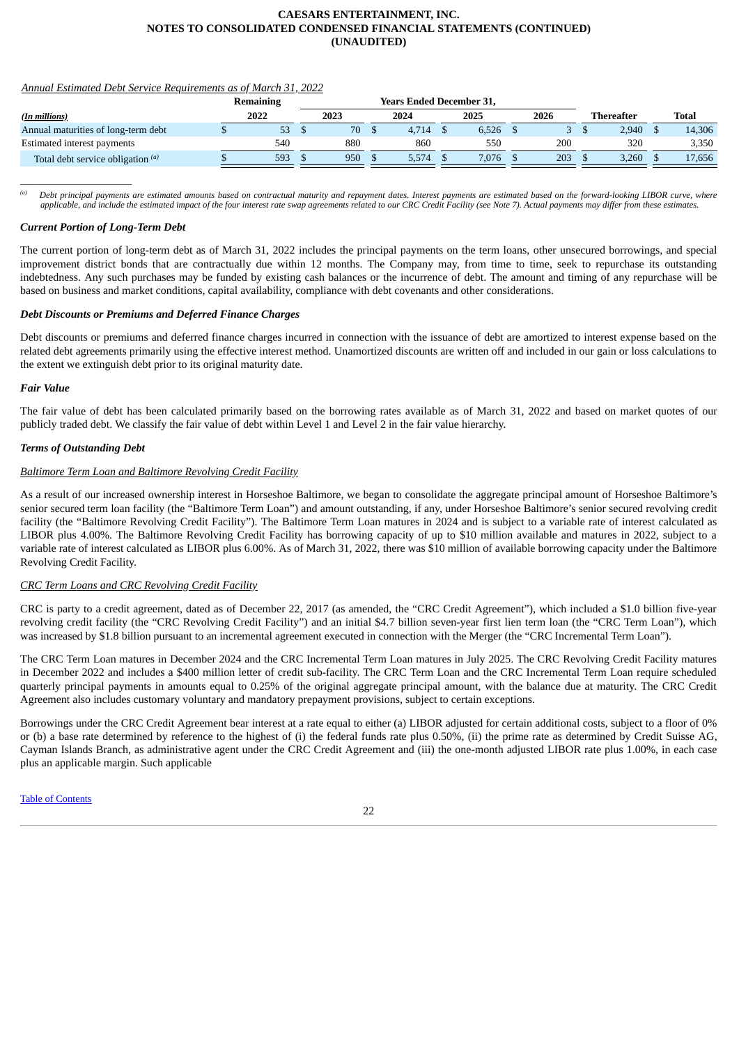#### *Annual Estimated Debt Service Requirements as of March 31, 2022*

|                                     | Remaining | <b>Years Ended December 31,</b> |  |       |  |       |  |      |  |            |              |
|-------------------------------------|-----------|---------------------------------|--|-------|--|-------|--|------|--|------------|--------------|
| (In millions)                       | 2022      | 2023                            |  | 2024  |  | 2025  |  | 2026 |  | Thereafter | <b>Total</b> |
| Annual maturities of long-term debt | 53        | 70                              |  | 4.714 |  | 6,526 |  |      |  | 2,940      | 14,306       |
| Estimated interest payments         | 540       | 880                             |  | 860   |  | 550   |  | 200  |  | 320        | 3,350        |
| Total debt service obligation (a)   | 593       | 950                             |  | 5,574 |  | 7,076 |  | 203  |  | 3.260      | 17,656       |

Debt principal payments are estimated amounts based on contractual maturity and repayment dates. Interest payments are estimated based on the forward-looking LIBOR curve, where applicable, and include the estimated impact of the four interest rate swap agreements related to our CRC Credit Facility (see Note 7). Actual payments may differ from these estimates. *(a)*

#### *Current Portion of Long-Term Debt*

 $\_$ 

The current portion of long-term debt as of March 31, 2022 includes the principal payments on the term loans, other unsecured borrowings, and special improvement district bonds that are contractually due within 12 months. The Company may, from time to time, seek to repurchase its outstanding indebtedness. Any such purchases may be funded by existing cash balances or the incurrence of debt. The amount and timing of any repurchase will be based on business and market conditions, capital availability, compliance with debt covenants and other considerations.

#### *Debt Discounts or Premiums and Deferred Finance Charges*

Debt discounts or premiums and deferred finance charges incurred in connection with the issuance of debt are amortized to interest expense based on the related debt agreements primarily using the effective interest method. Unamortized discounts are written off and included in our gain or loss calculations to the extent we extinguish debt prior to its original maturity date.

#### *Fair Value*

The fair value of debt has been calculated primarily based on the borrowing rates available as of March 31, 2022 and based on market quotes of our publicly traded debt. We classify the fair value of debt within Level 1 and Level 2 in the fair value hierarchy.

#### *Terms of Outstanding Debt*

## *Baltimore Term Loan and Baltimore Revolving Credit Facility*

As a result of our increased ownership interest in Horseshoe Baltimore, we began to consolidate the aggregate principal amount of Horseshoe Baltimore's senior secured term loan facility (the "Baltimore Term Loan") and amount outstanding, if any, under Horseshoe Baltimore's senior secured revolving credit facility (the "Baltimore Revolving Credit Facility"). The Baltimore Term Loan matures in 2024 and is subject to a variable rate of interest calculated as LIBOR plus 4.00%. The Baltimore Revolving Credit Facility has borrowing capacity of up to \$10 million available and matures in 2022, subject to a variable rate of interest calculated as LIBOR plus 6.00%. As of March 31, 2022, there was \$10 million of available borrowing capacity under the Baltimore Revolving Credit Facility.

## *CRC Term Loans and CRC Revolving Credit Facility*

CRC is party to a credit agreement, dated as of December 22, 2017 (as amended, the "CRC Credit Agreement"), which included a \$1.0 billion five-year revolving credit facility (the "CRC Revolving Credit Facility") and an initial \$4.7 billion seven-year first lien term loan (the "CRC Term Loan"), which was increased by \$1.8 billion pursuant to an incremental agreement executed in connection with the Merger (the "CRC Incremental Term Loan").

The CRC Term Loan matures in December 2024 and the CRC Incremental Term Loan matures in July 2025. The CRC Revolving Credit Facility matures in December 2022 and includes a \$400 million letter of credit sub-facility. The CRC Term Loan and the CRC Incremental Term Loan require scheduled quarterly principal payments in amounts equal to 0.25% of the original aggregate principal amount, with the balance due at maturity. The CRC Credit Agreement also includes customary voluntary and mandatory prepayment provisions, subject to certain exceptions.

Borrowings under the CRC Credit Agreement bear interest at a rate equal to either (a) LIBOR adjusted for certain additional costs, subject to a floor of 0% or (b) a base rate determined by reference to the highest of (i) the federal funds rate plus 0.50%, (ii) the prime rate as determined by Credit Suisse AG, Cayman Islands Branch, as administrative agent under the CRC Credit Agreement and (iii) the one-month adjusted LIBOR rate plus 1.00%, in each case plus an applicable margin. Such applicable

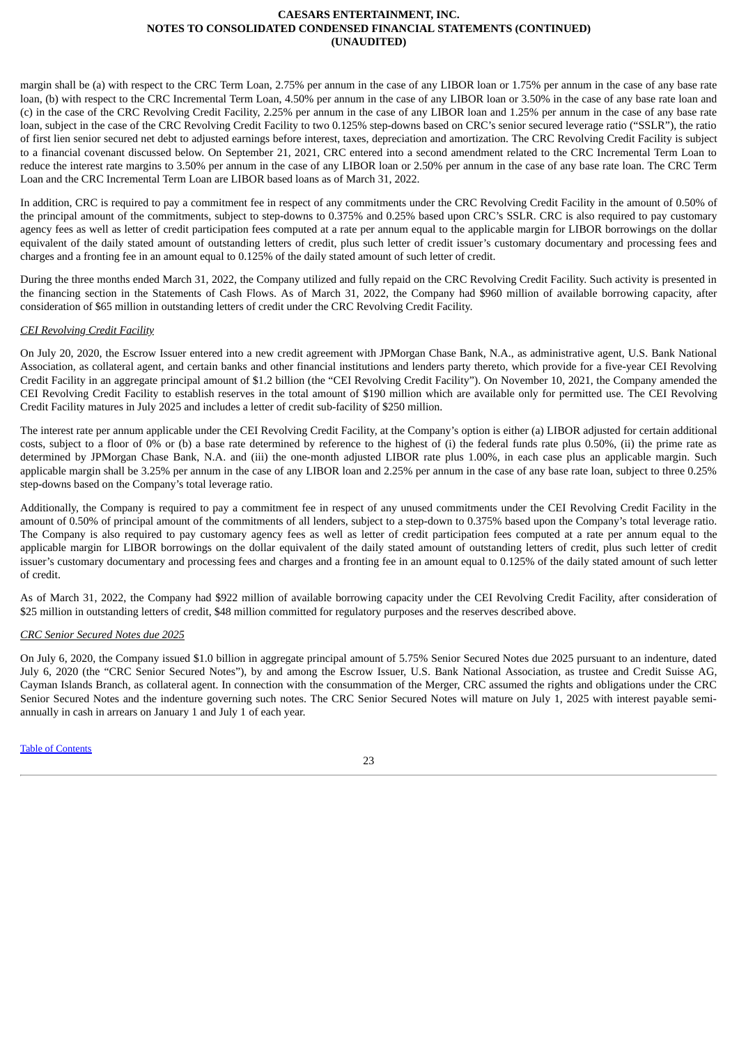margin shall be (a) with respect to the CRC Term Loan, 2.75% per annum in the case of any LIBOR loan or 1.75% per annum in the case of any base rate loan, (b) with respect to the CRC Incremental Term Loan, 4.50% per annum in the case of any LIBOR loan or 3.50% in the case of any base rate loan and (c) in the case of the CRC Revolving Credit Facility, 2.25% per annum in the case of any LIBOR loan and 1.25% per annum in the case of any base rate loan, subject in the case of the CRC Revolving Credit Facility to two 0.125% step-downs based on CRC's senior secured leverage ratio ("SSLR"), the ratio of first lien senior secured net debt to adjusted earnings before interest, taxes, depreciation and amortization. The CRC Revolving Credit Facility is subject to a financial covenant discussed below. On September 21, 2021, CRC entered into a second amendment related to the CRC Incremental Term Loan to reduce the interest rate margins to 3.50% per annum in the case of any LIBOR loan or 2.50% per annum in the case of any base rate loan. The CRC Term Loan and the CRC Incremental Term Loan are LIBOR based loans as of March 31, 2022.

In addition, CRC is required to pay a commitment fee in respect of any commitments under the CRC Revolving Credit Facility in the amount of 0.50% of the principal amount of the commitments, subject to step-downs to 0.375% and 0.25% based upon CRC's SSLR. CRC is also required to pay customary agency fees as well as letter of credit participation fees computed at a rate per annum equal to the applicable margin for LIBOR borrowings on the dollar equivalent of the daily stated amount of outstanding letters of credit, plus such letter of credit issuer's customary documentary and processing fees and charges and a fronting fee in an amount equal to 0.125% of the daily stated amount of such letter of credit.

During the three months ended March 31, 2022, the Company utilized and fully repaid on the CRC Revolving Credit Facility. Such activity is presented in the financing section in the Statements of Cash Flows. As of March 31, 2022, the Company had \$960 million of available borrowing capacity, after consideration of \$65 million in outstanding letters of credit under the CRC Revolving Credit Facility.

## *CEI Revolving Credit Facility*

On July 20, 2020, the Escrow Issuer entered into a new credit agreement with JPMorgan Chase Bank, N.A., as administrative agent, U.S. Bank National Association, as collateral agent, and certain banks and other financial institutions and lenders party thereto, which provide for a five-year CEI Revolving Credit Facility in an aggregate principal amount of \$1.2 billion (the "CEI Revolving Credit Facility"). On November 10, 2021, the Company amended the CEI Revolving Credit Facility to establish reserves in the total amount of \$190 million which are available only for permitted use. The CEI Revolving Credit Facility matures in July 2025 and includes a letter of credit sub-facility of \$250 million.

The interest rate per annum applicable under the CEI Revolving Credit Facility, at the Company's option is either (a) LIBOR adjusted for certain additional costs, subject to a floor of 0% or (b) a base rate determined by reference to the highest of (i) the federal funds rate plus 0.50%, (ii) the prime rate as determined by JPMorgan Chase Bank, N.A. and (iii) the one-month adjusted LIBOR rate plus 1.00%, in each case plus an applicable margin. Such applicable margin shall be 3.25% per annum in the case of any LIBOR loan and 2.25% per annum in the case of any base rate loan, subject to three 0.25% step-downs based on the Company's total leverage ratio.

Additionally, the Company is required to pay a commitment fee in respect of any unused commitments under the CEI Revolving Credit Facility in the amount of 0.50% of principal amount of the commitments of all lenders, subject to a step-down to 0.375% based upon the Company's total leverage ratio. The Company is also required to pay customary agency fees as well as letter of credit participation fees computed at a rate per annum equal to the applicable margin for LIBOR borrowings on the dollar equivalent of the daily stated amount of outstanding letters of credit, plus such letter of credit issuer's customary documentary and processing fees and charges and a fronting fee in an amount equal to 0.125% of the daily stated amount of such letter of credit.

As of March 31, 2022, the Company had \$922 million of available borrowing capacity under the CEI Revolving Credit Facility, after consideration of \$25 million in outstanding letters of credit, \$48 million committed for regulatory purposes and the reserves described above.

## *CRC Senior Secured Notes due 2025*

On July 6, 2020, the Company issued \$1.0 billion in aggregate principal amount of 5.75% Senior Secured Notes due 2025 pursuant to an indenture, dated July 6, 2020 (the "CRC Senior Secured Notes"), by and among the Escrow Issuer, U.S. Bank National Association, as trustee and Credit Suisse AG, Cayman Islands Branch, as collateral agent. In connection with the consummation of the Merger, CRC assumed the rights and obligations under the CRC Senior Secured Notes and the indenture governing such notes. The CRC Senior Secured Notes will mature on July 1, 2025 with interest payable semiannually in cash in arrears on January 1 and July 1 of each year.

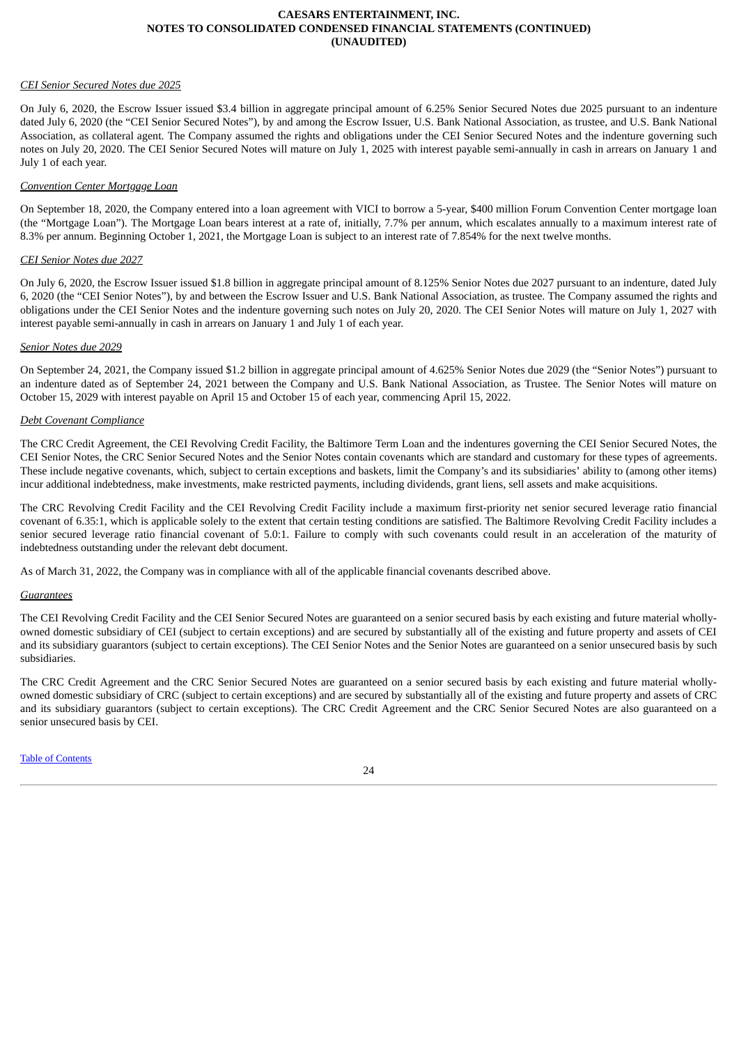#### *CEI Senior Secured Notes due 2025*

On July 6, 2020, the Escrow Issuer issued \$3.4 billion in aggregate principal amount of 6.25% Senior Secured Notes due 2025 pursuant to an indenture dated July 6, 2020 (the "CEI Senior Secured Notes"), by and among the Escrow Issuer, U.S. Bank National Association, as trustee, and U.S. Bank National Association, as collateral agent. The Company assumed the rights and obligations under the CEI Senior Secured Notes and the indenture governing such notes on July 20, 2020. The CEI Senior Secured Notes will mature on July 1, 2025 with interest payable semi-annually in cash in arrears on January 1 and July 1 of each year.

#### *Convention Center Mortgage Loan*

On September 18, 2020, the Company entered into a loan agreement with VICI to borrow a 5-year, \$400 million Forum Convention Center mortgage loan (the "Mortgage Loan"). The Mortgage Loan bears interest at a rate of, initially, 7.7% per annum, which escalates annually to a maximum interest rate of 8.3% per annum. Beginning October 1, 2021, the Mortgage Loan is subject to an interest rate of 7.854% for the next twelve months.

#### *CEI Senior Notes due 2027*

On July 6, 2020, the Escrow Issuer issued \$1.8 billion in aggregate principal amount of 8.125% Senior Notes due 2027 pursuant to an indenture, dated July 6, 2020 (the "CEI Senior Notes"), by and between the Escrow Issuer and U.S. Bank National Association, as trustee. The Company assumed the rights and obligations under the CEI Senior Notes and the indenture governing such notes on July 20, 2020. The CEI Senior Notes will mature on July 1, 2027 with interest payable semi-annually in cash in arrears on January 1 and July 1 of each year.

#### *Senior Notes due 2029*

On September 24, 2021, the Company issued \$1.2 billion in aggregate principal amount of 4.625% Senior Notes due 2029 (the "Senior Notes") pursuant to an indenture dated as of September 24, 2021 between the Company and U.S. Bank National Association, as Trustee. The Senior Notes will mature on October 15, 2029 with interest payable on April 15 and October 15 of each year, commencing April 15, 2022.

#### *Debt Covenant Compliance*

The CRC Credit Agreement, the CEI Revolving Credit Facility, the Baltimore Term Loan and the indentures governing the CEI Senior Secured Notes, the CEI Senior Notes, the CRC Senior Secured Notes and the Senior Notes contain covenants which are standard and customary for these types of agreements. These include negative covenants, which, subject to certain exceptions and baskets, limit the Company's and its subsidiaries' ability to (among other items) incur additional indebtedness, make investments, make restricted payments, including dividends, grant liens, sell assets and make acquisitions.

The CRC Revolving Credit Facility and the CEI Revolving Credit Facility include a maximum first-priority net senior secured leverage ratio financial covenant of 6.35:1, which is applicable solely to the extent that certain testing conditions are satisfied. The Baltimore Revolving Credit Facility includes a senior secured leverage ratio financial covenant of 5.0:1. Failure to comply with such covenants could result in an acceleration of the maturity of indebtedness outstanding under the relevant debt document.

As of March 31, 2022, the Company was in compliance with all of the applicable financial covenants described above.

#### *Guarantees*

The CEI Revolving Credit Facility and the CEI Senior Secured Notes are guaranteed on a senior secured basis by each existing and future material whollyowned domestic subsidiary of CEI (subject to certain exceptions) and are secured by substantially all of the existing and future property and assets of CEI and its subsidiary guarantors (subject to certain exceptions). The CEI Senior Notes and the Senior Notes are guaranteed on a senior unsecured basis by such subsidiaries.

The CRC Credit Agreement and the CRC Senior Secured Notes are guaranteed on a senior secured basis by each existing and future material whollyowned domestic subsidiary of CRC (subject to certain exceptions) and are secured by substantially all of the existing and future property and assets of CRC and its subsidiary guarantors (subject to certain exceptions). The CRC Credit Agreement and the CRC Senior Secured Notes are also guaranteed on a senior unsecured basis by CEI.

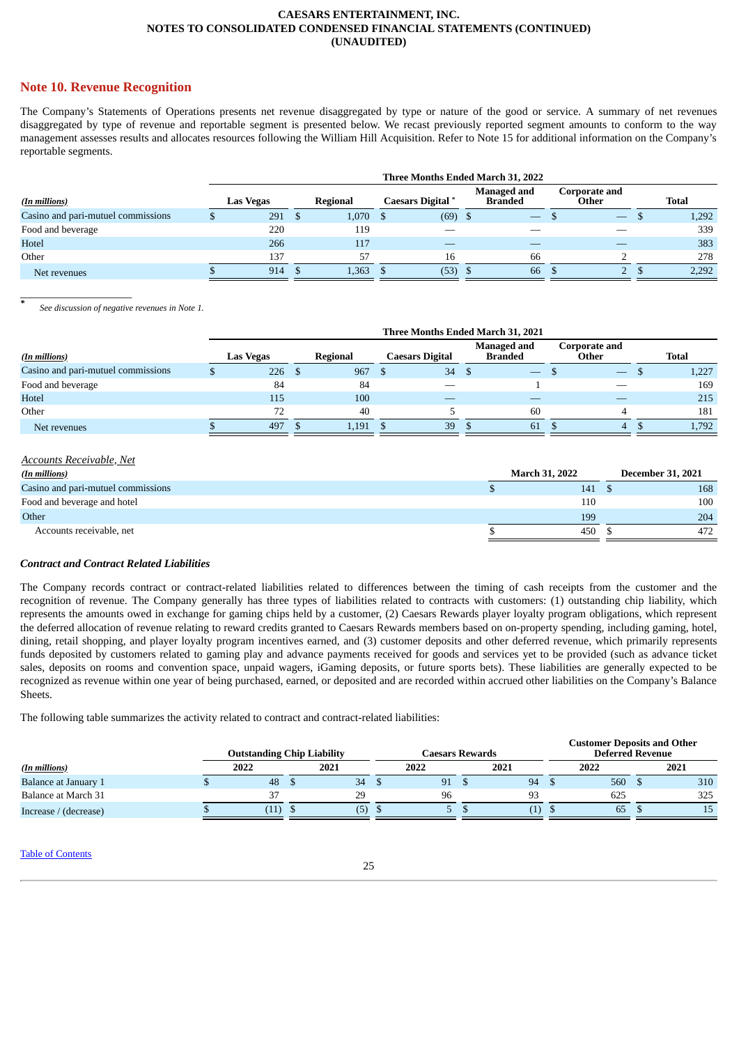## **Note 10. Revenue Recognition**

The Company's Statements of Operations presents net revenue disaggregated by type or nature of the good or service. A summary of net revenues disaggregated by type of revenue and reportable segment is presented below. We recast previously reported segment amounts to conform to the way management assesses results and allocates resources following the William Hill Acquisition. Refer to Note 15 for additional information on the Company's reportable segments.

|                                    | Three Months Ended March 31, 2022 |      |          |  |                 |  |                                      |  |                               |  |              |
|------------------------------------|-----------------------------------|------|----------|--|-----------------|--|--------------------------------------|--|-------------------------------|--|--------------|
| (In millions)                      | <b>Las Vegas</b>                  |      | Regional |  | Caesars Digital |  | <b>Managed and</b><br><b>Branded</b> |  | <b>Corporate and</b><br>Other |  | <b>Total</b> |
| Casino and pari-mutuel commissions | 291                               | - \$ | 1,070    |  | $(69)$ \$       |  | $\hspace{0.1mm}-\hspace{0.1mm}$      |  | $\overline{\phantom{m}}$      |  | 1,292        |
| Food and beverage                  | 220                               |      | 119      |  | __              |  | __                                   |  |                               |  | 339          |
| Hotel                              | 266                               |      | 117      |  |                 |  |                                      |  |                               |  | 383          |
| Other                              | 137                               |      | 57       |  | 16              |  | 66                                   |  |                               |  | 278          |
| Net revenues                       | 914                               |      | L,363    |  | (53)            |  | 66                                   |  |                               |  | 2,292        |

*See discussion of negative revenues in Note 1.*

|                                    | Three Months Ended March 31, 2021 |  |          |  |                        |  |                               |  |                        |  |              |
|------------------------------------|-----------------------------------|--|----------|--|------------------------|--|-------------------------------|--|------------------------|--|--------------|
| (In millions)                      | <b>Las Vegas</b>                  |  | Regional |  | <b>Caesars Digital</b> |  | <b>Managed and</b><br>Branded |  | Corporate and<br>Other |  | <b>Total</b> |
| Casino and pari-mutuel commissions | 226S                              |  | 967      |  | 34                     |  |                               |  |                        |  | 1,227        |
| Food and beverage                  | 84                                |  | 84       |  |                        |  |                               |  | __                     |  | 169          |
| Hotel                              | 115                               |  | 100      |  |                        |  |                               |  |                        |  | 215          |
| Other                              |                                   |  | 40       |  |                        |  | 60                            |  |                        |  | 181          |
| Net revenues                       | 497                               |  | 1,191    |  | 39                     |  | 61                            |  | 4                      |  | 1,792        |

## *Accounts Receivable, Net*

 $\_$ 

*\**

| (In millions)                      | <b>March 31, 2022</b> | <b>December 31, 2021</b> |
|------------------------------------|-----------------------|--------------------------|
| Casino and pari-mutuel commissions | 141                   | 168                      |
| Food and beverage and hotel        | 110                   | 100                      |
| Other                              | 199                   | 204                      |
| Accounts receivable, net           | 450                   | 472                      |

## *Contract and Contract Related Liabilities*

The Company records contract or contract-related liabilities related to differences between the timing of cash receipts from the customer and the recognition of revenue. The Company generally has three types of liabilities related to contracts with customers: (1) outstanding chip liability, which represents the amounts owed in exchange for gaming chips held by a customer, (2) Caesars Rewards player loyalty program obligations, which represent the deferred allocation of revenue relating to reward credits granted to Caesars Rewards members based on on-property spending, including gaming, hotel, dining, retail shopping, and player loyalty program incentives earned, and (3) customer deposits and other deferred revenue, which primarily represents funds deposited by customers related to gaming play and advance payments received for goods and services yet to be provided (such as advance ticket sales, deposits on rooms and convention space, unpaid wagers, iGaming deposits, or future sports bets). These liabilities are generally expected to be recognized as revenue within one year of being purchased, earned, or deposited and are recorded within accrued other liabilities on the Company's Balance **Sheets** 

The following table summarizes the activity related to contract and contract-related liabilities:

| 2022 | 2021       |                                   | 2022 | 2021 |                 | 2022 | 2021                                                   |
|------|------------|-----------------------------------|------|------|-----------------|------|--------------------------------------------------------|
|      | 34         |                                   | 91   | 94   |                 | 560  | 310                                                    |
|      | 29         |                                   | 96   | 93   |                 | 625  | 325                                                    |
|      | (5)        |                                   |      |      |                 | 65   | 15                                                     |
|      | 48<br>(11) | <b>Outstanding Chip Liability</b> |      |      | Caesars Rewards |      | <b>Customer Deposits and Other</b><br>Deferred Revenue |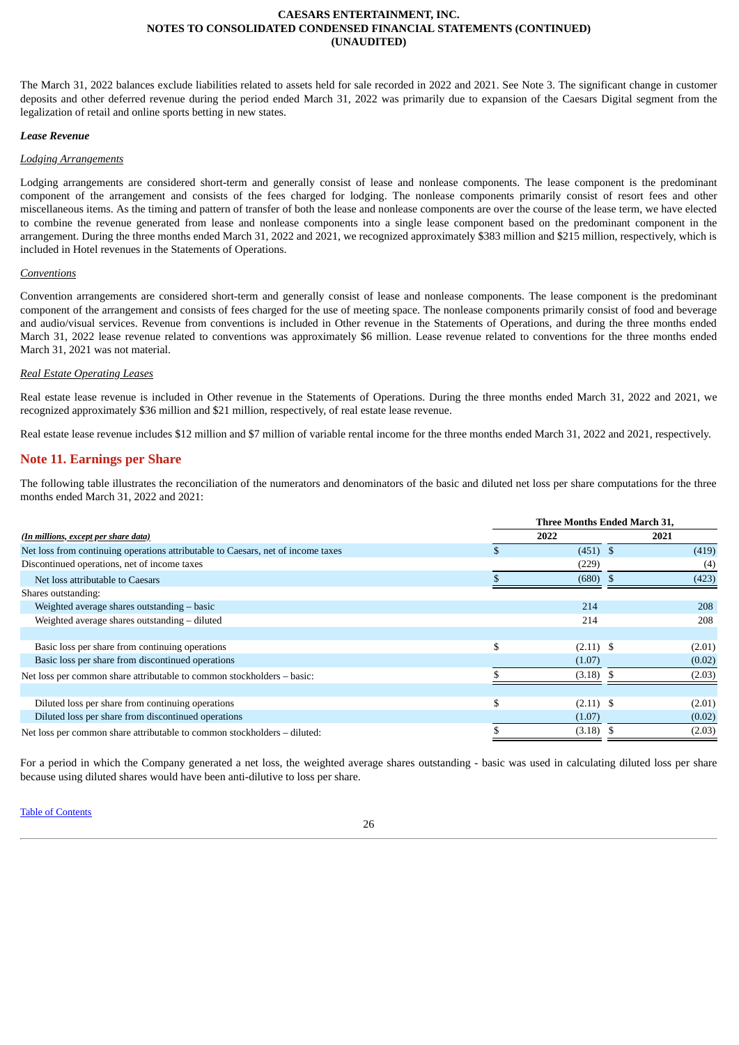The March 31, 2022 balances exclude liabilities related to assets held for sale recorded in 2022 and 2021. See Note 3. The significant change in customer deposits and other deferred revenue during the period ended March 31, 2022 was primarily due to expansion of the Caesars Digital segment from the legalization of retail and online sports betting in new states.

#### *Lease Revenue*

#### *Lodging Arrangements*

Lodging arrangements are considered short-term and generally consist of lease and nonlease components. The lease component is the predominant component of the arrangement and consists of the fees charged for lodging. The nonlease components primarily consist of resort fees and other miscellaneous items. As the timing and pattern of transfer of both the lease and nonlease components are over the course of the lease term, we have elected to combine the revenue generated from lease and nonlease components into a single lease component based on the predominant component in the arrangement. During the three months ended March 31, 2022 and 2021, we recognized approximately \$383 million and \$215 million, respectively, which is included in Hotel revenues in the Statements of Operations.

#### *Conventions*

Convention arrangements are considered short-term and generally consist of lease and nonlease components. The lease component is the predominant component of the arrangement and consists of fees charged for the use of meeting space. The nonlease components primarily consist of food and beverage and audio/visual services. Revenue from conventions is included in Other revenue in the Statements of Operations, and during the three months ended March 31, 2022 lease revenue related to conventions was approximately \$6 million. Lease revenue related to conventions for the three months ended March 31, 2021 was not material.

## *Real Estate Operating Leases*

Real estate lease revenue is included in Other revenue in the Statements of Operations. During the three months ended March 31, 2022 and 2021, we recognized approximately \$36 million and \$21 million, respectively, of real estate lease revenue.

Real estate lease revenue includes \$12 million and \$7 million of variable rental income for the three months ended March 31, 2022 and 2021, respectively.

## **Note 11. Earnings per Share**

The following table illustrates the reconciliation of the numerators and denominators of the basic and diluted net loss per share computations for the three months ended March 31, 2022 and 2021:

|                                                                                  | Three Months Ended March 31, |        |
|----------------------------------------------------------------------------------|------------------------------|--------|
| (In millions, except per share data)                                             | 2022                         | 2021   |
| Net loss from continuing operations attributable to Caesars, net of income taxes | $(451)$ \$                   | (419)  |
| Discontinued operations, net of income taxes                                     | (229)                        | (4)    |
| Net loss attributable to Caesars                                                 | $(680)$ \$                   | (423)  |
| Shares outstanding:                                                              |                              |        |
| Weighted average shares outstanding $-$ basic                                    | 214                          | 208    |
| Weighted average shares outstanding - diluted                                    | 214                          | 208    |
|                                                                                  |                              |        |
| Basic loss per share from continuing operations                                  | $(2.11)$ \$                  | (2.01) |
| Basic loss per share from discontinued operations                                | (1.07)                       | (0.02) |
| Net loss per common share attributable to common stockholders - basic:           | $(3.18)$ \$                  | (2.03) |
|                                                                                  |                              |        |
| Diluted loss per share from continuing operations                                | $(2.11)$ \$                  | (2.01) |
| Diluted loss per share from discontinued operations                              | (1.07)                       | (0.02) |
| Net loss per common share attributable to common stockholders - diluted:         | (3.18)<br>- 55               | (2.03) |
|                                                                                  |                              |        |

For a period in which the Company generated a net loss, the weighted average shares outstanding - basic was used in calculating diluted loss per share because using diluted shares would have been anti-dilutive to loss per share.

[Table of Contents](#page-0-0)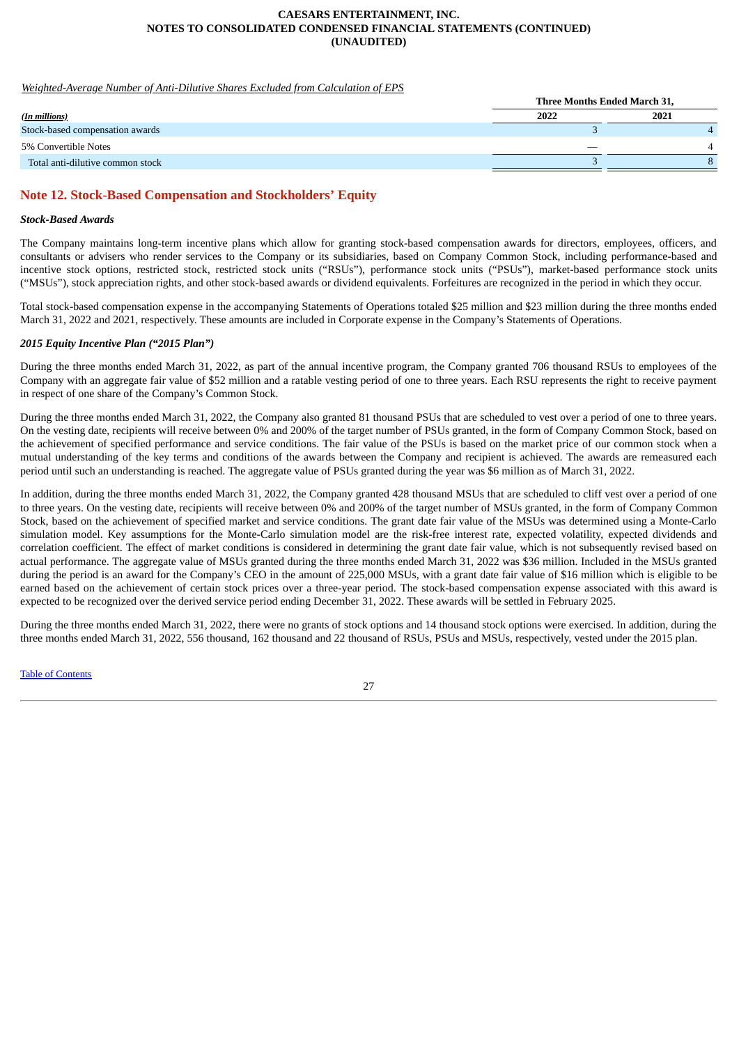*Weighted-Average Number of Anti-Dilutive Shares Excluded from Calculation of EPS*

|                                  | Three Months Ended March 31, |      |
|----------------------------------|------------------------------|------|
| (In millions)                    | 2022                         | 2021 |
| Stock-based compensation awards  |                              |      |
| 5% Convertible Notes             |                              |      |
| Total anti-dilutive common stock |                              | 8.   |

# **Note 12. Stock-Based Compensation and Stockholders' Equity**

#### *Stock-Based Awards*

The Company maintains long-term incentive plans which allow for granting stock-based compensation awards for directors, employees, officers, and consultants or advisers who render services to the Company or its subsidiaries, based on Company Common Stock, including performance-based and incentive stock options, restricted stock, restricted stock units ("RSUs"), performance stock units ("PSUs"), market-based performance stock units ("MSUs"), stock appreciation rights, and other stock-based awards or dividend equivalents. Forfeitures are recognized in the period in which they occur.

Total stock-based compensation expense in the accompanying Statements of Operations totaled \$25 million and \$23 million during the three months ended March 31, 2022 and 2021, respectively. These amounts are included in Corporate expense in the Company's Statements of Operations.

## *2015 Equity Incentive Plan ("2015 Plan")*

During the three months ended March 31, 2022, as part of the annual incentive program, the Company granted 706 thousand RSUs to employees of the Company with an aggregate fair value of \$52 million and a ratable vesting period of one to three years. Each RSU represents the right to receive payment in respect of one share of the Company's Common Stock.

During the three months ended March 31, 2022, the Company also granted 81 thousand PSUs that are scheduled to vest over a period of one to three years. On the vesting date, recipients will receive between 0% and 200% of the target number of PSUs granted, in the form of Company Common Stock, based on the achievement of specified performance and service conditions. The fair value of the PSUs is based on the market price of our common stock when a mutual understanding of the key terms and conditions of the awards between the Company and recipient is achieved. The awards are remeasured each period until such an understanding is reached. The aggregate value of PSUs granted during the year was \$6 million as of March 31, 2022.

In addition, during the three months ended March 31, 2022, the Company granted 428 thousand MSUs that are scheduled to cliff vest over a period of one to three years. On the vesting date, recipients will receive between 0% and 200% of the target number of MSUs granted, in the form of Company Common Stock, based on the achievement of specified market and service conditions. The grant date fair value of the MSUs was determined using a Monte-Carlo simulation model. Key assumptions for the Monte-Carlo simulation model are the risk-free interest rate, expected volatility, expected dividends and correlation coefficient. The effect of market conditions is considered in determining the grant date fair value, which is not subsequently revised based on actual performance. The aggregate value of MSUs granted during the three months ended March 31, 2022 was \$36 million. Included in the MSUs granted during the period is an award for the Company's CEO in the amount of 225,000 MSUs, with a grant date fair value of \$16 million which is eligible to be earned based on the achievement of certain stock prices over a three-year period. The stock-based compensation expense associated with this award is expected to be recognized over the derived service period ending December 31, 2022. These awards will be settled in February 2025.

During the three months ended March 31, 2022, there were no grants of stock options and 14 thousand stock options were exercised. In addition, during the three months ended March 31, 2022, 556 thousand, 162 thousand and 22 thousand of RSUs, PSUs and MSUs, respectively, vested under the 2015 plan.

[Table of Contents](#page-0-0)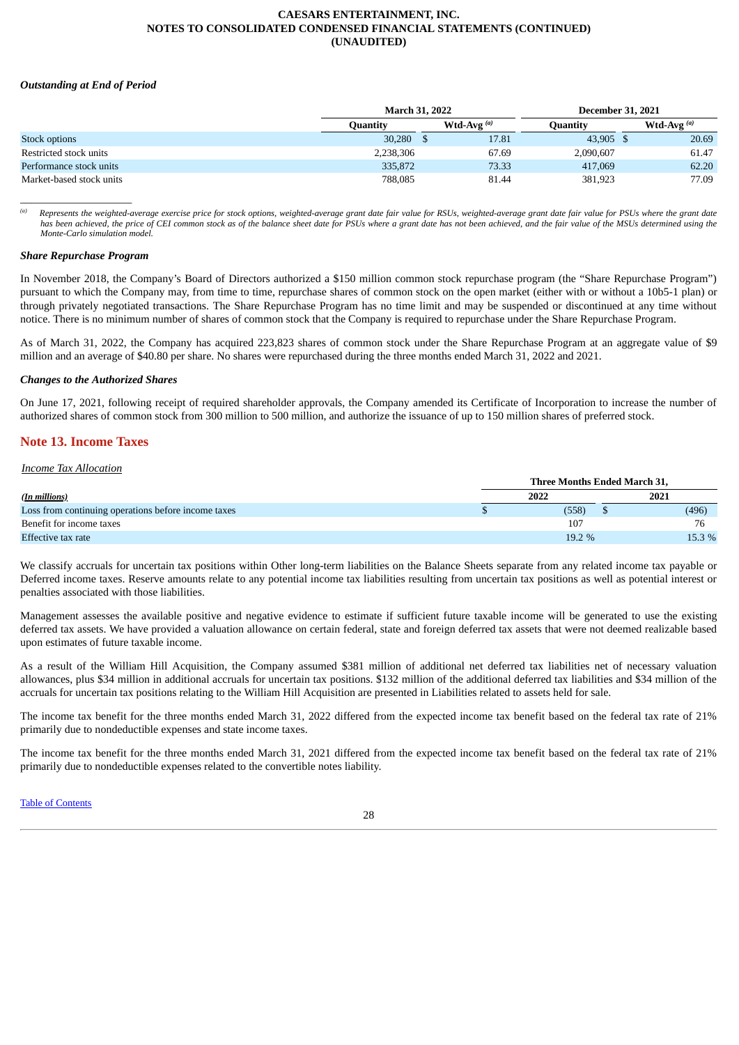#### *Outstanding at End of Period*

|                          | <b>March 31, 2022</b> |  | <b>December 31, 2021</b> |                 |  |               |
|--------------------------|-----------------------|--|--------------------------|-----------------|--|---------------|
|                          | Ouantitv              |  | Wtd-Avg $^{(a)}$         | <b>Ouantity</b> |  | Wtd-Avg $(a)$ |
| Stock options            | 30,280                |  | 17.81                    | 43,905          |  | 20.69         |
| Restricted stock units   | 2,238,306             |  | 67.69                    | 2,090,607       |  | 61.47         |
| Performance stock units  | 335,872               |  | 73.33                    | 417,069         |  | 62.20         |
| Market-based stock units | 788,085               |  | 81.44                    | 381,923         |  | 77.09         |

Represents the weighted-average exercise price for stock options, weighted-average grant date fair value for RSUs, weighted-average grant date fair value for PSUs where the arant date has been achieved, the price of CEI common stock as of the balance sheet date for PSUs where a grant date has not been achieved, and the fair value of the MSUs determined using the *Monte-Carlo simulation model. (a)*

#### *Share Repurchase Program*

 $\_$ 

In November 2018, the Company's Board of Directors authorized a \$150 million common stock repurchase program (the "Share Repurchase Program") pursuant to which the Company may, from time to time, repurchase shares of common stock on the open market (either with or without a 10b5-1 plan) or through privately negotiated transactions. The Share Repurchase Program has no time limit and may be suspended or discontinued at any time without notice. There is no minimum number of shares of common stock that the Company is required to repurchase under the Share Repurchase Program.

As of March 31, 2022, the Company has acquired 223,823 shares of common stock under the Share Repurchase Program at an aggregate value of \$9 million and an average of \$40.80 per share. No shares were repurchased during the three months ended March 31, 2022 and 2021.

#### *Changes to the Authorized Shares*

On June 17, 2021, following receipt of required shareholder approvals, the Company amended its Certificate of Incorporation to increase the number of authorized shares of common stock from 300 million to 500 million, and authorize the issuance of up to 150 million shares of preferred stock.

## **Note 13. Income Taxes**

#### *Income Tax Allocation*

|                                                     | <b>Three Months Ended March 31.</b> |        |  |  |  |  |  |  |  |
|-----------------------------------------------------|-------------------------------------|--------|--|--|--|--|--|--|--|
| (In millions)                                       | 2022                                | 2021   |  |  |  |  |  |  |  |
| Loss from continuing operations before income taxes | (558)                               | (496)  |  |  |  |  |  |  |  |
| Benefit for income taxes                            | 107                                 | 76     |  |  |  |  |  |  |  |
| Effective tax rate                                  | 19.2 %                              | 15.3 % |  |  |  |  |  |  |  |

We classify accruals for uncertain tax positions within Other long-term liabilities on the Balance Sheets separate from any related income tax payable or Deferred income taxes. Reserve amounts relate to any potential income tax liabilities resulting from uncertain tax positions as well as potential interest or penalties associated with those liabilities.

Management assesses the available positive and negative evidence to estimate if sufficient future taxable income will be generated to use the existing deferred tax assets. We have provided a valuation allowance on certain federal, state and foreign deferred tax assets that were not deemed realizable based upon estimates of future taxable income.

As a result of the William Hill Acquisition, the Company assumed \$381 million of additional net deferred tax liabilities net of necessary valuation allowances, plus \$34 million in additional accruals for uncertain tax positions. \$132 million of the additional deferred tax liabilities and \$34 million of the accruals for uncertain tax positions relating to the William Hill Acquisition are presented in Liabilities related to assets held for sale.

The income tax benefit for the three months ended March 31, 2022 differed from the expected income tax benefit based on the federal tax rate of 21% primarily due to nondeductible expenses and state income taxes.

The income tax benefit for the three months ended March 31, 2021 differed from the expected income tax benefit based on the federal tax rate of 21% primarily due to nondeductible expenses related to the convertible notes liability.

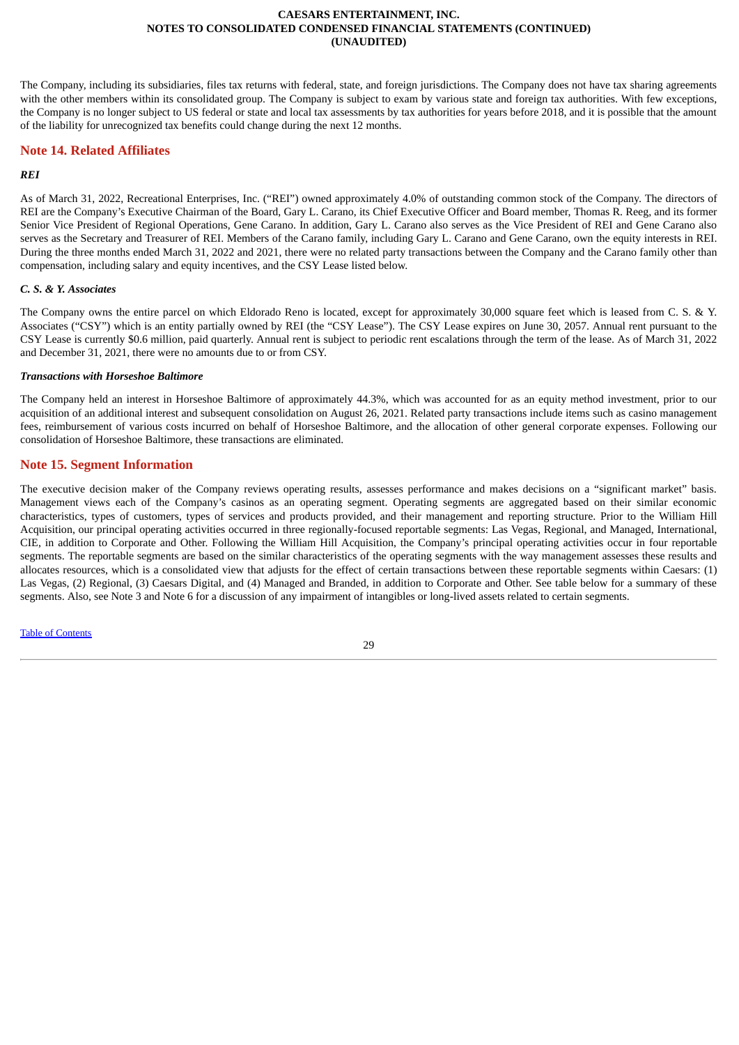The Company, including its subsidiaries, files tax returns with federal, state, and foreign jurisdictions. The Company does not have tax sharing agreements with the other members within its consolidated group. The Company is subject to exam by various state and foreign tax authorities. With few exceptions, the Company is no longer subject to US federal or state and local tax assessments by tax authorities for years before 2018, and it is possible that the amount of the liability for unrecognized tax benefits could change during the next 12 months.

## **Note 14. Related Affiliates**

#### *REI*

As of March 31, 2022, Recreational Enterprises, Inc. ("REI") owned approximately 4.0% of outstanding common stock of the Company. The directors of REI are the Company's Executive Chairman of the Board, Gary L. Carano, its Chief Executive Officer and Board member, Thomas R. Reeg, and its former Senior Vice President of Regional Operations, Gene Carano. In addition, Gary L. Carano also serves as the Vice President of REI and Gene Carano also serves as the Secretary and Treasurer of REI. Members of the Carano family, including Gary L. Carano and Gene Carano, own the equity interests in REI. During the three months ended March 31, 2022 and 2021, there were no related party transactions between the Company and the Carano family other than compensation, including salary and equity incentives, and the CSY Lease listed below.

#### *C. S. & Y. Associates*

The Company owns the entire parcel on which Eldorado Reno is located, except for approximately 30,000 square feet which is leased from C. S. & Y. Associates ("CSY") which is an entity partially owned by REI (the "CSY Lease"). The CSY Lease expires on June 30, 2057. Annual rent pursuant to the CSY Lease is currently \$0.6 million, paid quarterly. Annual rent is subject to periodic rent escalations through the term of the lease. As of March 31, 2022 and December 31, 2021, there were no amounts due to or from CSY.

#### *Transactions with Horseshoe Baltimore*

The Company held an interest in Horseshoe Baltimore of approximately 44.3%, which was accounted for as an equity method investment, prior to our acquisition of an additional interest and subsequent consolidation on August 26, 2021. Related party transactions include items such as casino management fees, reimbursement of various costs incurred on behalf of Horseshoe Baltimore, and the allocation of other general corporate expenses. Following our consolidation of Horseshoe Baltimore, these transactions are eliminated.

## **Note 15. Segment Information**

The executive decision maker of the Company reviews operating results, assesses performance and makes decisions on a "significant market" basis. Management views each of the Company's casinos as an operating segment. Operating segments are aggregated based on their similar economic characteristics, types of customers, types of services and products provided, and their management and reporting structure. Prior to the William Hill Acquisition, our principal operating activities occurred in three regionally-focused reportable segments: Las Vegas, Regional, and Managed, International, CIE, in addition to Corporate and Other. Following the William Hill Acquisition, the Company's principal operating activities occur in four reportable segments. The reportable segments are based on the similar characteristics of the operating segments with the way management assesses these results and allocates resources, which is a consolidated view that adjusts for the effect of certain transactions between these reportable segments within Caesars: (1) Las Vegas, (2) Regional, (3) Caesars Digital, and (4) Managed and Branded, in addition to Corporate and Other. See table below for a summary of these segments. Also, see Note 3 and Note 6 for a discussion of any impairment of intangibles or long-lived assets related to certain segments.

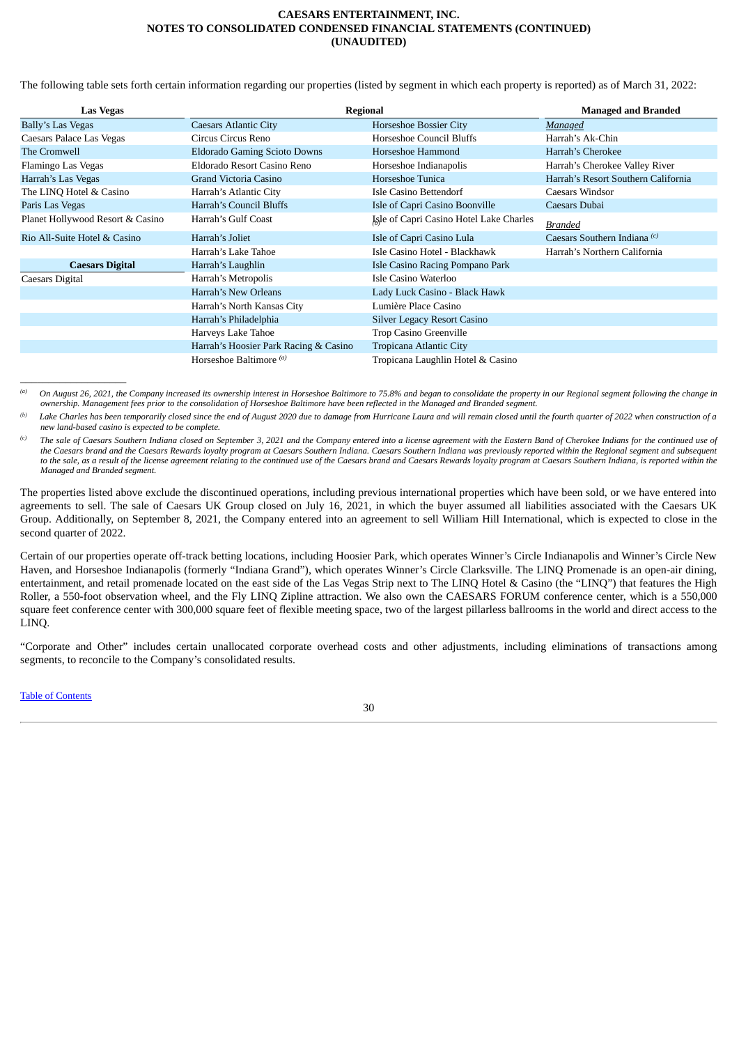The following table sets forth certain information regarding our properties (listed by segment in which each property is reported) as of March 31, 2022:

| <b>Las Vegas</b>                 | Regional                              |                                         | <b>Managed and Branded</b>              |
|----------------------------------|---------------------------------------|-----------------------------------------|-----------------------------------------|
| Bally's Las Vegas                | <b>Caesars Atlantic City</b>          | Horseshoe Bossier City                  | Managed                                 |
| Caesars Palace Las Vegas         | Circus Circus Reno                    | Horseshoe Council Bluffs                | Harrah's Ak-Chin                        |
| The Cromwell                     | <b>Eldorado Gaming Scioto Downs</b>   | Horseshoe Hammond                       | Harrah's Cherokee                       |
| Flamingo Las Vegas               | Eldorado Resort Casino Reno           | Horseshoe Indianapolis                  | Harrah's Cherokee Valley River          |
| Harrah's Las Vegas               | Grand Victoria Casino                 | Horseshoe Tunica                        | Harrah's Resort Southern California     |
| The LINQ Hotel & Casino          | Harrah's Atlantic City                | Isle Casino Bettendorf                  | <b>Caesars Windsor</b>                  |
| Paris Las Vegas                  | Harrah's Council Bluffs               | Isle of Capri Casino Boonville          | Caesars Dubai                           |
| Planet Hollywood Resort & Casino | Harrah's Gulf Coast                   | Isle of Capri Casino Hotel Lake Charles | <b>Branded</b>                          |
| Rio All-Suite Hotel & Casino     | Harrah's Joliet                       | Isle of Capri Casino Lula               | Caesars Southern Indiana <sup>(c)</sup> |
|                                  | Harrah's Lake Tahoe                   | Isle Casino Hotel - Blackhawk           | Harrah's Northern California            |
| <b>Caesars Digital</b>           | Harrah's Laughlin                     | Isle Casino Racing Pompano Park         |                                         |
| Caesars Digital                  | Harrah's Metropolis                   | Isle Casino Waterloo                    |                                         |
|                                  | Harrah's New Orleans                  | Lady Luck Casino - Black Hawk           |                                         |
|                                  | Harrah's North Kansas City            | Lumière Place Casino                    |                                         |
|                                  | Harrah's Philadelphia                 | <b>Silver Legacy Resort Casino</b>      |                                         |
|                                  | Harveys Lake Tahoe                    | Trop Casino Greenville                  |                                         |
|                                  | Harrah's Hoosier Park Racing & Casino | Tropicana Atlantic City                 |                                         |
|                                  | Horseshoe Baltimore <sup>(a)</sup>    | Tropicana Laughlin Hotel & Casino       |                                         |

On August 26, 2021, the Company increased its ownership interest in Horseshoe Baltimore to 75.8% and began to consolidate the property in our Regional segment following the change in ownership. Management fees prior to the consolidation of Horseshoe Baltimore have been reflected in the Managed and Branded segment. *(a)*

Lake Charles has been temporarily closed since the end of August 2020 due to damage from Hurricane Laura and will remain closed until the fourth quarter of 2022 when construction of a *new land-based casino is expected to be complete. (b)*

The sale of Caesars Southern Indiana closed on September 3, 2021 and the Company entered into a license agreement with the Eastern Band of Cherokee Indians for the continued use of the Caesars brand and the Caesars Rewards loyalty program at Caesars Southern Indiana, Caesars Southern Indiana was previously reported within the Regional segment and subsequent to the sale, as a result of the license agreement relating to the continued use of the Caesars brand and Caesars Rewards loyalty program at Caesars Southern Indiana, is reported within the *Managed and Branded segment. (c)*

The properties listed above exclude the discontinued operations, including previous international properties which have been sold, or we have entered into agreements to sell. The sale of Caesars UK Group closed on July 16, 2021, in which the buyer assumed all liabilities associated with the Caesars UK Group. Additionally, on September 8, 2021, the Company entered into an agreement to sell William Hill International, which is expected to close in the second quarter of 2022.

Certain of our properties operate off-track betting locations, including Hoosier Park, which operates Winner's Circle Indianapolis and Winner's Circle New Haven, and Horseshoe Indianapolis (formerly "Indiana Grand"), which operates Winner's Circle Clarksville. The LINQ Promenade is an open-air dining, entertainment, and retail promenade located on the east side of the Las Vegas Strip next to The LINQ Hotel & Casino (the "LINQ") that features the High Roller, a 550-foot observation wheel, and the Fly LINQ Zipline attraction. We also own the CAESARS FORUM conference center, which is a 550,000 square feet conference center with 300,000 square feet of flexible meeting space, two of the largest pillarless ballrooms in the world and direct access to the LINQ.

"Corporate and Other" includes certain unallocated corporate overhead costs and other adjustments, including eliminations of transactions among segments, to reconcile to the Company's consolidated results.

[Table of Contents](#page-0-0)

 $\_$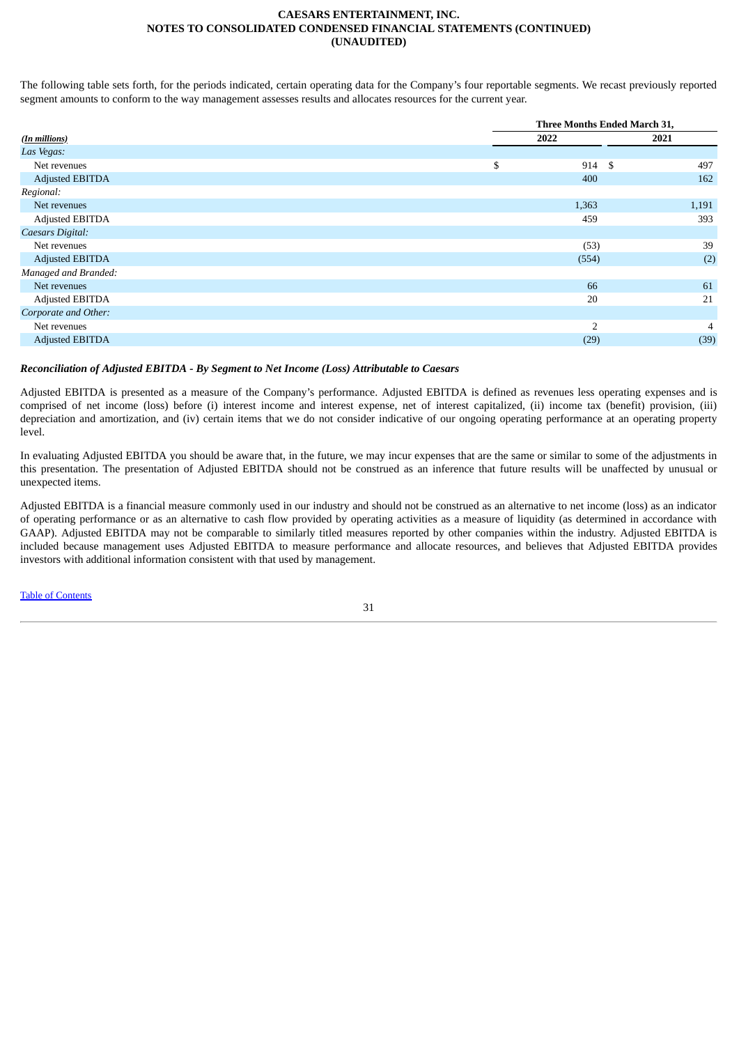The following table sets forth, for the periods indicated, certain operating data for the Company's four reportable segments. We recast previously reported segment amounts to conform to the way management assesses results and allocates resources for the current year.

|                        |       | Three Months Ended March 31, |
|------------------------|-------|------------------------------|
| (In millions)          | 2022  | 2021                         |
| Las Vegas:             |       |                              |
| Net revenues           | \$    | \$<br>497<br>914             |
| <b>Adjusted EBITDA</b> |       | 162<br>400                   |
| Regional:              |       |                              |
| Net revenues           | 1,363 | 1,191                        |
| Adjusted EBITDA        | 459   | 393                          |
| Caesars Digital:       |       |                              |
| Net revenues           |       | 39<br>(53)                   |
| <b>Adjusted EBITDA</b> | (554) | (2)                          |
| Managed and Branded:   |       |                              |
| Net revenues           |       | 66<br>61                     |
| Adjusted EBITDA        |       | 20<br>21                     |
| Corporate and Other:   |       |                              |
| Net revenues           |       | $\overline{2}$<br>4          |
| <b>Adjusted EBITDA</b> |       | (39)<br>(29)                 |
|                        |       |                              |

## *Reconciliation of Adjusted EBITDA - By Segment to Net Income (Loss) Attributable to Caesars*

Adjusted EBITDA is presented as a measure of the Company's performance. Adjusted EBITDA is defined as revenues less operating expenses and is comprised of net income (loss) before (i) interest income and interest expense, net of interest capitalized, (ii) income tax (benefit) provision, (iii) depreciation and amortization, and (iv) certain items that we do not consider indicative of our ongoing operating performance at an operating property level.

In evaluating Adjusted EBITDA you should be aware that, in the future, we may incur expenses that are the same or similar to some of the adjustments in this presentation. The presentation of Adjusted EBITDA should not be construed as an inference that future results will be unaffected by unusual or unexpected items.

Adjusted EBITDA is a financial measure commonly used in our industry and should not be construed as an alternative to net income (loss) as an indicator of operating performance or as an alternative to cash flow provided by operating activities as a measure of liquidity (as determined in accordance with GAAP). Adjusted EBITDA may not be comparable to similarly titled measures reported by other companies within the industry. Adjusted EBITDA is included because management uses Adjusted EBITDA to measure performance and allocate resources, and believes that Adjusted EBITDA provides investors with additional information consistent with that used by management.

[Table of Contents](#page-0-0)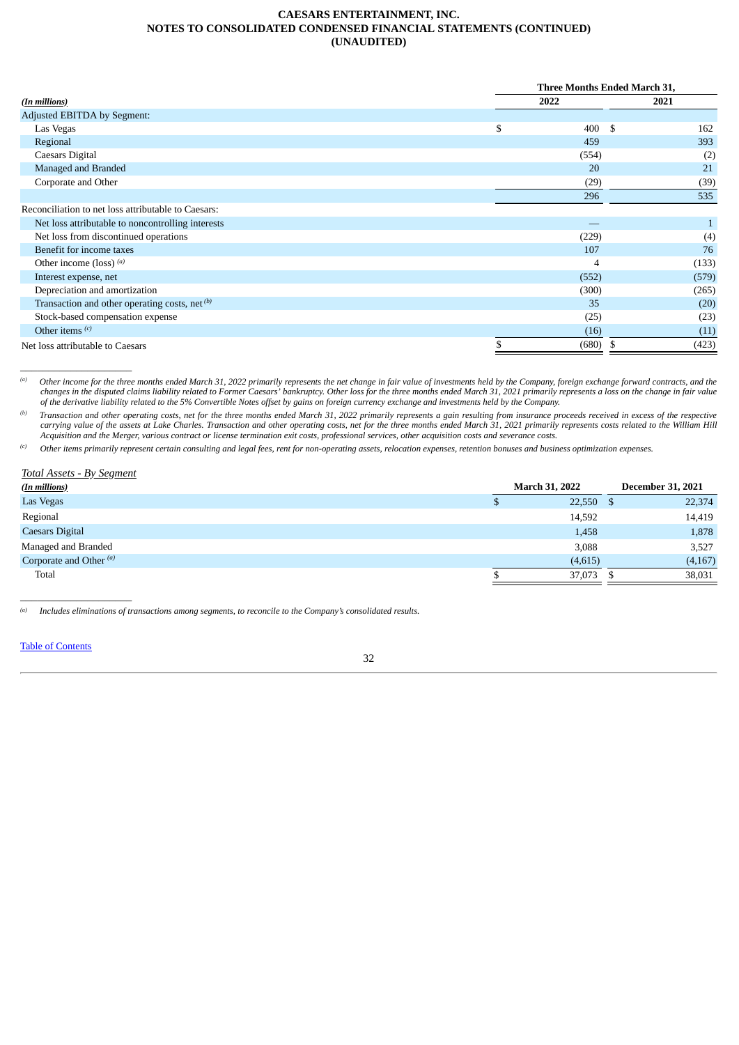|                                                     | Three Months Ended March 31, |                |      |       |  |  |  |  |
|-----------------------------------------------------|------------------------------|----------------|------|-------|--|--|--|--|
| (In millions)                                       |                              | 2022           | 2021 |       |  |  |  |  |
| Adjusted EBITDA by Segment:                         |                              |                |      |       |  |  |  |  |
| Las Vegas                                           | \$                           | 400            | -\$  | 162   |  |  |  |  |
| Regional                                            |                              | 459            |      | 393   |  |  |  |  |
| Caesars Digital                                     |                              | (554)          |      | (2)   |  |  |  |  |
| Managed and Branded                                 |                              | 20             |      | 21    |  |  |  |  |
| Corporate and Other                                 |                              | (29)           |      | (39)  |  |  |  |  |
|                                                     |                              | 296            |      | 535   |  |  |  |  |
| Reconciliation to net loss attributable to Caesars: |                              |                |      |       |  |  |  |  |
| Net loss attributable to noncontrolling interests   |                              |                |      |       |  |  |  |  |
| Net loss from discontinued operations               |                              | (229)          |      | (4)   |  |  |  |  |
| Benefit for income taxes                            |                              | 107            |      | 76    |  |  |  |  |
| Other income (loss) $(a)$                           |                              | $\overline{4}$ |      | (133) |  |  |  |  |
| Interest expense, net                               |                              | (552)          |      | (579) |  |  |  |  |
| Depreciation and amortization                       |                              | (300)          |      | (265) |  |  |  |  |
| Transaction and other operating costs, net (b)      |                              | 35             |      | (20)  |  |  |  |  |
| Stock-based compensation expense                    |                              | (25)           |      | (23)  |  |  |  |  |
| Other items $(c)$                                   |                              | (16)           |      | (11)  |  |  |  |  |
| Net loss attributable to Caesars                    |                              | (680)          | - \$ | (423) |  |  |  |  |

Other income for the three months ended March 31, 2022 primarily represents the net change in fair value of investments held by the Company, foreign exchange forward contracts, and the changes in the disputed claims liability related to Former Caesars' bankruptcy. Other loss for the three months ended March 31, 2021 primarily represents a loss on the change in fair value of the derivative liability related to the 5% Convertible Notes offset by gains on foreign currency exchange and investments held by the Company. *(a)*

Transaction and other operating costs, net for the three months ended March 31, 2022 primarily represents a gain resulting from insurance proceeds received in excess of the respective carrying value of the assets at Lake Charles. Transaction and other operating costs, net for the three months ended March 31, 2021 primarily represents costs related to the William Hill Acquisition and the Merger, various contract or license termination exit costs, professional services, other acquisition costs and severance costs. *(b)*

Other items primarily represent certain consulting and legal fees, rent for non-operating assets, relocation expenses, retention bonuses and business optimization expenses. *(c)*

| <u> Total Assets - By Segment</u> |  |
|-----------------------------------|--|
|-----------------------------------|--|

 $\_$ 

 $\_$ 

| (In millions)                      | <b>March 31, 2022</b> |     | <b>December 31, 2021</b> |
|------------------------------------|-----------------------|-----|--------------------------|
| Las Vegas                          | 22,550                | - S | 22,374                   |
| Regional                           | 14,592                |     | 14,419                   |
| Caesars Digital                    | 1,458                 |     | 1,878                    |
| Managed and Branded                | 3,088                 |     | 3,527                    |
| Corporate and Other <sup>(a)</sup> | (4,615)               |     | (4,167)                  |
| Total                              | 37,073                |     | 38,031                   |

*Includes eliminations of transactions among segments, to reconcile to the Company's consolidated results. (a)*

<span id="page-32-0"></span>[Table of Contents](#page-0-0)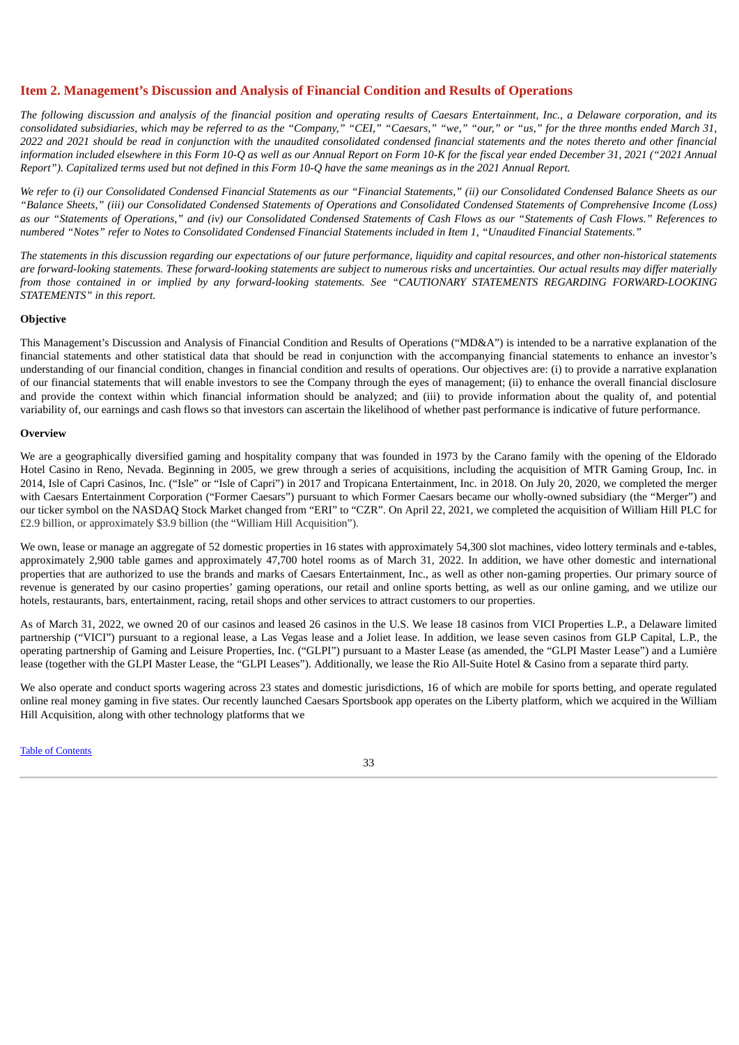# **Item 2. Management's Discussion and Analysis of Financial Condition and Results of Operations**

The following discussion and analysis of the financial position and operating results of Caesars Entertainment, Inc., a Delaware corporation, and its consolidated subsidiaries, which may be referred to as the "Company," "CEI," "Caesars," "we," "our," or "us," for the three months ended March 31, 2022 and 2021 should be read in conjunction with the unaudited consolidated condensed financial statements and the notes thereto and other financial information included elsewhere in this Form 10-Q as well as our Annual Report on Form 10-K for the fiscal year ended December 31, 2021 ("2021 Annual Report"). Capitalized terms used but not defined in this Form 10-Q have the same meanings as in the 2021 Annual Report.

We refer to (i) our Consolidated Condensed Financial Statements as our "Financial Statements," (ii) our Consolidated Condensed Balance Sheets as our "Balance Sheets," (iii) our Consolidated Condensed Statements of Operations and Consolidated Condensed Statements of Comprehensive Income (Loss) as our "Statements of Operations," and (iv) our Consolidated Condensed Statements of Cash Flows as our "Statements of Cash Flows." References to numbered "Notes" refer to Notes to Consolidated Condensed Financial Statements included in Item 1, "Unaudited Financial Statements."

The statements in this discussion regarding our expectations of our future performance, liquidity and capital resources, and other non-historical statements are forward-looking statements. These forward-looking statements are subject to numerous risks and uncertainties. Our actual results may differ materially from those contained in or implied by any forward-looking statements. See "CAUTIONARY STATEMENTS REGARDING FORWARD-LOOKING *STATEMENTS" in this report.*

## **Objective**

This Management's Discussion and Analysis of Financial Condition and Results of Operations ("MD&A") is intended to be a narrative explanation of the financial statements and other statistical data that should be read in conjunction with the accompanying financial statements to enhance an investor's understanding of our financial condition, changes in financial condition and results of operations. Our objectives are: (i) to provide a narrative explanation of our financial statements that will enable investors to see the Company through the eyes of management; (ii) to enhance the overall financial disclosure and provide the context within which financial information should be analyzed; and (iii) to provide information about the quality of, and potential variability of, our earnings and cash flows so that investors can ascertain the likelihood of whether past performance is indicative of future performance.

## **Overview**

We are a geographically diversified gaming and hospitality company that was founded in 1973 by the Carano family with the opening of the Eldorado Hotel Casino in Reno, Nevada. Beginning in 2005, we grew through a series of acquisitions, including the acquisition of MTR Gaming Group, Inc. in 2014, Isle of Capri Casinos, Inc. ("Isle" or "Isle of Capri") in 2017 and Tropicana Entertainment, Inc. in 2018. On July 20, 2020, we completed the merger with Caesars Entertainment Corporation ("Former Caesars") pursuant to which Former Caesars became our wholly-owned subsidiary (the "Merger") and our ticker symbol on the NASDAQ Stock Market changed from "ERI" to "CZR". On April 22, 2021, we completed the acquisition of William Hill PLC for £2.9 billion, or approximately \$3.9 billion (the "William Hill Acquisition").

We own, lease or manage an aggregate of 52 domestic properties in 16 states with approximately 54,300 slot machines, video lottery terminals and e-tables, approximately 2,900 table games and approximately 47,700 hotel rooms as of March 31, 2022. In addition, we have other domestic and international properties that are authorized to use the brands and marks of Caesars Entertainment, Inc., as well as other non-gaming properties. Our primary source of revenue is generated by our casino properties' gaming operations, our retail and online sports betting, as well as our online gaming, and we utilize our hotels, restaurants, bars, entertainment, racing, retail shops and other services to attract customers to our properties.

As of March 31, 2022, we owned 20 of our casinos and leased 26 casinos in the U.S. We lease 18 casinos from VICI Properties L.P., a Delaware limited partnership ("VICI") pursuant to a regional lease, a Las Vegas lease and a Joliet lease. In addition, we lease seven casinos from GLP Capital, L.P., the operating partnership of Gaming and Leisure Properties, Inc. ("GLPI") pursuant to a Master Lease (as amended, the "GLPI Master Lease") and a Lumière lease (together with the GLPI Master Lease, the "GLPI Leases"). Additionally, we lease the Rio All-Suite Hotel & Casino from a separate third party.

We also operate and conduct sports wagering across 23 states and domestic jurisdictions, 16 of which are mobile for sports betting, and operate regulated online real money gaming in five states. Our recently launched Caesars Sportsbook app operates on the Liberty platform, which we acquired in the William Hill Acquisition, along with other technology platforms that we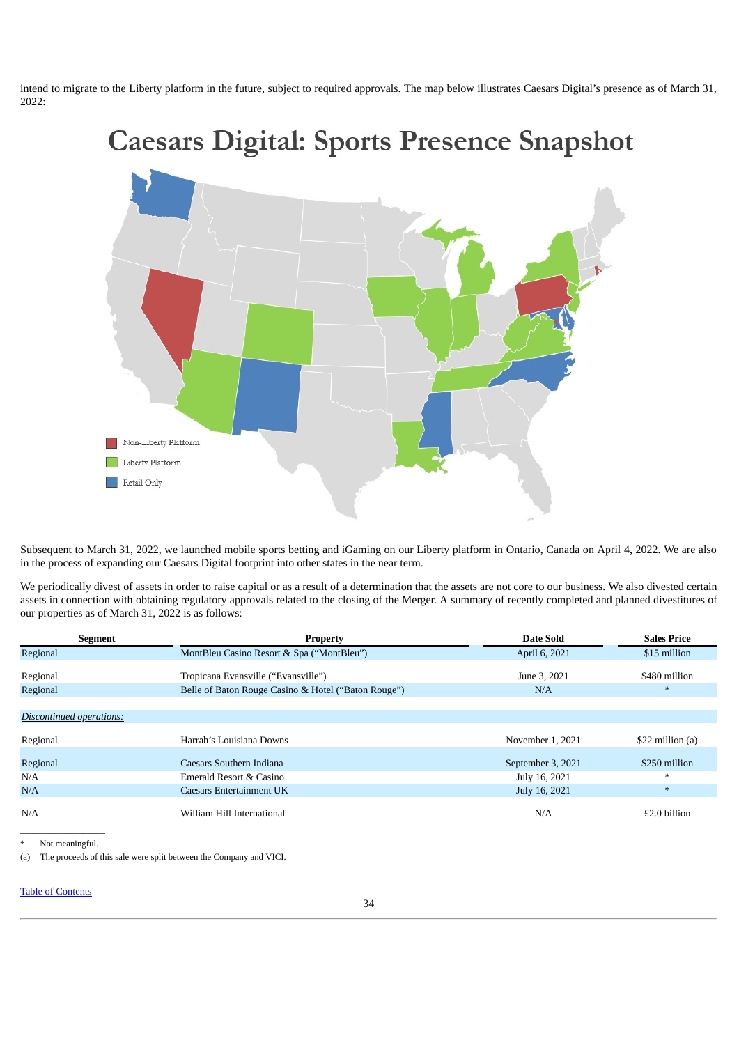intend to migrate to the Liberty platform in the future, subject to required approvals. The map below illustrates Caesars Digital's presence as of March 31, 2022:



Subsequent to March 31, 2022, we launched mobile sports betting and iGaming on our Liberty platform in Ontario, Canada on April 4, 2022. We are also in the process of expanding our Caesars Digital footprint into other states in the near term.

We periodically divest of assets in order to raise capital or as a result of a determination that the assets are not core to our business. We also divested certain assets in connection with obtaining regulatory approvals related to the closing of the Merger. A summary of recently completed and planned divestitures of our properties as of March 31, 2022 is as follows:

| Segment                  | Property                                                                                   | <b>Date Sold</b>    | <b>Sales Price</b>   |
|--------------------------|--------------------------------------------------------------------------------------------|---------------------|----------------------|
| Regional                 | MontBleu Casino Resort & Spa ("MontBleu")                                                  | April 6, 2021       | \$15 million         |
| Regional<br>Regional     | Tropicana Evansville ("Evansville")<br>Belle of Baton Rouge Casino & Hotel ("Baton Rouge") | June 3, 2021<br>N/A | \$480 million<br>$*$ |
| Discontinued operations: |                                                                                            |                     |                      |
| Regional                 | Harrah's Louisiana Downs                                                                   | November 1, 2021    | \$22 million $(a)$   |
| Regional                 | Caesars Southern Indiana                                                                   | September 3, 2021   | \$250 million        |
| N/A                      | Emerald Resort & Casino                                                                    | July 16, 2021       | $\ast$               |
| N/A                      | Caesars Entertainment UK                                                                   | July 16, 2021       | $\ast$               |
| N/A                      | William Hill International                                                                 | N/A                 | £2.0 billion         |

Not meaningful.

(a) The proceeds of this sale were split between the Company and VICI.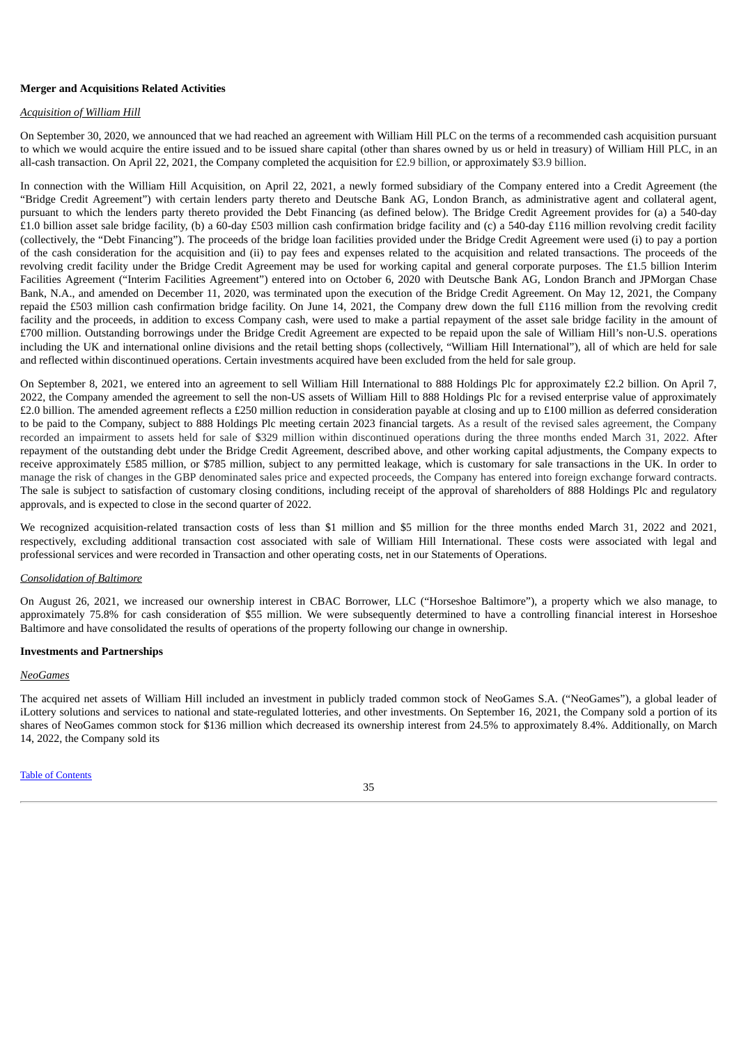## **Merger and Acquisitions Related Activities**

## *Acquisition of William Hill*

On September 30, 2020, we announced that we had reached an agreement with William Hill PLC on the terms of a recommended cash acquisition pursuant to which we would acquire the entire issued and to be issued share capital (other than shares owned by us or held in treasury) of William Hill PLC, in an all-cash transaction. On April 22, 2021, the Company completed the acquisition for £2.9 billion, or approximately \$3.9 billion.

In connection with the William Hill Acquisition, on April 22, 2021, a newly formed subsidiary of the Company entered into a Credit Agreement (the "Bridge Credit Agreement") with certain lenders party thereto and Deutsche Bank AG, London Branch, as administrative agent and collateral agent, pursuant to which the lenders party thereto provided the Debt Financing (as defined below). The Bridge Credit Agreement provides for (a) a 540-day £1.0 billion asset sale bridge facility, (b) a 60-day £503 million cash confirmation bridge facility and (c) a 540-day £116 million revolving credit facility (collectively, the "Debt Financing"). The proceeds of the bridge loan facilities provided under the Bridge Credit Agreement were used (i) to pay a portion of the cash consideration for the acquisition and (ii) to pay fees and expenses related to the acquisition and related transactions. The proceeds of the revolving credit facility under the Bridge Credit Agreement may be used for working capital and general corporate purposes. The £1.5 billion Interim Facilities Agreement ("Interim Facilities Agreement") entered into on October 6, 2020 with Deutsche Bank AG, London Branch and JPMorgan Chase Bank, N.A., and amended on December 11, 2020, was terminated upon the execution of the Bridge Credit Agreement. On May 12, 2021, the Company repaid the £503 million cash confirmation bridge facility. On June 14, 2021, the Company drew down the full £116 million from the revolving credit facility and the proceeds, in addition to excess Company cash, were used to make a partial repayment of the asset sale bridge facility in the amount of £700 million. Outstanding borrowings under the Bridge Credit Agreement are expected to be repaid upon the sale of William Hill's non-U.S. operations including the UK and international online divisions and the retail betting shops (collectively, "William Hill International"), all of which are held for sale and reflected within discontinued operations. Certain investments acquired have been excluded from the held for sale group.

On September 8, 2021, we entered into an agreement to sell William Hill International to 888 Holdings Plc for approximately £2.2 billion. On April 7, 2022, the Company amended the agreement to sell the non-US assets of William Hill to 888 Holdings Plc for a revised enterprise value of approximately £2.0 billion. The amended agreement reflects a £250 million reduction in consideration payable at closing and up to £100 million as deferred consideration to be paid to the Company, subject to 888 Holdings Plc meeting certain 2023 financial targets. As a result of the revised sales agreement, the Company recorded an impairment to assets held for sale of \$329 million within discontinued operations during the three months ended March 31, 2022. After repayment of the outstanding debt under the Bridge Credit Agreement, described above, and other working capital adjustments, the Company expects to receive approximately £585 million, or \$785 million, subject to any permitted leakage, which is customary for sale transactions in the UK. In order to manage the risk of changes in the GBP denominated sales price and expected proceeds, the Company has entered into foreign exchange forward contracts. The sale is subject to satisfaction of customary closing conditions, including receipt of the approval of shareholders of 888 Holdings Plc and regulatory approvals, and is expected to close in the second quarter of 2022.

We recognized acquisition-related transaction costs of less than \$1 million and \$5 million for the three months ended March 31, 2022 and 2021, respectively, excluding additional transaction cost associated with sale of William Hill International. These costs were associated with legal and professional services and were recorded in Transaction and other operating costs, net in our Statements of Operations.

#### *Consolidation of Baltimore*

On August 26, 2021, we increased our ownership interest in CBAC Borrower, LLC ("Horseshoe Baltimore"), a property which we also manage, to approximately 75.8% for cash consideration of \$55 million. We were subsequently determined to have a controlling financial interest in Horseshoe Baltimore and have consolidated the results of operations of the property following our change in ownership.

#### **Investments and Partnerships**

#### *NeoGames*

The acquired net assets of William Hill included an investment in publicly traded common stock of NeoGames S.A. ("NeoGames"), a global leader of iLottery solutions and services to national and state-regulated lotteries, and other investments. On September 16, 2021, the Company sold a portion of its shares of NeoGames common stock for \$136 million which decreased its ownership interest from 24.5% to approximately 8.4%. Additionally, on March 14, 2022, the Company sold its

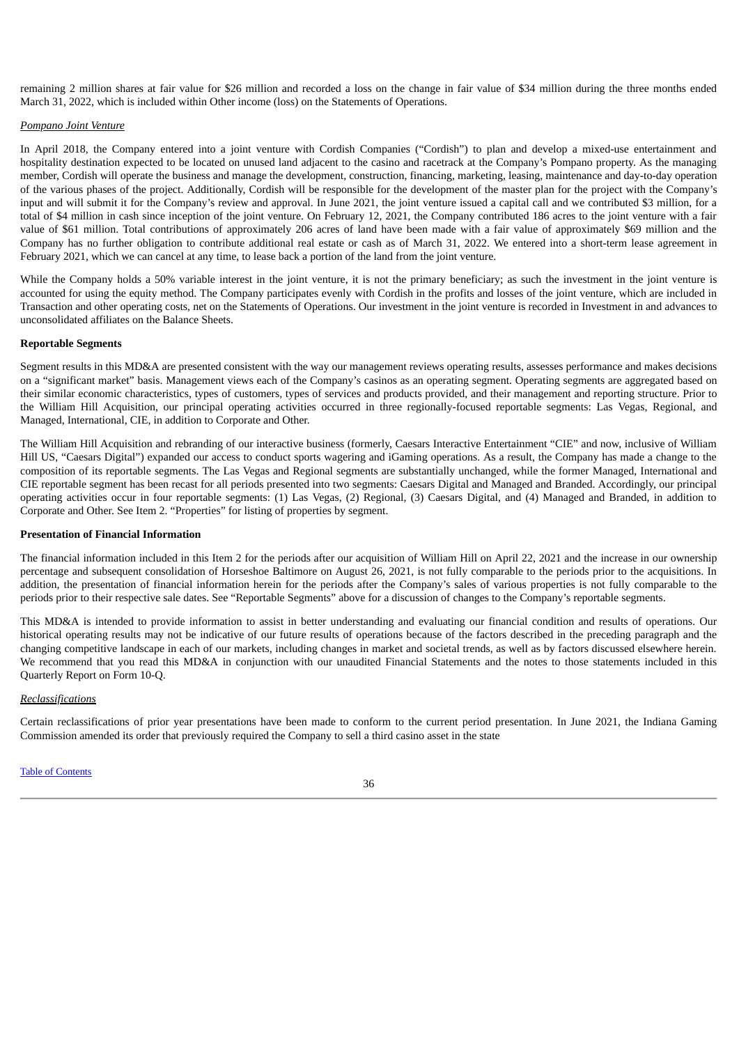remaining 2 million shares at fair value for \$26 million and recorded a loss on the change in fair value of \$34 million during the three months ended March 31, 2022, which is included within Other income (loss) on the Statements of Operations.

#### *Pompano Joint Venture*

In April 2018, the Company entered into a joint venture with Cordish Companies ("Cordish") to plan and develop a mixed-use entertainment and hospitality destination expected to be located on unused land adjacent to the casino and racetrack at the Company's Pompano property. As the managing member, Cordish will operate the business and manage the development, construction, financing, marketing, leasing, maintenance and day-to-day operation of the various phases of the project. Additionally, Cordish will be responsible for the development of the master plan for the project with the Company's input and will submit it for the Company's review and approval. In June 2021, the joint venture issued a capital call and we contributed \$3 million, for a total of \$4 million in cash since inception of the joint venture. On February 12, 2021, the Company contributed 186 acres to the joint venture with a fair value of \$61 million. Total contributions of approximately 206 acres of land have been made with a fair value of approximately \$69 million and the Company has no further obligation to contribute additional real estate or cash as of March 31, 2022. We entered into a short-term lease agreement in February 2021, which we can cancel at any time, to lease back a portion of the land from the joint venture.

While the Company holds a 50% variable interest in the joint venture, it is not the primary beneficiary; as such the investment in the joint venture is accounted for using the equity method. The Company participates evenly with Cordish in the profits and losses of the joint venture, which are included in Transaction and other operating costs, net on the Statements of Operations. Our investment in the joint venture is recorded in Investment in and advances to unconsolidated affiliates on the Balance Sheets.

#### **Reportable Segments**

Segment results in this MD&A are presented consistent with the way our management reviews operating results, assesses performance and makes decisions on a "significant market" basis. Management views each of the Company's casinos as an operating segment. Operating segments are aggregated based on their similar economic characteristics, types of customers, types of services and products provided, and their management and reporting structure. Prior to the William Hill Acquisition, our principal operating activities occurred in three regionally-focused reportable segments: Las Vegas, Regional, and Managed, International, CIE, in addition to Corporate and Other.

The William Hill Acquisition and rebranding of our interactive business (formerly, Caesars Interactive Entertainment "CIE" and now, inclusive of William Hill US, "Caesars Digital") expanded our access to conduct sports wagering and iGaming operations. As a result, the Company has made a change to the composition of its reportable segments. The Las Vegas and Regional segments are substantially unchanged, while the former Managed, International and CIE reportable segment has been recast for all periods presented into two segments: Caesars Digital and Managed and Branded. Accordingly, our principal operating activities occur in four reportable segments: (1) Las Vegas, (2) Regional, (3) Caesars Digital, and (4) Managed and Branded, in addition to Corporate and Other. See Item 2. "Properties" for listing of properties by segment.

#### **Presentation of Financial Information**

The financial information included in this Item 2 for the periods after our acquisition of William Hill on April 22, 2021 and the increase in our ownership percentage and subsequent consolidation of Horseshoe Baltimore on August 26, 2021, is not fully comparable to the periods prior to the acquisitions. In addition, the presentation of financial information herein for the periods after the Company's sales of various properties is not fully comparable to the periods prior to their respective sale dates. See "Reportable Segments" above for a discussion of changes to the Company's reportable segments.

This MD&A is intended to provide information to assist in better understanding and evaluating our financial condition and results of operations. Our historical operating results may not be indicative of our future results of operations because of the factors described in the preceding paragraph and the changing competitive landscape in each of our markets, including changes in market and societal trends, as well as by factors discussed elsewhere herein. We recommend that you read this MD&A in conjunction with our unaudited Financial Statements and the notes to those statements included in this Quarterly Report on Form 10-Q.

#### *Reclassifications*

Certain reclassifications of prior year presentations have been made to conform to the current period presentation. In June 2021, the Indiana Gaming Commission amended its order that previously required the Company to sell a third casino asset in the state

[Table of Contents](#page-0-0)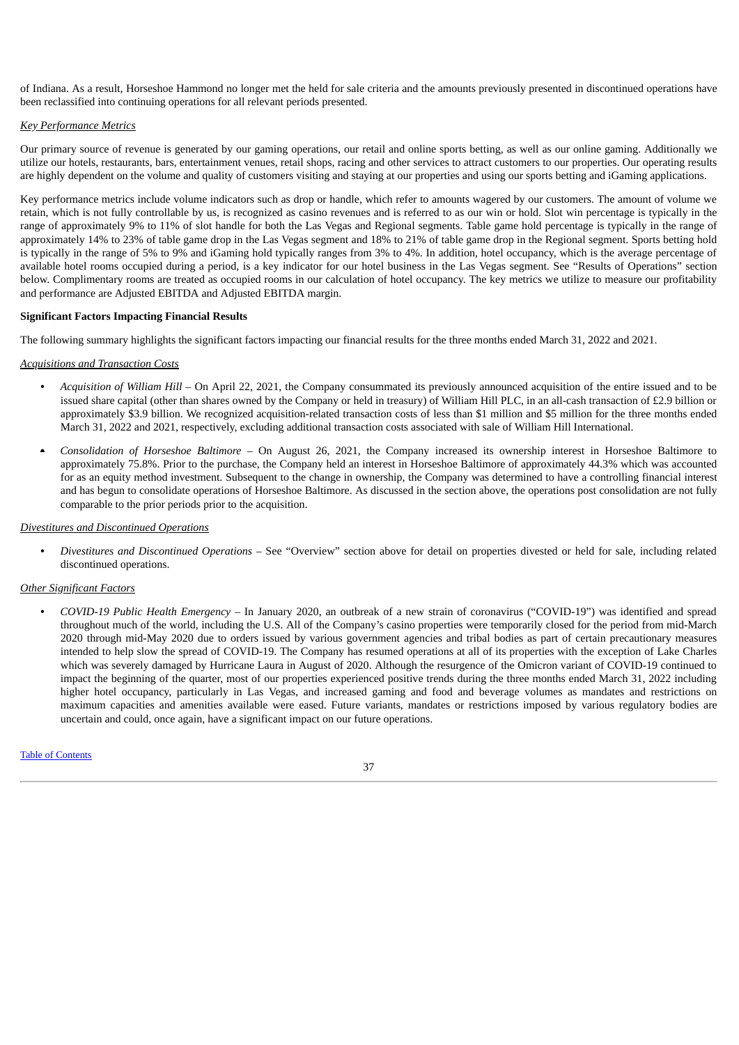of Indiana. As a result, Horseshoe Hammond no longer met the held for sale criteria and the amounts previously presented in discontinued operations have been reclassified into continuing operations for all relevant periods presented.

## *Key Performance Metrics*

Our primary source of revenue is generated by our gaming operations, our retail and online sports betting, as well as our online gaming. Additionally we utilize our hotels, restaurants, bars, entertainment venues, retail shops, racing and other services to attract customers to our properties. Our operating results are highly dependent on the volume and quality of customers visiting and staying at our properties and using our sports betting and iGaming applications.

Key performance metrics include volume indicators such as drop or handle, which refer to amounts wagered by our customers. The amount of volume we retain, which is not fully controllable by us, is recognized as casino revenues and is referred to as our win or hold. Slot win percentage is typically in the range of approximately 9% to 11% of slot handle for both the Las Vegas and Regional segments. Table game hold percentage is typically in the range of approximately 14% to 23% of table game drop in the Las Vegas segment and 18% to 21% of table game drop in the Regional segment. Sports betting hold is typically in the range of 5% to 9% and iGaming hold typically ranges from 3% to 4%. In addition, hotel occupancy, which is the average percentage of available hotel rooms occupied during a period, is a key indicator for our hotel business in the Las Vegas segment. See "Results of Operations" section below. Complimentary rooms are treated as occupied rooms in our calculation of hotel occupancy. The key metrics we utilize to measure our profitability and performance are Adjusted EBITDA and Adjusted EBITDA margin.

## **Significant Factors Impacting Financial Results**

The following summary highlights the significant factors impacting our financial results for the three months ended March 31, 2022 and 2021.

## *Acquisitions and Transaction Costs*

- *• Acquisition of William Hill –* On April 22, 2021, the Company consummated its previously announced acquisition of the entire issued and to be issued share capital (other than shares owned by the Company or held in treasury) of William Hill PLC, in an all-cash transaction of £2.9 billion or approximately \$3.9 billion. We recognized acquisition-related transaction costs of less than \$1 million and \$5 million for the three months ended March 31, 2022 and 2021, respectively, excluding additional transaction costs associated with sale of William Hill International.
- *• Consolidation of Horseshoe Baltimore –* On August 26, 2021, the Company increased its ownership interest in Horseshoe Baltimore to approximately 75.8%. Prior to the purchase, the Company held an interest in Horseshoe Baltimore of approximately 44.3% which was accounted for as an equity method investment. Subsequent to the change in ownership, the Company was determined to have a controlling financial interest and has begun to consolidate operations of Horseshoe Baltimore. As discussed in the section above, the operations post consolidation are not fully comparable to the prior periods prior to the acquisition.

#### *Divestitures and Discontinued Operations*

*• Divestitures and Discontinued Operations –* See "Overview" section above for detail on properties divested or held for sale, including related discontinued operations.

#### *Other Significant Factors*

*• COVID-19 Public Health Emergency –* In January 2020, an outbreak of a new strain of coronavirus ("COVID-19") was identified and spread throughout much of the world, including the U.S. All of the Company's casino properties were temporarily closed for the period from mid-March 2020 through mid-May 2020 due to orders issued by various government agencies and tribal bodies as part of certain precautionary measures intended to help slow the spread of COVID-19. The Company has resumed operations at all of its properties with the exception of Lake Charles which was severely damaged by Hurricane Laura in August of 2020. Although the resurgence of the Omicron variant of COVID-19 continued to impact the beginning of the quarter, most of our properties experienced positive trends during the three months ended March 31, 2022 including higher hotel occupancy, particularly in Las Vegas, and increased gaming and food and beverage volumes as mandates and restrictions on maximum capacities and amenities available were eased. Future variants, mandates or restrictions imposed by various regulatory bodies are uncertain and could, once again, have a significant impact on our future operations.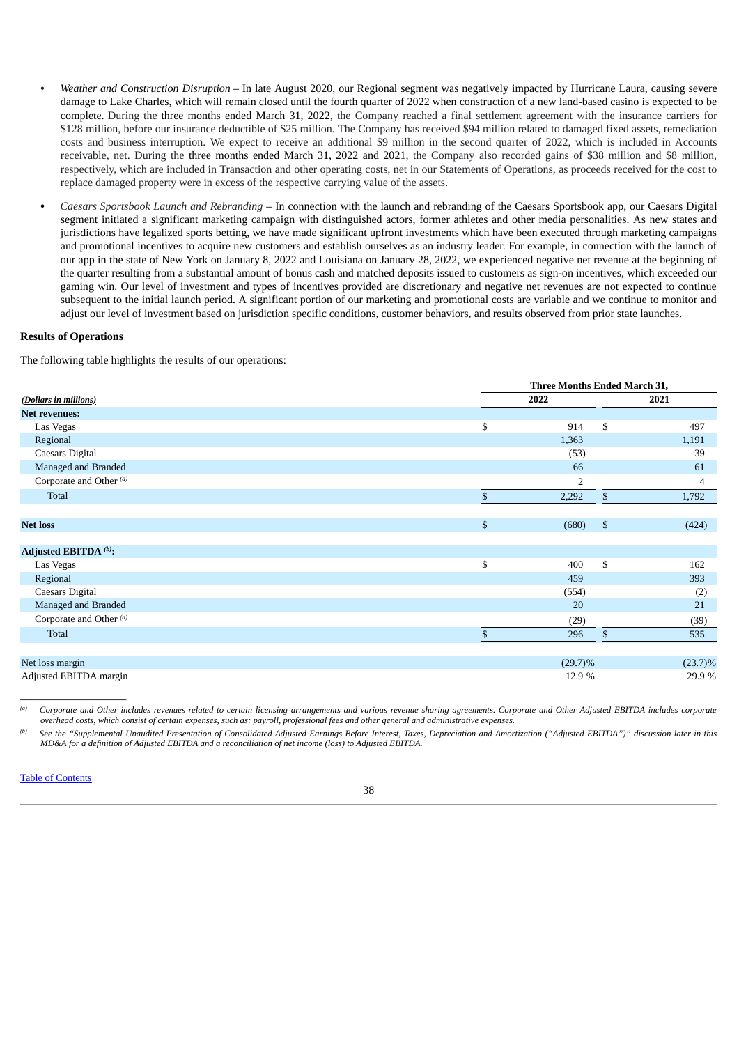- *• Weather and Construction Disruption –* In late August 2020, our Regional segment was negatively impacted by Hurricane Laura, causing severe damage to Lake Charles, which will remain closed until the fourth quarter of 2022 when construction of a new land-based casino is expected to be complete. During the three months ended March 31, 2022, the Company reached a final settlement agreement with the insurance carriers for \$128 million, before our insurance deductible of \$25 million. The Company has received \$94 million related to damaged fixed assets, remediation costs and business interruption. We expect to receive an additional \$9 million in the second quarter of 2022, which is included in Accounts receivable, net. During the three months ended March 31, 2022 and 2021, the Company also recorded gains of \$38 million and \$8 million, respectively, which are included in Transaction and other operating costs, net in our Statements of Operations, as proceeds received for the cost to replace damaged property were in excess of the respective carrying value of the assets.
- *• Caesars Sportsbook Launch and Rebranding* In connection with the launch and rebranding of the Caesars Sportsbook app, our Caesars Digital segment initiated a significant marketing campaign with distinguished actors, former athletes and other media personalities. As new states and jurisdictions have legalized sports betting, we have made significant upfront investments which have been executed through marketing campaigns and promotional incentives to acquire new customers and establish ourselves as an industry leader. For example, in connection with the launch of our app in the state of New York on January 8, 2022 and Louisiana on January 28, 2022, we experienced negative net revenue at the beginning of the quarter resulting from a substantial amount of bonus cash and matched deposits issued to customers as sign-on incentives, which exceeded our gaming win. Our level of investment and types of incentives provided are discretionary and negative net revenues are not expected to continue subsequent to the initial launch period. A significant portion of our marketing and promotional costs are variable and we continue to monitor and adjust our level of investment based on jurisdiction specific conditions, customer behaviors, and results observed from prior state launches.

#### **Results of Operations**

The following table highlights the results of our operations:

|                                    | Three Months Ended March 31, |      |                      |  |  |  |  |  |
|------------------------------------|------------------------------|------|----------------------|--|--|--|--|--|
| (Dollars in millions)              | 2022                         | 2021 |                      |  |  |  |  |  |
| <b>Net revenues:</b>               |                              |      |                      |  |  |  |  |  |
| Las Vegas                          | \$<br>914                    | \$   | 497                  |  |  |  |  |  |
| Regional                           | 1,363                        |      | 1,191                |  |  |  |  |  |
| Caesars Digital                    | (53)                         |      | 39                   |  |  |  |  |  |
| Managed and Branded                | 66                           |      | 61                   |  |  |  |  |  |
| Corporate and Other <sup>(a)</sup> | 2                            |      | 4                    |  |  |  |  |  |
| Total                              | \$<br>2,292                  | \$   | 1,792                |  |  |  |  |  |
|                                    |                              |      |                      |  |  |  |  |  |
| <b>Net loss</b>                    | \$<br>(680)                  | \$   | (424)                |  |  |  |  |  |
| Adjusted EBITDA (b):               |                              |      |                      |  |  |  |  |  |
| Las Vegas                          | \$<br>400                    | \$   | 162                  |  |  |  |  |  |
| Regional                           | 459                          |      | 393                  |  |  |  |  |  |
| Caesars Digital                    | (554)                        |      | (2)                  |  |  |  |  |  |
| Managed and Branded                | 20                           |      | 21                   |  |  |  |  |  |
| Corporate and Other <sup>(a)</sup> | (29)                         |      | (39)                 |  |  |  |  |  |
| Total                              | \$<br>296                    | \$   | 535                  |  |  |  |  |  |
| Net loss margin                    | $(29.7)\%$                   |      |                      |  |  |  |  |  |
| Adjusted EBITDA margin             | 12.9 %                       |      | $(23.7)\%$<br>29.9 % |  |  |  |  |  |
|                                    |                              |      |                      |  |  |  |  |  |

Corporate and Other includes revenues related to certain licensing arrangements and various revenue sharing agreements. Corporate and Other Adjusted EBITDA includes corporate overhead costs, which consist of certain expenses, such as: payroll, professional fees and other general and administrative expenses *(a)*

See the "Supplemental Unaudited Presentation of Consolidated Adjusted Earnings Before Interest, Taxes, Depreciation and Amortization ("Adjusted EBITDA")" discussion later in this *MD&A for a definition of Adjusted EBITDA and a reconciliation of net income (loss) to Adjusted EBITDA. (b)*

[Table of Contents](#page-0-0)

\_\_\_\_\_\_\_\_\_\_\_\_\_\_\_\_\_\_\_

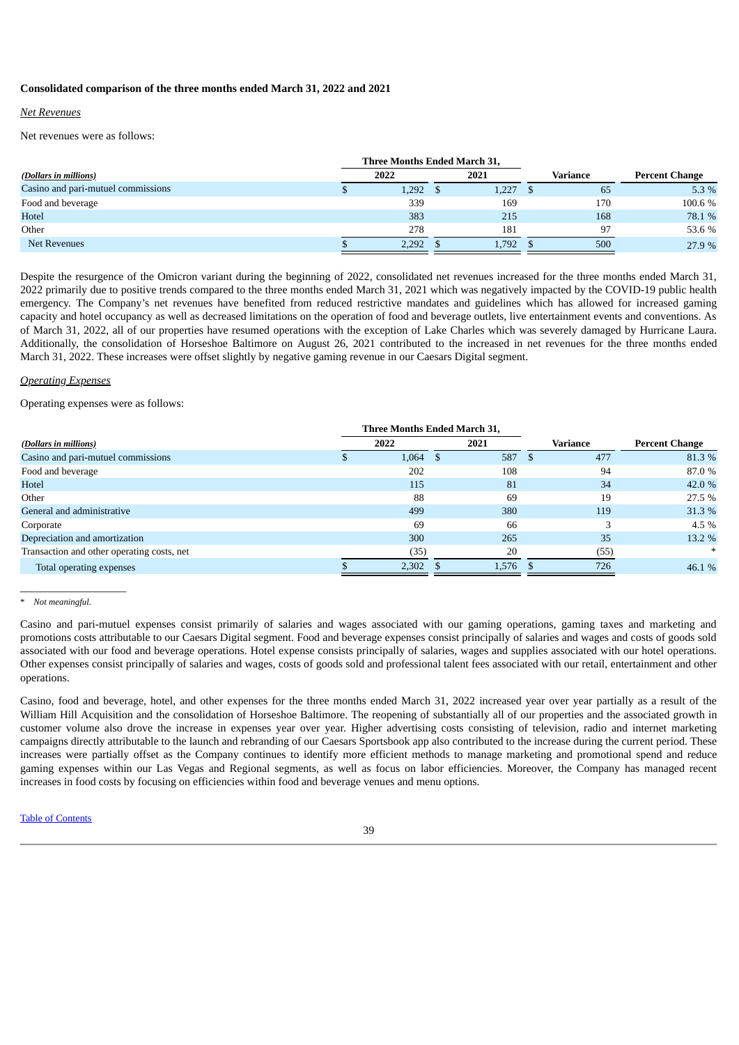## **Consolidated comparison of the three months ended March 31, 2022 and 2021**

#### *Net Revenues*

Net revenues were as follows:

|                                    | Three Months Ended March 31, |            |  |       |  |          |                       |  |
|------------------------------------|------------------------------|------------|--|-------|--|----------|-----------------------|--|
| (Dollars in millions)              | 2022                         |            |  | 2021  |  | Variance | <b>Percent Change</b> |  |
| Casino and pari-mutuel commissions |                              | $1,292$ \$ |  | 1,227 |  | 65       | 5.3 %                 |  |
| Food and beverage                  |                              | 339        |  | 169   |  | 170      | 100.6 %               |  |
| Hotel                              |                              | 383        |  | 215   |  | 168      | 78.1 %                |  |
| Other                              |                              | 278        |  | 181   |  | 97       | 53.6 %                |  |
| Net Revenues                       |                              | 2,292      |  | 1,792 |  | 500      | 27.9 %                |  |

Despite the resurgence of the Omicron variant during the beginning of 2022, consolidated net revenues increased for the three months ended March 31, 2022 primarily due to positive trends compared to the three months ended March 31, 2021 which was negatively impacted by the COVID-19 public health emergency. The Company's net revenues have benefited from reduced restrictive mandates and guidelines which has allowed for increased gaming capacity and hotel occupancy as well as decreased limitations on the operation of food and beverage outlets, live entertainment events and conventions. As of March 31, 2022, all of our properties have resumed operations with the exception of Lake Charles which was severely damaged by Hurricane Laura. Additionally, the consolidation of Horseshoe Baltimore on August 26, 2021 contributed to the increased in net revenues for the three months ended March 31, 2022. These increases were offset slightly by negative gaming revenue in our Caesars Digital segment.

## *Operating Expenses*

Operating expenses were as follows:

|                                            | Three Months Ended March 31, |     |       |     |          |                       |
|--------------------------------------------|------------------------------|-----|-------|-----|----------|-----------------------|
| (Dollars in millions)                      | 2022                         |     | 2021  |     | Variance | <b>Percent Change</b> |
| Casino and pari-mutuel commissions         | 1,064                        | - S | 587   | - 5 | 477      | 81.3 %                |
| Food and beverage                          | 202                          |     | 108   |     | 94       | 87.0 %                |
| Hotel                                      | 115                          |     | 81    |     | 34       | 42.0 %                |
| Other                                      | 88                           |     | 69    |     | 19       | 27.5 %                |
| General and administrative                 | 499                          |     | 380   |     | 119      | 31.3 %                |
| Corporate                                  | 69                           |     | 66    |     |          | 4.5 $%$               |
| Depreciation and amortization              | 300                          |     | 265   |     | 35       | 13.2 %                |
| Transaction and other operating costs, net | (35)                         |     | 20    |     | (55)     |                       |
| Total operating expenses                   | $2,302$ \$                   |     | 1,576 |     | 726      | 46.1 %                |

#### $$

 $\_$ 

Casino and pari-mutuel expenses consist primarily of salaries and wages associated with our gaming operations, gaming taxes and marketing and promotions costs attributable to our Caesars Digital segment. Food and beverage expenses consist principally of salaries and wages and costs of goods sold associated with our food and beverage operations. Hotel expense consists principally of salaries, wages and supplies associated with our hotel operations. Other expenses consist principally of salaries and wages, costs of goods sold and professional talent fees associated with our retail, entertainment and other operations.

Casino, food and beverage, hotel, and other expenses for the three months ended March 31, 2022 increased year over year partially as a result of the William Hill Acquisition and the consolidation of Horseshoe Baltimore. The reopening of substantially all of our properties and the associated growth in customer volume also drove the increase in expenses year over year. Higher advertising costs consisting of television, radio and internet marketing campaigns directly attributable to the launch and rebranding of our Caesars Sportsbook app also contributed to the increase during the current period. These increases were partially offset as the Company continues to identify more efficient methods to manage marketing and promotional spend and reduce gaming expenses within our Las Vegas and Regional segments, as well as focus on labor efficiencies. Moreover, the Company has managed recent increases in food costs by focusing on efficiencies within food and beverage venues and menu options.

[Table of Contents](#page-0-0)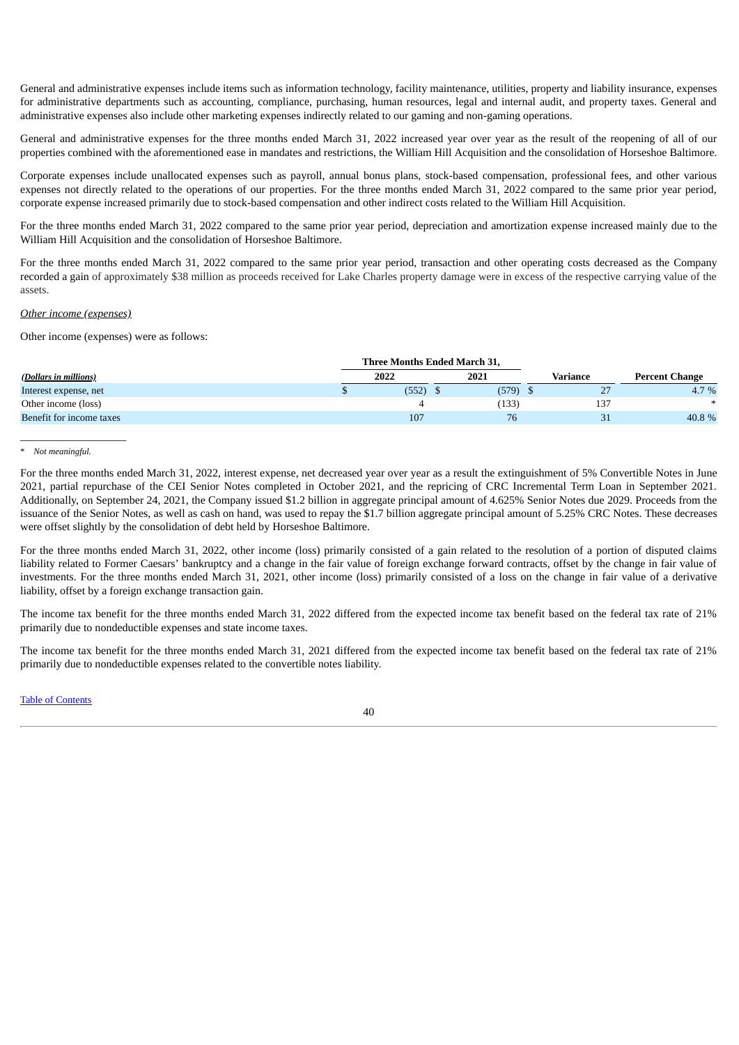General and administrative expenses include items such as information technology, facility maintenance, utilities, property and liability insurance, expenses for administrative departments such as accounting, compliance, purchasing, human resources, legal and internal audit, and property taxes. General and administrative expenses also include other marketing expenses indirectly related to our gaming and non-gaming operations.

General and administrative expenses for the three months ended March 31, 2022 increased year over year as the result of the reopening of all of our properties combined with the aforementioned ease in mandates and restrictions, the William Hill Acquisition and the consolidation of Horseshoe Baltimore.

Corporate expenses include unallocated expenses such as payroll, annual bonus plans, stock-based compensation, professional fees, and other various expenses not directly related to the operations of our properties. For the three months ended March 31, 2022 compared to the same prior year period, corporate expense increased primarily due to stock-based compensation and other indirect costs related to the William Hill Acquisition.

For the three months ended March 31, 2022 compared to the same prior year period, depreciation and amortization expense increased mainly due to the William Hill Acquisition and the consolidation of Horseshoe Baltimore.

For the three months ended March 31, 2022 compared to the same prior year period, transaction and other operating costs decreased as the Company recorded a gain of approximately \$38 million as proceeds received for Lake Charles property damage were in excess of the respective carrying value of the assets.

#### *Other income (expenses)*

Other income (expenses) were as follows:

|                          |      | Three Months Ended March 31. |       |          |                       |
|--------------------------|------|------------------------------|-------|----------|-----------------------|
| (Dollars in millions)    | 2022 |                              | 2021  | Variance | <b>Percent Change</b> |
| Interest expense, net    |      | (552)                        | (579) | ، ے      | $4.7\%$               |
| Other income (loss)      |      |                              | (133) | 137      | $\ast$                |
| Benefit for income taxes |      | 107                          | 76    | JІ       | 40.8 %                |

 $$ 

 $\_$ 

For the three months ended March 31, 2022, interest expense, net decreased year over year as a result the extinguishment of 5% Convertible Notes in June 2021, partial repurchase of the CEI Senior Notes completed in October 2021, and the repricing of CRC Incremental Term Loan in September 2021. Additionally, on September 24, 2021, the Company issued \$1.2 billion in aggregate principal amount of 4.625% Senior Notes due 2029. Proceeds from the issuance of the Senior Notes, as well as cash on hand, was used to repay the \$1.7 billion aggregate principal amount of 5.25% CRC Notes. These decreases were offset slightly by the consolidation of debt held by Horseshoe Baltimore.

For the three months ended March 31, 2022, other income (loss) primarily consisted of a gain related to the resolution of a portion of disputed claims liability related to Former Caesars' bankruptcy and a change in the fair value of foreign exchange forward contracts, offset by the change in fair value of investments. For the three months ended March 31, 2021, other income (loss) primarily consisted of a loss on the change in fair value of a derivative liability, offset by a foreign exchange transaction gain.

The income tax benefit for the three months ended March 31, 2022 differed from the expected income tax benefit based on the federal tax rate of 21% primarily due to nondeductible expenses and state income taxes.

The income tax benefit for the three months ended March 31, 2021 differed from the expected income tax benefit based on the federal tax rate of 21% primarily due to nondeductible expenses related to the convertible notes liability.

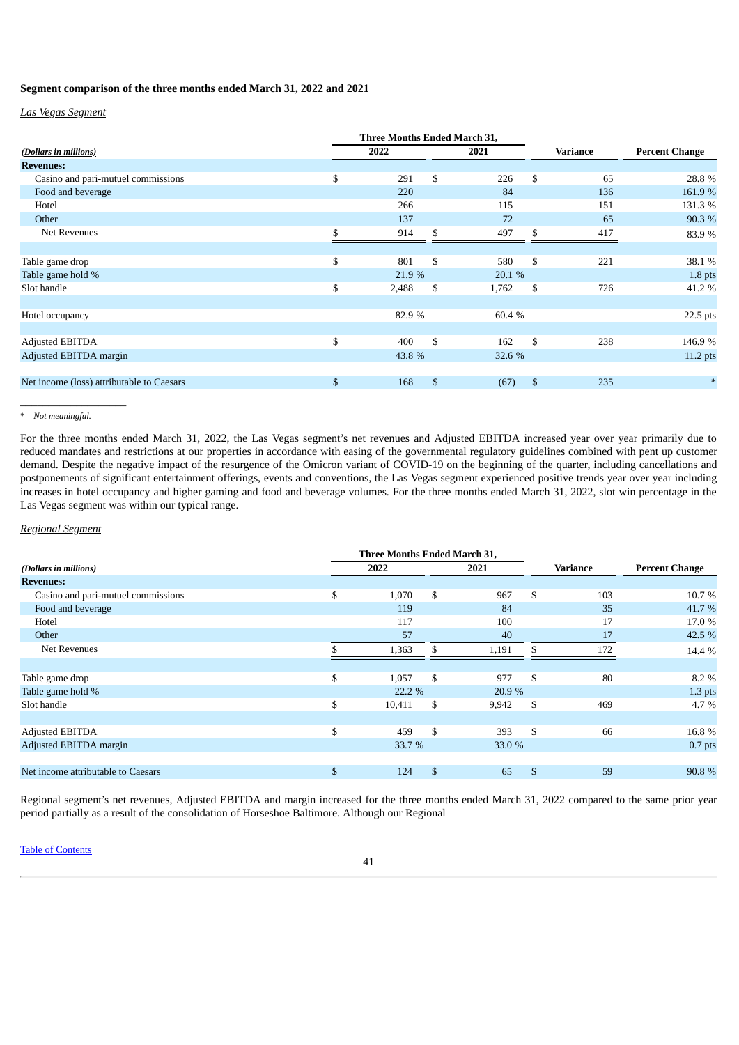## **Segment comparison of the three months ended March 31, 2022 and 2021**

#### *Las Vegas Segment*

|                                           |    | Three Months Ended March 31, |    |        |           |                       |
|-------------------------------------------|----|------------------------------|----|--------|-----------|-----------------------|
| (Dollars in millions)                     |    | 2022                         |    | 2021   | Variance  | <b>Percent Change</b> |
| <b>Revenues:</b>                          |    |                              |    |        |           |                       |
| Casino and pari-mutuel commissions        | \$ | 291                          | \$ | 226    | \$<br>65  | 28.8%                 |
| Food and beverage                         |    | 220                          |    | 84     | 136       | 161.9 %               |
| Hotel                                     |    | 266                          |    | 115    | 151       | 131.3 %               |
| Other                                     |    | 137                          |    | 72     | 65        | 90.3 %                |
| <b>Net Revenues</b>                       | ¢  | 914                          | \$ | 497    | \$<br>417 | 83.9 %                |
|                                           |    |                              |    |        |           |                       |
| Table game drop                           | \$ | 801                          | \$ | 580    | \$<br>221 | 38.1 %                |
| Table game hold %                         |    | 21.9 %                       |    | 20.1 % |           | 1.8 <sub>pts</sub>    |
| Slot handle                               | \$ | 2,488                        | \$ | 1,762  | \$<br>726 | 41.2 %                |
|                                           |    |                              |    |        |           |                       |
| Hotel occupancy                           |    | 82.9 %                       |    | 60.4 % |           | 22.5 pts              |
|                                           |    |                              |    |        |           |                       |
| Adjusted EBITDA                           | \$ | 400                          | \$ | 162    | \$<br>238 | 146.9 %               |
| Adjusted EBITDA margin                    |    | 43.8 %                       |    | 32.6 % |           | $11.2$ pts            |
|                                           |    |                              |    |        |           |                       |
| Net income (loss) attributable to Caesars | \$ | 168                          | \$ | (67)   | \$<br>235 | $\ast$                |

#### \* *Not meaningful.*

\_\_\_\_\_\_\_\_\_\_\_\_\_\_\_\_\_\_\_

For the three months ended March 31, 2022, the Las Vegas segment's net revenues and Adjusted EBITDA increased year over year primarily due to reduced mandates and restrictions at our properties in accordance with easing of the governmental regulatory guidelines combined with pent up customer demand. Despite the negative impact of the resurgence of the Omicron variant of COVID-19 on the beginning of the quarter, including cancellations and postponements of significant entertainment offerings, events and conventions, the Las Vegas segment experienced positive trends year over year including increases in hotel occupancy and higher gaming and food and beverage volumes. For the three months ended March 31, 2022, slot win percentage in the Las Vegas segment was within our typical range.

#### *Regional Segment*

|                                    | Three Months Ended March 31, |    |        |    |          |                       |
|------------------------------------|------------------------------|----|--------|----|----------|-----------------------|
| (Dollars in millions)              | 2022                         |    | 2021   |    | Variance | <b>Percent Change</b> |
| <b>Revenues:</b>                   |                              |    |        |    |          |                       |
| Casino and pari-mutuel commissions | \$<br>1,070                  | \$ | 967    | \$ | 103      | 10.7%                 |
| Food and beverage                  | 119                          |    | 84     |    | 35       | 41.7 %                |
| Hotel                              | 117                          |    | 100    |    | 17       | 17.0 %                |
| Other                              | 57                           |    | 40     |    | 17       | 42.5 %                |
| <b>Net Revenues</b>                | 1,363                        |    | 1,191  |    | 172      | 14.4 %                |
|                                    |                              |    |        |    |          |                       |
| Table game drop                    | \$<br>1,057                  | \$ | 977    | \$ | 80       | 8.2 %                 |
| Table game hold %                  | 22.2 %                       |    | 20.9 % |    |          | 1.3 <sub>pts</sub>    |
| Slot handle                        | \$<br>10,411                 | \$ | 9,942  | \$ | 469      | 4.7 %                 |
|                                    |                              |    |        |    |          |                       |
| Adjusted EBITDA                    | \$<br>459                    | \$ | 393    | \$ | 66       | 16.8%                 |
| Adjusted EBITDA margin             | 33.7 %                       |    | 33.0 % |    |          | 0.7 <sub>pts</sub>    |
|                                    |                              |    |        |    |          |                       |
| Net income attributable to Caesars | \$<br>124                    | \$ | 65     | \$ | 59       | 90.8 %                |

Regional segment's net revenues, Adjusted EBITDA and margin increased for the three months ended March 31, 2022 compared to the same prior year period partially as a result of the consolidation of Horseshoe Baltimore. Although our Regional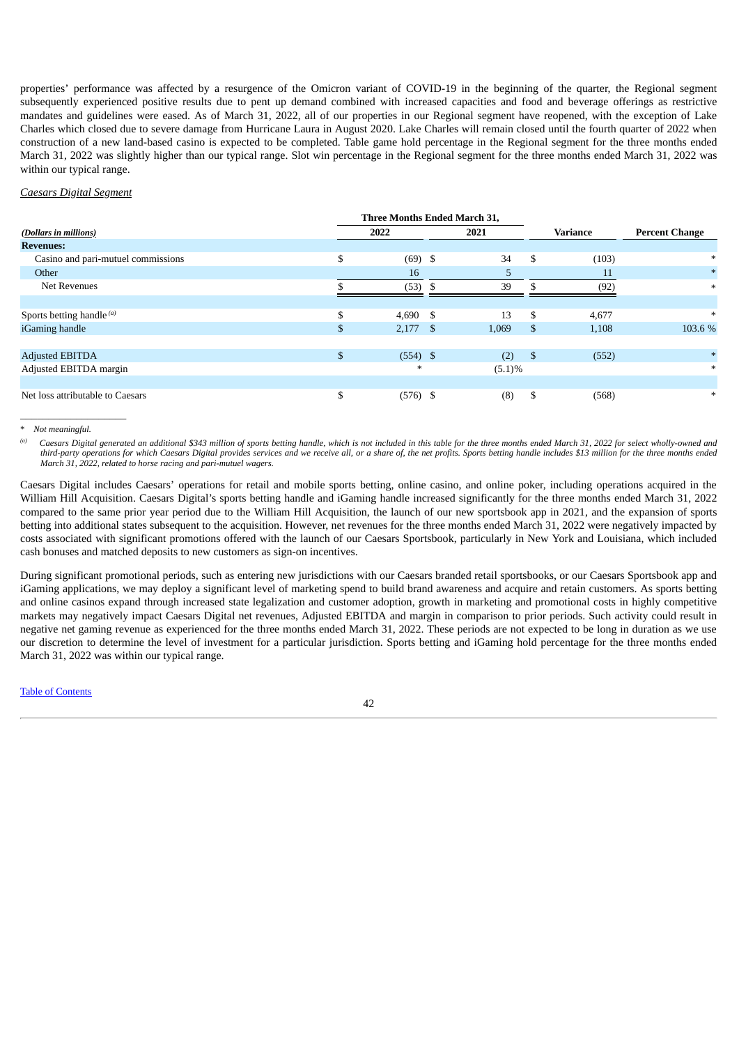properties' performance was affected by a resurgence of the Omicron variant of COVID-19 in the beginning of the quarter, the Regional segment subsequently experienced positive results due to pent up demand combined with increased capacities and food and beverage offerings as restrictive mandates and guidelines were eased. As of March 31, 2022, all of our properties in our Regional segment have reopened, with the exception of Lake Charles which closed due to severe damage from Hurricane Laura in August 2020. Lake Charles will remain closed until the fourth quarter of 2022 when construction of a new land-based casino is expected to be completed. Table game hold percentage in the Regional segment for the three months ended March 31, 2022 was slightly higher than our typical range. Slot win percentage in the Regional segment for the three months ended March 31, 2022 was within our typical range.

#### *Caesars Digital Segment*

|                                      | Three Months Ended March 31, |            |  |        |    |                 |                       |  |
|--------------------------------------|------------------------------|------------|--|--------|----|-----------------|-----------------------|--|
| (Dollars in millions)                |                              | 2022       |  | 2021   |    | <b>Variance</b> | <b>Percent Change</b> |  |
| <b>Revenues:</b>                     |                              |            |  |        |    |                 |                       |  |
| Casino and pari-mutuel commissions   | \$                           | $(69)$ \$  |  | 34     | \$ | (103)           |                       |  |
| Other                                |                              | 16         |  | 5      |    | 11              |                       |  |
| <b>Net Revenues</b>                  |                              | (53)       |  | 39     |    | (92)            |                       |  |
|                                      |                              |            |  |        |    |                 |                       |  |
| Sports betting handle <sup>(a)</sup> | \$                           | $4,690$ \$ |  | 13     | \$ | 4,677           | $\ast$                |  |
| iGaming handle                       | \$                           | $2,177$ \$ |  | 1,069  | S. | 1,108           | 103.6 %               |  |
|                                      |                              |            |  |        |    |                 |                       |  |
| <b>Adjusted EBITDA</b>               | \$                           | $(554)$ \$ |  | (2)    | \$ | (552)           |                       |  |
| Adjusted EBITDA margin               |                              | $\ast$     |  | (5.1)% |    |                 |                       |  |
|                                      |                              |            |  |        |    |                 |                       |  |
| Net loss attributable to Caesars     | \$                           | $(576)$ \$ |  | (8)    | S  | (568)           | ∗                     |  |

 $$ 

\_\_\_\_\_\_\_\_\_\_\_\_\_\_\_\_\_\_\_

Caesars Digital generated an additional \$343 million of sports betting handle, which is not included in this table for the three months ended March 31, 2022 for select wholly-owned and third-party operations for which Caesars Digital provides services and we receive all, or a share of, the net profits. Sports betting handle includes \$13 million for the three months ended *March 31, 2022, related to horse racing and pari-mutuel wagers. (a)*

Caesars Digital includes Caesars' operations for retail and mobile sports betting, online casino, and online poker, including operations acquired in the William Hill Acquisition. Caesars Digital's sports betting handle and iGaming handle increased significantly for the three months ended March 31, 2022 compared to the same prior year period due to the William Hill Acquisition, the launch of our new sportsbook app in 2021, and the expansion of sports betting into additional states subsequent to the acquisition. However, net revenues for the three months ended March 31, 2022 were negatively impacted by costs associated with significant promotions offered with the launch of our Caesars Sportsbook, particularly in New York and Louisiana, which included cash bonuses and matched deposits to new customers as sign-on incentives.

During significant promotional periods, such as entering new jurisdictions with our Caesars branded retail sportsbooks, or our Caesars Sportsbook app and iGaming applications, we may deploy a significant level of marketing spend to build brand awareness and acquire and retain customers. As sports betting and online casinos expand through increased state legalization and customer adoption, growth in marketing and promotional costs in highly competitive markets may negatively impact Caesars Digital net revenues, Adjusted EBITDA and margin in comparison to prior periods. Such activity could result in negative net gaming revenue as experienced for the three months ended March 31, 2022. These periods are not expected to be long in duration as we use our discretion to determine the level of investment for a particular jurisdiction. Sports betting and iGaming hold percentage for the three months ended March 31, 2022 was within our typical range.

[Table of Contents](#page-0-0)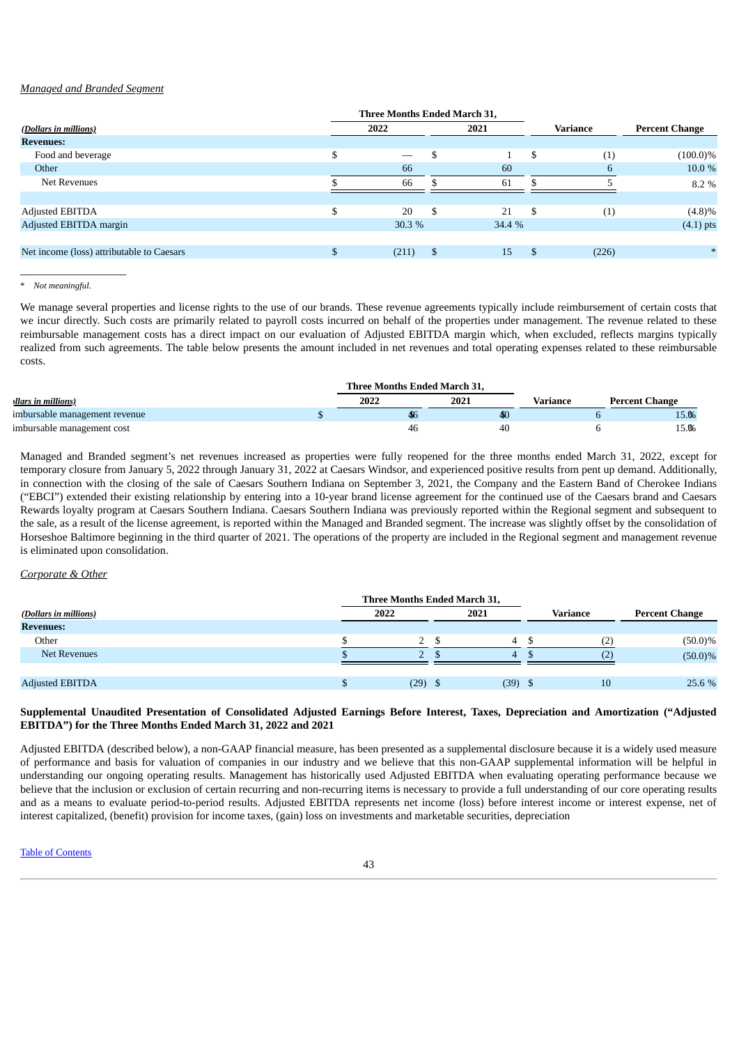## *Managed and Branded Segment*

|                                           |      |       |     | Three Months Ended March 31, |     |          |                       |
|-------------------------------------------|------|-------|-----|------------------------------|-----|----------|-----------------------|
| (Dollars in millions)                     | 2022 |       |     | 2021                         |     | Variance | <b>Percent Change</b> |
| <b>Revenues:</b>                          |      |       |     |                              |     |          |                       |
| Food and beverage                         |      |       | \$  |                              | \$  | (1)      | $(100.0)\%$           |
| Other                                     |      | 66    |     | 60                           |     | h        | 10.0 %                |
| Net Revenues                              |      | 66    |     | 61                           |     |          | 8.2 %                 |
|                                           |      |       |     |                              |     |          |                       |
| Adjusted EBITDA                           |      | 20    | -\$ | 21                           | \$  | (1)      | $(4.8)\%$             |
| Adjusted EBITDA margin                    |      | 30.3% |     | 34.4 %                       |     |          | $(4.1)$ pts           |
|                                           |      |       |     |                              |     |          |                       |
| Net income (loss) attributable to Caesars |      | (211) | \$  | 15                           | \$. | (226)    | $\ast$                |

 $Not$  *meaningful.* 

\_\_\_\_\_\_\_\_\_\_\_\_\_\_\_\_\_\_\_

We manage several properties and license rights to the use of our brands. These revenue agreements typically include reimbursement of certain costs that we incur directly. Such costs are primarily related to payroll costs incurred on behalf of the properties under management. The revenue related to these reimbursable management costs has a direct impact on our evaluation of Adjusted EBITDA margin which, when excluded, reflects margins typically realized from such agreements. The table below presents the amount included in net revenues and total operating expenses related to these reimbursable costs.

|                               | Three Months Ended March 31. |      |          |                       |
|-------------------------------|------------------------------|------|----------|-----------------------|
| <b>Ilars in millions</b> )    | 2022                         | 2021 | Variance | <b>Percent Change</b> |
| imbursable management revenue |                              |      |          | 15.0%                 |
| imbursable management cost    | 46                           | 40   |          | 15.0%                 |

Managed and Branded segment's net revenues increased as properties were fully reopened for the three months ended March 31, 2022, except for temporary closure from January 5, 2022 through January 31, 2022 at Caesars Windsor, and experienced positive results from pent up demand. Additionally, in connection with the closing of the sale of Caesars Southern Indiana on September 3, 2021, the Company and the Eastern Band of Cherokee Indians ("EBCI") extended their existing relationship by entering into a 10-year brand license agreement for the continued use of the Caesars brand and Caesars Rewards loyalty program at Caesars Southern Indiana. Caesars Southern Indiana was previously reported within the Regional segment and subsequent to the sale, as a result of the license agreement, is reported within the Managed and Branded segment. The increase was slightly offset by the consolidation of Horseshoe Baltimore beginning in the third quarter of 2021. The operations of the property are included in the Regional segment and management revenue is eliminated upon consolidation.

#### *Corporate & Other*

|                        | Three Months Ended March 31, |           |          |                       |
|------------------------|------------------------------|-----------|----------|-----------------------|
| (Dollars in millions)  | 2022                         | 2021      | Variance | <b>Percent Change</b> |
| <b>Revenues:</b>       |                              |           |          |                       |
| Other                  | 2 \$                         | 4         |          | $(50.0)\%$            |
| Net Revenues           |                              | 4         | ι∠       | $(50.0)\%$            |
|                        |                              |           |          |                       |
| <b>Adjusted EBITDA</b> | $(29)$ \$                    | $(39)$ \$ | 10       | 25.6 %                |

## Supplemental Unaudited Presentation of Consolidated Adjusted Earnings Before Interest, Taxes, Depreciation and Amortization ("Adjusted **EBITDA") for the Three Months Ended March 31, 2022 and 2021**

Adjusted EBITDA (described below), a non-GAAP financial measure, has been presented as a supplemental disclosure because it is a widely used measure of performance and basis for valuation of companies in our industry and we believe that this non-GAAP supplemental information will be helpful in understanding our ongoing operating results. Management has historically used Adjusted EBITDA when evaluating operating performance because we believe that the inclusion or exclusion of certain recurring and non-recurring items is necessary to provide a full understanding of our core operating results and as a means to evaluate period-to-period results. Adjusted EBITDA represents net income (loss) before interest income or interest expense, net of interest capitalized, (benefit) provision for income taxes, (gain) loss on investments and marketable securities, depreciation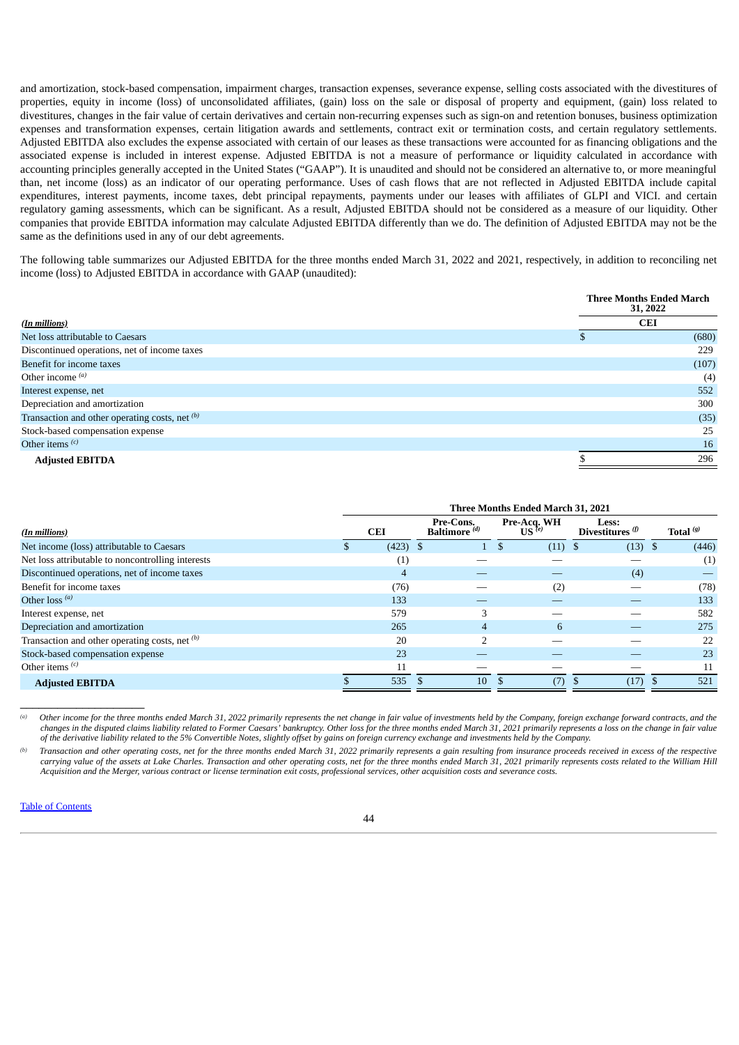and amortization, stock-based compensation, impairment charges, transaction expenses, severance expense, selling costs associated with the divestitures of properties, equity in income (loss) of unconsolidated affiliates, (gain) loss on the sale or disposal of property and equipment, (gain) loss related to divestitures, changes in the fair value of certain derivatives and certain non-recurring expenses such as sign-on and retention bonuses, business optimization expenses and transformation expenses, certain litigation awards and settlements, contract exit or termination costs, and certain regulatory settlements. Adjusted EBITDA also excludes the expense associated with certain of our leases as these transactions were accounted for as financing obligations and the associated expense is included in interest expense. Adjusted EBITDA is not a measure of performance or liquidity calculated in accordance with accounting principles generally accepted in the United States ("GAAP"). It is unaudited and should not be considered an alternative to, or more meaningful than, net income (loss) as an indicator of our operating performance. Uses of cash flows that are not reflected in Adjusted EBITDA include capital expenditures, interest payments, income taxes, debt principal repayments, payments under our leases with affiliates of GLPI and VICI. and certain regulatory gaming assessments, which can be significant. As a result, Adjusted EBITDA should not be considered as a measure of our liquidity. Other companies that provide EBITDA information may calculate Adjusted EBITDA differently than we do. The definition of Adjusted EBITDA may not be the same as the definitions used in any of our debt agreements.

The following table summarizes our Adjusted EBITDA for the three months ended March 31, 2022 and 2021, respectively, in addition to reconciling net income (loss) to Adjusted EBITDA in accordance with GAAP (unaudited):

|                                                | <b>Three Months Ended March</b><br>31, 2022 |       |  |  |  |
|------------------------------------------------|---------------------------------------------|-------|--|--|--|
| (In millions)                                  | <b>CEI</b>                                  |       |  |  |  |
| Net loss attributable to Caesars               |                                             | (680) |  |  |  |
| Discontinued operations, net of income taxes   |                                             | 229   |  |  |  |
| Benefit for income taxes                       |                                             | (107) |  |  |  |
| Other income $(a)$                             |                                             | (4)   |  |  |  |
| Interest expense, net                          |                                             | 552   |  |  |  |
| Depreciation and amortization                  |                                             | 300   |  |  |  |
| Transaction and other operating costs, net (b) |                                             | (35)  |  |  |  |
| Stock-based compensation expense               |                                             | 25    |  |  |  |
| Other items $(c)$                              |                                             | 16    |  |  |  |
| <b>Adjusted EBITDA</b>                         |                                             | 296   |  |  |  |

|                                                   | Three Months Ended March 31, 2021 |            |  |                                       |    |                           |                                      |  |                      |
|---------------------------------------------------|-----------------------------------|------------|--|---------------------------------------|----|---------------------------|--------------------------------------|--|----------------------|
| (In millions)                                     |                                   | <b>CEI</b> |  | Pre-Cons.<br>Baltimore <sup>(d)</sup> |    | Pre-Acq. WH<br>$US^{(e)}$ | Less:<br>Divestitures <sup>(f)</sup> |  | Total <sup>(g)</sup> |
| Net income (loss) attributable to Caesars         |                                   | $(423)$ \$ |  | $\pm$                                 | \$ | (11)                      | $(13)$ \$<br>- \$                    |  | (446)                |
| Net loss attributable to noncontrolling interests |                                   | (1)        |  |                                       |    |                           |                                      |  | (1)                  |
| Discontinued operations, net of income taxes      |                                   | 4          |  |                                       |    |                           | (4)                                  |  |                      |
| Benefit for income taxes                          |                                   | (76)       |  |                                       |    | (2)                       |                                      |  | (78)                 |
| Other loss $(a)$                                  |                                   | 133        |  |                                       |    |                           |                                      |  | 133                  |
| Interest expense, net                             |                                   | 579        |  | 3                                     |    |                           |                                      |  | 582                  |
| Depreciation and amortization                     |                                   | 265        |  | 4                                     |    | 6                         |                                      |  | 275                  |
| Transaction and other operating costs, net (b)    |                                   | 20         |  | C.                                    |    |                           |                                      |  | 22                   |
| Stock-based compensation expense                  |                                   | 23         |  |                                       |    |                           |                                      |  | 23                   |
| Other items $(c)$                                 |                                   | 11         |  |                                       |    |                           |                                      |  | 11                   |
| <b>Adjusted EBITDA</b>                            |                                   | 535        |  | 10                                    |    | (7)                       | (17)                                 |  | 521                  |

Other income for the three months ended March 31, 2022 primarily represents the net change in fair value of investments held by the Company, foreign exchange forward contracts, and the changes in the disputed claims liability related to Former Caesars' bankruptcy. Other loss for the three months ended March 31, 2021 primarily represents a loss on the change in fair value of the derivative liability related to the 5% Convertible Notes, slightly offset by gains on foreign currency exchange and investments held by the Company. *(a)*

Transaction and other operating costs, net for the three months ended March 31, 2022 primarily represents a gain resulting from insurance proceeds received in excess of the respective carrying value of the assets at Lake Charles. Transaction and other operating costs, net for the three months ended March 31, 2021 primarily represents costs related to the William Hill Acquisition and the Merger, various contract or license termination exit costs, professional services, other acquisition costs and severance costs. *(b)*

 $\_$ 

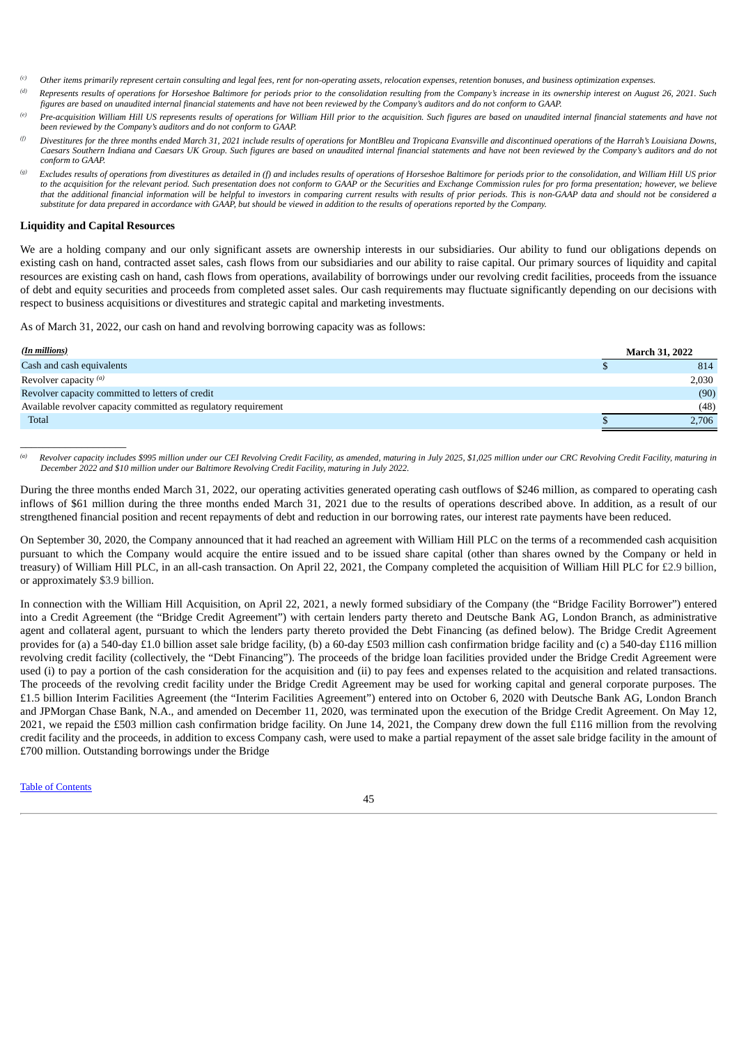- Other items primarily represent certain consulting and legal fees, rent for non-operating assets, relocation expenses, retention bonuses, and business optimization expenses. *(c)*
- Represents results of operations for Horseshoe Baltimore for periods prior to the consolidation resulting from the Company's increase in its ownership interest on August 26, 2021. Such figures are based on unaudited internal financial statements and have not been reviewed by the Company's auditors and do not conform to GAAP. *(d)*
- Pre-acquisition William Hill US represents results of operations for William Hill prior to the acquisition. Such figures are based on unaudited internal financial statements and have not *been reviewed by the Company's auditors and do not conform to GAAP. (e)*
- Divestitures for the three months ended March 31 2021 include results of operations for MontBleu and Tropicana Evansville and discontinued operations of the Harrah's Louisiana Downs Caesars Southern Indiana and Caesars UK Group. Such figures are based on unaudited internal financial statements and have not been reviewed by the Company's auditors and do not *conform to GAAP. (f)*
- Excludes results of operations from divestitures as detailed in (f) and includes results of operations of Horseshoe Baltimore for periods prior to the consolidation, and William Hill US prior to the acquisition for the relevant period. Such presentation does not conform to GAAP or the Securities and Exchange Commission rules for pro forma presentation; however, we believe that the additional financial information will be helpful to investors in comparing current results with results of prior periods. This is non-GAAP data and should not be considered a substitute for data prepared in accordance with GAAP, but should be viewed in addition to the results of operations reported by the Company. *(g)*

#### **Liquidity and Capital Resources**

\_\_\_\_\_\_\_\_\_\_\_\_\_\_\_\_\_\_\_

We are a holding company and our only significant assets are ownership interests in our subsidiaries. Our ability to fund our obligations depends on existing cash on hand, contracted asset sales, cash flows from our subsidiaries and our ability to raise capital. Our primary sources of liquidity and capital resources are existing cash on hand, cash flows from operations, availability of borrowings under our revolving credit facilities, proceeds from the issuance of debt and equity securities and proceeds from completed asset sales. Our cash requirements may fluctuate significantly depending on our decisions with respect to business acquisitions or divestitures and strategic capital and marketing investments.

As of March 31, 2022, our cash on hand and revolving borrowing capacity was as follows:

| (In millions)                                                   | <b>March 31, 2022</b> |
|-----------------------------------------------------------------|-----------------------|
| Cash and cash equivalents                                       | 814                   |
| Revolver capacity <sup>(a)</sup>                                | 2,030                 |
| Revolver capacity committed to letters of credit                | (90)                  |
| Available revolver capacity committed as regulatory requirement | (48)                  |
| Total                                                           | 2,706                 |

Revolver capacity includes \$995 million under our CEI Revolving Credit Facility, as amended, maturing in July 2025, \$1,025 million under our CRC Revolving Credit Facility, maturing in *December 2022 and \$10 million under our Baltimore Revolving Credit Facility, maturing in July 2022. (a)*

During the three months ended March 31, 2022, our operating activities generated operating cash outflows of \$246 million, as compared to operating cash inflows of \$61 million during the three months ended March 31, 2021 due to the results of operations described above. In addition, as a result of our strengthened financial position and recent repayments of debt and reduction in our borrowing rates, our interest rate payments have been reduced.

On September 30, 2020, the Company announced that it had reached an agreement with William Hill PLC on the terms of a recommended cash acquisition pursuant to which the Company would acquire the entire issued and to be issued share capital (other than shares owned by the Company or held in treasury) of William Hill PLC, in an all-cash transaction. On April 22, 2021, the Company completed the acquisition of William Hill PLC for £2.9 billion, or approximately \$3.9 billion.

In connection with the William Hill Acquisition, on April 22, 2021, a newly formed subsidiary of the Company (the "Bridge Facility Borrower") entered into a Credit Agreement (the "Bridge Credit Agreement") with certain lenders party thereto and Deutsche Bank AG, London Branch, as administrative agent and collateral agent, pursuant to which the lenders party thereto provided the Debt Financing (as defined below). The Bridge Credit Agreement provides for (a) a 540-day £1.0 billion asset sale bridge facility, (b) a 60-day £503 million cash confirmation bridge facility and (c) a 540-day £116 million revolving credit facility (collectively, the "Debt Financing"). The proceeds of the bridge loan facilities provided under the Bridge Credit Agreement were used (i) to pay a portion of the cash consideration for the acquisition and (ii) to pay fees and expenses related to the acquisition and related transactions. The proceeds of the revolving credit facility under the Bridge Credit Agreement may be used for working capital and general corporate purposes. The £1.5 billion Interim Facilities Agreement (the "Interim Facilities Agreement") entered into on October 6, 2020 with Deutsche Bank AG, London Branch and JPMorgan Chase Bank, N.A., and amended on December 11, 2020, was terminated upon the execution of the Bridge Credit Agreement. On May 12, 2021, we repaid the £503 million cash confirmation bridge facility. On June 14, 2021, the Company drew down the full £116 million from the revolving credit facility and the proceeds, in addition to excess Company cash, were used to make a partial repayment of the asset sale bridge facility in the amount of £700 million. Outstanding borrowings under the Bridge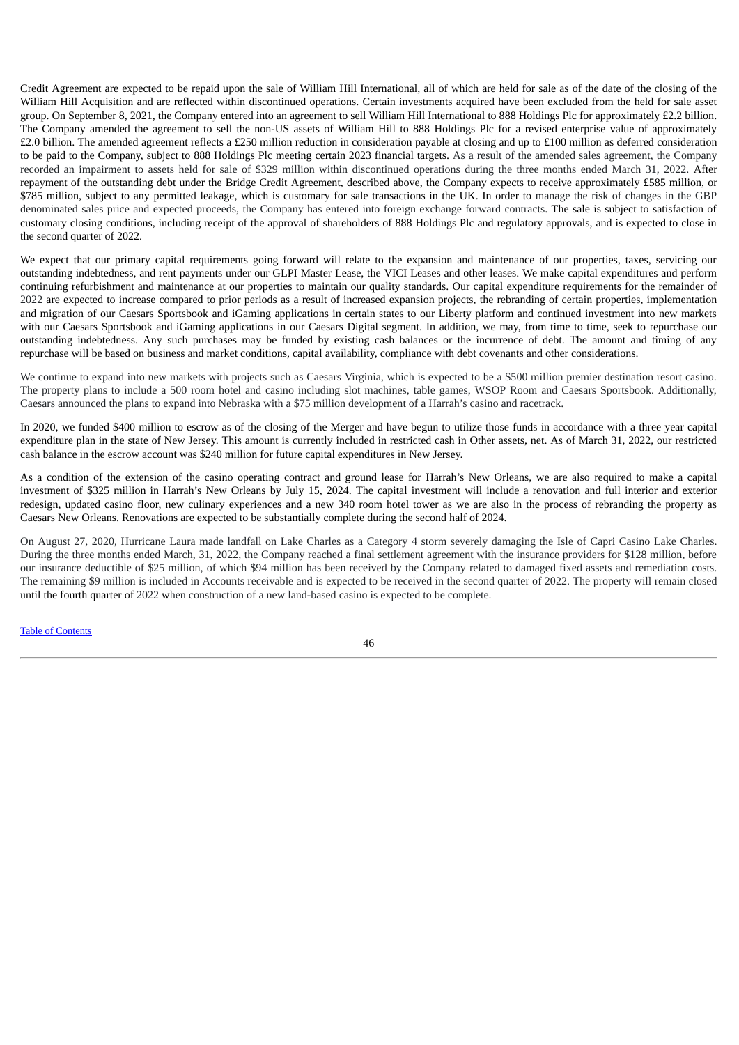Credit Agreement are expected to be repaid upon the sale of William Hill International, all of which are held for sale as of the date of the closing of the William Hill Acquisition and are reflected within discontinued operations. Certain investments acquired have been excluded from the held for sale asset group. On September 8, 2021, the Company entered into an agreement to sell William Hill International to 888 Holdings Plc for approximately £2.2 billion. The Company amended the agreement to sell the non-US assets of William Hill to 888 Holdings Plc for a revised enterprise value of approximately £2.0 billion. The amended agreement reflects a £250 million reduction in consideration payable at closing and up to £100 million as deferred consideration to be paid to the Company, subject to 888 Holdings Plc meeting certain 2023 financial targets. As a result of the amended sales agreement, the Company recorded an impairment to assets held for sale of \$329 million within discontinued operations during the three months ended March 31, 2022. After repayment of the outstanding debt under the Bridge Credit Agreement, described above, the Company expects to receive approximately £585 million, or \$785 million, subject to any permitted leakage, which is customary for sale transactions in the UK. In order to manage the risk of changes in the GBP denominated sales price and expected proceeds, the Company has entered into foreign exchange forward contracts. The sale is subject to satisfaction of customary closing conditions, including receipt of the approval of shareholders of 888 Holdings Plc and regulatory approvals, and is expected to close in the second quarter of 2022.

We expect that our primary capital requirements going forward will relate to the expansion and maintenance of our properties, taxes, servicing our outstanding indebtedness, and rent payments under our GLPI Master Lease, the VICI Leases and other leases. We make capital expenditures and perform continuing refurbishment and maintenance at our properties to maintain our quality standards. Our capital expenditure requirements for the remainder of 2022 are expected to increase compared to prior periods as a result of increased expansion projects, the rebranding of certain properties, implementation and migration of our Caesars Sportsbook and iGaming applications in certain states to our Liberty platform and continued investment into new markets with our Caesars Sportsbook and iGaming applications in our Caesars Digital segment. In addition, we may, from time to time, seek to repurchase our outstanding indebtedness. Any such purchases may be funded by existing cash balances or the incurrence of debt. The amount and timing of any repurchase will be based on business and market conditions, capital availability, compliance with debt covenants and other considerations.

We continue to expand into new markets with projects such as Caesars Virginia, which is expected to be a \$500 million premier destination resort casino. The property plans to include a 500 room hotel and casino including slot machines, table games, WSOP Room and Caesars Sportsbook. Additionally, Caesars announced the plans to expand into Nebraska with a \$75 million development of a Harrah's casino and racetrack.

In 2020, we funded \$400 million to escrow as of the closing of the Merger and have begun to utilize those funds in accordance with a three year capital expenditure plan in the state of New Jersey. This amount is currently included in restricted cash in Other assets, net. As of March 31, 2022, our restricted cash balance in the escrow account was \$240 million for future capital expenditures in New Jersey.

As a condition of the extension of the casino operating contract and ground lease for Harrah's New Orleans, we are also required to make a capital investment of \$325 million in Harrah's New Orleans by July 15, 2024. The capital investment will include a renovation and full interior and exterior redesign, updated casino floor, new culinary experiences and a new 340 room hotel tower as we are also in the process of rebranding the property as Caesars New Orleans. Renovations are expected to be substantially complete during the second half of 2024.

On August 27, 2020, Hurricane Laura made landfall on Lake Charles as a Category 4 storm severely damaging the Isle of Capri Casino Lake Charles. During the three months ended March, 31, 2022, the Company reached a final settlement agreement with the insurance providers for \$128 million, before our insurance deductible of \$25 million, of which \$94 million has been received by the Company related to damaged fixed assets and remediation costs. The remaining \$9 million is included in Accounts receivable and is expected to be received in the second quarter of 2022. The property will remain closed until the fourth quarter of 2022 when construction of a new land-based casino is expected to be complete.

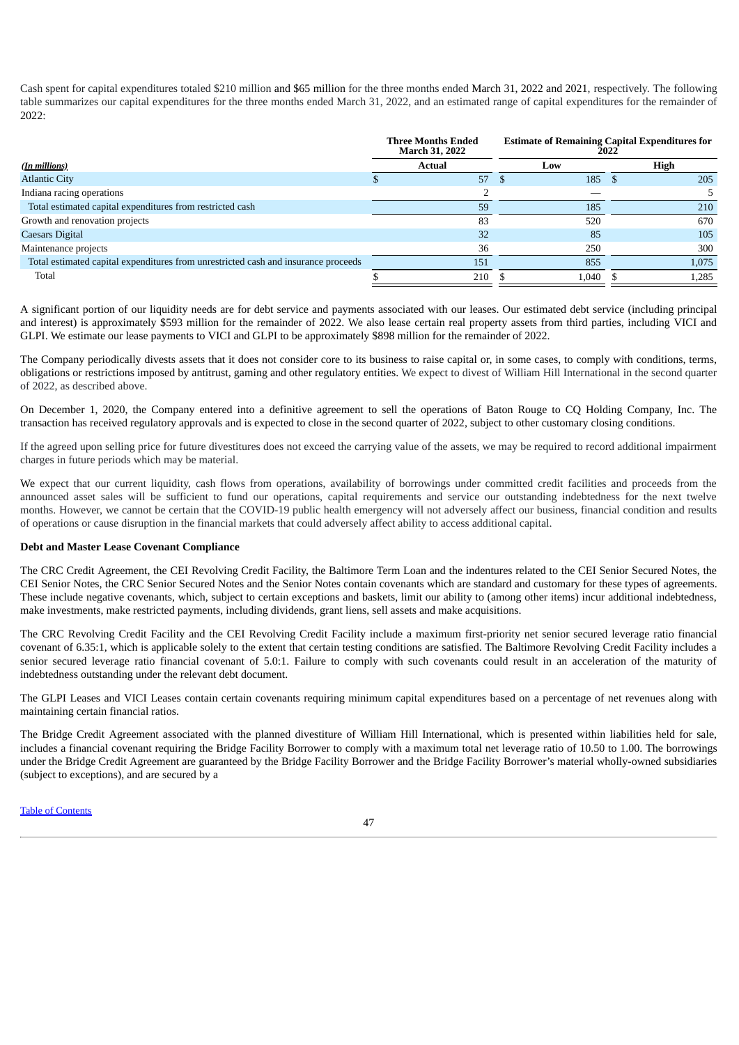Cash spent for capital expenditures totaled \$210 million and \$65 million for the three months ended March 31, 2022 and 2021, respectively. The following table summarizes our capital expenditures for the three months ended March 31, 2022, and an estimated range of capital expenditures for the remainder of  $2022$ 

|                                                                                    | <b>Three Months Ended</b><br><b>March 31, 2022</b> |     |       | <b>Estimate of Remaining Capital Expenditures for</b><br>2022 |  |  |
|------------------------------------------------------------------------------------|----------------------------------------------------|-----|-------|---------------------------------------------------------------|--|--|
| (In millions)                                                                      | Actual                                             |     | Low   | High                                                          |  |  |
| <b>Atlantic City</b>                                                               |                                                    | 57  | 185   | 205                                                           |  |  |
| Indiana racing operations                                                          |                                                    |     |       |                                                               |  |  |
| Total estimated capital expenditures from restricted cash                          |                                                    | 59  | 185   | 210                                                           |  |  |
| Growth and renovation projects                                                     |                                                    | 83  | 520   | 670                                                           |  |  |
| Caesars Digital                                                                    |                                                    | 32  | 85    | 105                                                           |  |  |
| Maintenance projects                                                               |                                                    | 36  | 250   | 300                                                           |  |  |
| Total estimated capital expenditures from unrestricted cash and insurance proceeds |                                                    | 151 | 855   | 1,075                                                         |  |  |
| Total                                                                              |                                                    | 210 | 1,040 | 1,285                                                         |  |  |

A significant portion of our liquidity needs are for debt service and payments associated with our leases. Our estimated debt service (including principal and interest) is approximately \$593 million for the remainder of 2022. We also lease certain real property assets from third parties, including VICI and GLPI. We estimate our lease payments to VICI and GLPI to be approximately \$898 million for the remainder of 2022.

The Company periodically divests assets that it does not consider core to its business to raise capital or, in some cases, to comply with conditions, terms, obligations or restrictions imposed by antitrust, gaming and other regulatory entities. We expect to divest of William Hill International in the second quarter of 2022, as described above.

On December 1, 2020, the Company entered into a definitive agreement to sell the operations of Baton Rouge to CQ Holding Company, Inc. The transaction has received regulatory approvals and is expected to close in the second quarter of 2022, subject to other customary closing conditions.

If the agreed upon selling price for future divestitures does not exceed the carrying value of the assets, we may be required to record additional impairment charges in future periods which may be material.

We expect that our current liquidity, cash flows from operations, availability of borrowings under committed credit facilities and proceeds from the announced asset sales will be sufficient to fund our operations, capital requirements and service our outstanding indebtedness for the next twelve months. However, we cannot be certain that the COVID-19 public health emergency will not adversely affect our business, financial condition and results of operations or cause disruption in the financial markets that could adversely affect ability to access additional capital.

## **Debt and Master Lease Covenant Compliance**

The CRC Credit Agreement, the CEI Revolving Credit Facility, the Baltimore Term Loan and the indentures related to the CEI Senior Secured Notes, the CEI Senior Notes, the CRC Senior Secured Notes and the Senior Notes contain covenants which are standard and customary for these types of agreements. These include negative covenants, which, subject to certain exceptions and baskets, limit our ability to (among other items) incur additional indebtedness, make investments, make restricted payments, including dividends, grant liens, sell assets and make acquisitions.

The CRC Revolving Credit Facility and the CEI Revolving Credit Facility include a maximum first-priority net senior secured leverage ratio financial covenant of 6.35:1, which is applicable solely to the extent that certain testing conditions are satisfied. The Baltimore Revolving Credit Facility includes a senior secured leverage ratio financial covenant of 5.0:1. Failure to comply with such covenants could result in an acceleration of the maturity of indebtedness outstanding under the relevant debt document.

The GLPI Leases and VICI Leases contain certain covenants requiring minimum capital expenditures based on a percentage of net revenues along with maintaining certain financial ratios.

The Bridge Credit Agreement associated with the planned divestiture of William Hill International, which is presented within liabilities held for sale, includes a financial covenant requiring the Bridge Facility Borrower to comply with a maximum total net leverage ratio of 10.50 to 1.00. The borrowings under the Bridge Credit Agreement are guaranteed by the Bridge Facility Borrower and the Bridge Facility Borrower's material wholly-owned subsidiaries (subject to exceptions), and are secured by a

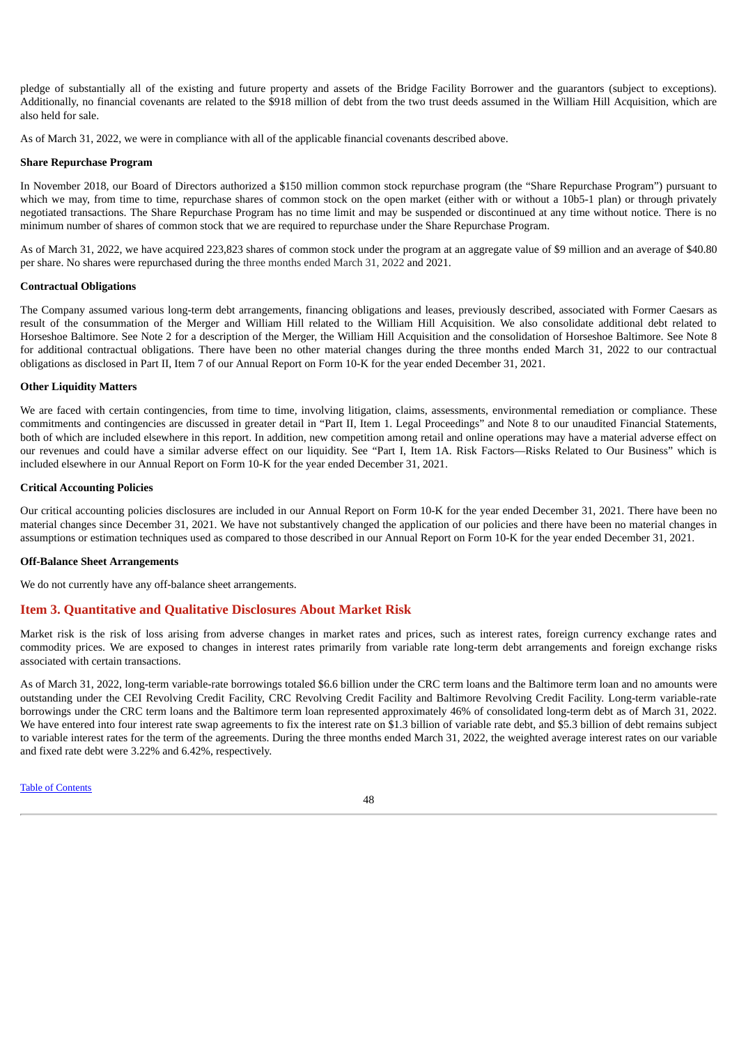pledge of substantially all of the existing and future property and assets of the Bridge Facility Borrower and the guarantors (subject to exceptions). Additionally, no financial covenants are related to the \$918 million of debt from the two trust deeds assumed in the William Hill Acquisition, which are also held for sale.

As of March 31, 2022, we were in compliance with all of the applicable financial covenants described above.

#### **Share Repurchase Program**

In November 2018, our Board of Directors authorized a \$150 million common stock repurchase program (the "Share Repurchase Program") pursuant to which we may, from time to time, repurchase shares of common stock on the open market (either with or without a 10b5-1 plan) or through privately negotiated transactions. The Share Repurchase Program has no time limit and may be suspended or discontinued at any time without notice. There is no minimum number of shares of common stock that we are required to repurchase under the Share Repurchase Program.

As of March 31, 2022, we have acquired 223,823 shares of common stock under the program at an aggregate value of \$9 million and an average of \$40.80 per share. No shares were repurchased during the three months ended March 31, 2022 and 2021.

#### **Contractual Obligations**

The Company assumed various long-term debt arrangements, financing obligations and leases, previously described, associated with Former Caesars as result of the consummation of the Merger and William Hill related to the William Hill Acquisition. We also consolidate additional debt related to Horseshoe Baltimore. See Note 2 for a description of the Merger, the William Hill Acquisition and the consolidation of Horseshoe Baltimore. See Note 8 for additional contractual obligations. There have been no other material changes during the three months ended March 31, 2022 to our contractual obligations as disclosed in Part II, Item 7 of our Annual Report on Form 10-K for the year ended December 31, 2021.

#### **Other Liquidity Matters**

We are faced with certain contingencies, from time to time, involving litigation, claims, assessments, environmental remediation or compliance. These commitments and contingencies are discussed in greater detail in "Part II, Item 1. Legal Proceedings" and Note 8 to our unaudited Financial Statements, both of which are included elsewhere in this report. In addition, new competition among retail and online operations may have a material adverse effect on our revenues and could have a similar adverse effect on our liquidity. See "Part I, Item 1A. Risk Factors—Risks Related to Our Business" which is included elsewhere in our Annual Report on Form 10-K for the year ended December 31, 2021.

#### **Critical Accounting Policies**

Our critical accounting policies disclosures are included in our Annual Report on Form 10-K for the year ended December 31, 2021. There have been no material changes since December 31, 2021. We have not substantively changed the application of our policies and there have been no material changes in assumptions or estimation techniques used as compared to those described in our Annual Report on Form 10-K for the year ended December 31, 2021.

#### **Off-Balance Sheet Arrangements**

<span id="page-48-0"></span>We do not currently have any off-balance sheet arrangements.

## **Item 3. Quantitative and Qualitative Disclosures About Market Risk**

Market risk is the risk of loss arising from adverse changes in market rates and prices, such as interest rates, foreign currency exchange rates and commodity prices. We are exposed to changes in interest rates primarily from variable rate long-term debt arrangements and foreign exchange risks associated with certain transactions.

As of March 31, 2022, long-term variable-rate borrowings totaled \$6.6 billion under the CRC term loans and the Baltimore term loan and no amounts were outstanding under the CEI Revolving Credit Facility, CRC Revolving Credit Facility and Baltimore Revolving Credit Facility. Long-term variable-rate borrowings under the CRC term loans and the Baltimore term loan represented approximately 46% of consolidated long-term debt as of March 31, 2022. We have entered into four interest rate swap agreements to fix the interest rate on \$1.3 billion of variable rate debt, and \$5.3 billion of debt remains subject to variable interest rates for the term of the agreements. During the three months ended March 31, 2022, the weighted average interest rates on our variable and fixed rate debt were 3.22% and 6.42%, respectively.

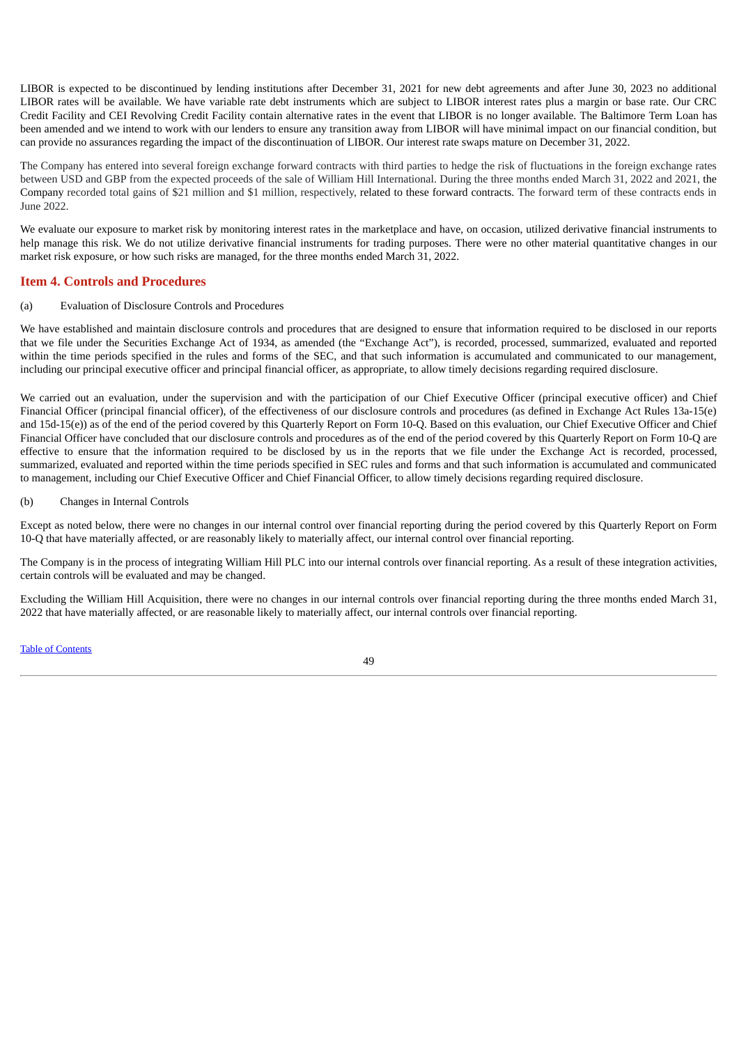LIBOR is expected to be discontinued by lending institutions after December 31, 2021 for new debt agreements and after June 30, 2023 no additional LIBOR rates will be available. We have variable rate debt instruments which are subject to LIBOR interest rates plus a margin or base rate. Our CRC Credit Facility and CEI Revolving Credit Facility contain alternative rates in the event that LIBOR is no longer available. The Baltimore Term Loan has been amended and we intend to work with our lenders to ensure any transition away from LIBOR will have minimal impact on our financial condition, but can provide no assurances regarding the impact of the discontinuation of LIBOR. Our interest rate swaps mature on December 31, 2022.

The Company has entered into several foreign exchange forward contracts with third parties to hedge the risk of fluctuations in the foreign exchange rates between USD and GBP from the expected proceeds of the sale of William Hill International. During the three months ended March 31, 2022 and 2021, the Company recorded total gains of \$21 million and \$1 million, respectively, related to these forward contracts. The forward term of these contracts ends in June 2022.

We evaluate our exposure to market risk by monitoring interest rates in the marketplace and have, on occasion, utilized derivative financial instruments to help manage this risk. We do not utilize derivative financial instruments for trading purposes. There were no other material quantitative changes in our market risk exposure, or how such risks are managed, for the three months ended March 31, 2022.

## <span id="page-49-0"></span>**Item 4. Controls and Procedures**

(a) Evaluation of Disclosure Controls and Procedures

We have established and maintain disclosure controls and procedures that are designed to ensure that information required to be disclosed in our reports that we file under the Securities Exchange Act of 1934, as amended (the "Exchange Act"), is recorded, processed, summarized, evaluated and reported within the time periods specified in the rules and forms of the SEC, and that such information is accumulated and communicated to our management, including our principal executive officer and principal financial officer, as appropriate, to allow timely decisions regarding required disclosure.

We carried out an evaluation, under the supervision and with the participation of our Chief Executive Officer (principal executive officer) and Chief Financial Officer (principal financial officer), of the effectiveness of our disclosure controls and procedures (as defined in Exchange Act Rules 13a-15(e) and 15d-15(e)) as of the end of the period covered by this Quarterly Report on Form 10-Q. Based on this evaluation, our Chief Executive Officer and Chief Financial Officer have concluded that our disclosure controls and procedures as of the end of the period covered by this Quarterly Report on Form 10-Q are effective to ensure that the information required to be disclosed by us in the reports that we file under the Exchange Act is recorded, processed, summarized, evaluated and reported within the time periods specified in SEC rules and forms and that such information is accumulated and communicated to management, including our Chief Executive Officer and Chief Financial Officer, to allow timely decisions regarding required disclosure.

## (b) Changes in Internal Controls

Except as noted below, there were no changes in our internal control over financial reporting during the period covered by this Quarterly Report on Form 10‑Q that have materially affected, or are reasonably likely to materially affect, our internal control over financial reporting.

The Company is in the process of integrating William Hill PLC into our internal controls over financial reporting. As a result of these integration activities, certain controls will be evaluated and may be changed.

Excluding the William Hill Acquisition, there were no changes in our internal controls over financial reporting during the three months ended March 31, 2022 that have materially affected, or are reasonable likely to materially affect, our internal controls over financial reporting.

<span id="page-49-1"></span>[Table of Contents](#page-0-0)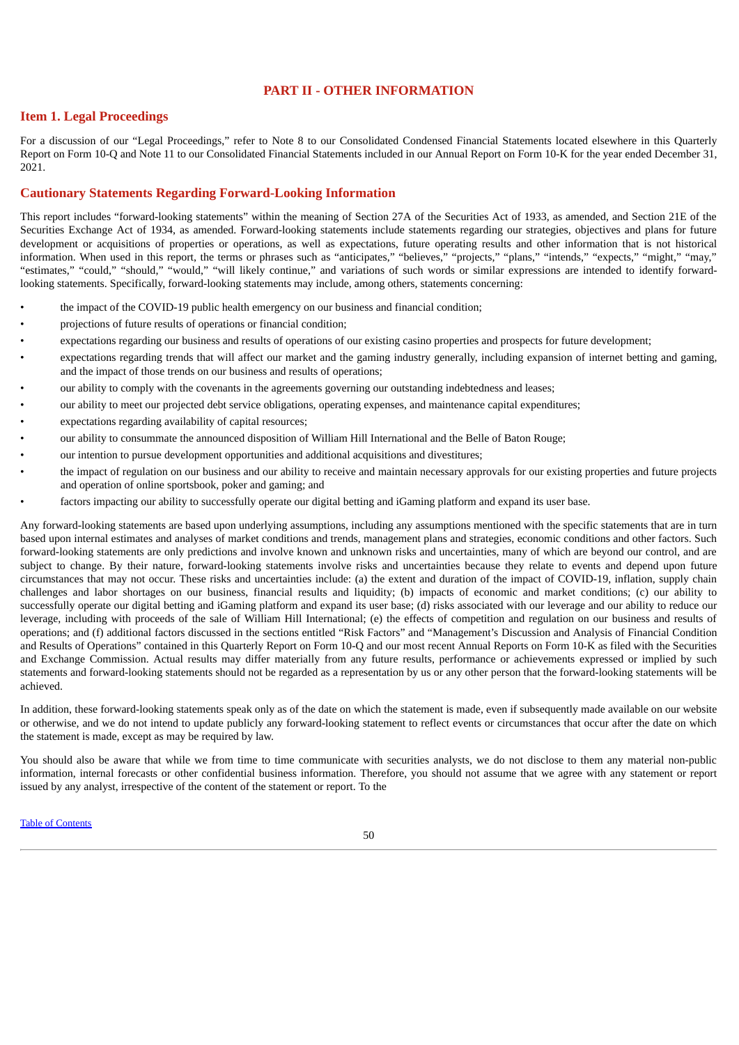## **PART II - OTHER INFORMATION**

## <span id="page-50-0"></span>**Item 1. Legal Proceedings**

For a discussion of our "Legal Proceedings," refer to Note 8 to our Consolidated Condensed Financial Statements located elsewhere in this Quarterly Report on Form 10-Q and Note 11 to our Consolidated Financial Statements included in our Annual Report on Form 10-K for the year ended December 31, 2021.

## **Cautionary Statements Regarding Forward-Looking Information**

This report includes "forward-looking statements" within the meaning of Section 27A of the Securities Act of 1933, as amended, and Section 21E of the Securities Exchange Act of 1934, as amended. Forward-looking statements include statements regarding our strategies, objectives and plans for future development or acquisitions of properties or operations, as well as expectations, future operating results and other information that is not historical development or acquisitions or properties or operations, as well as expectations, rather operating results and once movements and a report intends," "may," information. When used in this report, the terms or phrases such a "estimates," "could," "should," "would," "will likely continue," and variations of such words or similar expressions are intended to identify forwardlooking statements. Specifically, forward-looking statements may include, among others, statements concerning:

- the impact of the COVID-19 public health emergency on our business and financial condition;
- projections of future results of operations or financial condition;
- expectations regarding our business and results of operations of our existing casino properties and prospects for future development;
- expectations regarding trends that will affect our market and the gaming industry generally, including expansion of internet betting and gaming, and the impact of those trends on our business and results of operations;
- our ability to comply with the covenants in the agreements governing our outstanding indebtedness and leases;
- our ability to meet our projected debt service obligations, operating expenses, and maintenance capital expenditures;
- expectations regarding availability of capital resources;
- our ability to consummate the announced disposition of William Hill International and the Belle of Baton Rouge;
- our intention to pursue development opportunities and additional acquisitions and divestitures;
- the impact of regulation on our business and our ability to receive and maintain necessary approvals for our existing properties and future projects and operation of online sportsbook, poker and gaming; and
- factors impacting our ability to successfully operate our digital betting and iGaming platform and expand its user base.

Any forward-looking statements are based upon underlying assumptions, including any assumptions mentioned with the specific statements that are in turn based upon internal estimates and analyses of market conditions and trends, management plans and strategies, economic conditions and other factors. Such forward-looking statements are only predictions and involve known and unknown risks and uncertainties, many of which are beyond our control, and are subject to change. By their nature, forward-looking statements involve risks and uncertainties because they relate to events and depend upon future circumstances that may not occur. These risks and uncertainties include: (a) the extent and duration of the impact of COVID-19, inflation, supply chain challenges and labor shortages on our business, financial results and liquidity; (b) impacts of economic and market conditions; (c) our ability to successfully operate our digital betting and iGaming platform and expand its user base; (d) risks associated with our leverage and our ability to reduce our leverage, including with proceeds of the sale of William Hill International; (e) the effects of competition and regulation on our business and results of operations; and (f) additional factors discussed in the sections entitled "Risk Factors" and "Management's Discussion and Analysis of Financial Condition and Results of Operations" contained in this Quarterly Report on Form 10-Q and our most recent Annual Reports on Form 10-K as filed with the Securities and Exchange Commission. Actual results may differ materially from any future results, performance or achievements expressed or implied by such statements and forward-looking statements should not be regarded as a representation by us or any other person that the forward-looking statements will be achieved.

In addition, these forward-looking statements speak only as of the date on which the statement is made, even if subsequently made available on our website or otherwise, and we do not intend to update publicly any forward-looking statement to reflect events or circumstances that occur after the date on which the statement is made, except as may be required by law.

You should also be aware that while we from time to time communicate with securities analysts, we do not disclose to them any material non-public information, internal forecasts or other confidential business information. Therefore, you should not assume that we agree with any statement or report issued by any analyst, irrespective of the content of the statement or report. To the

[Table of Contents](#page-0-0)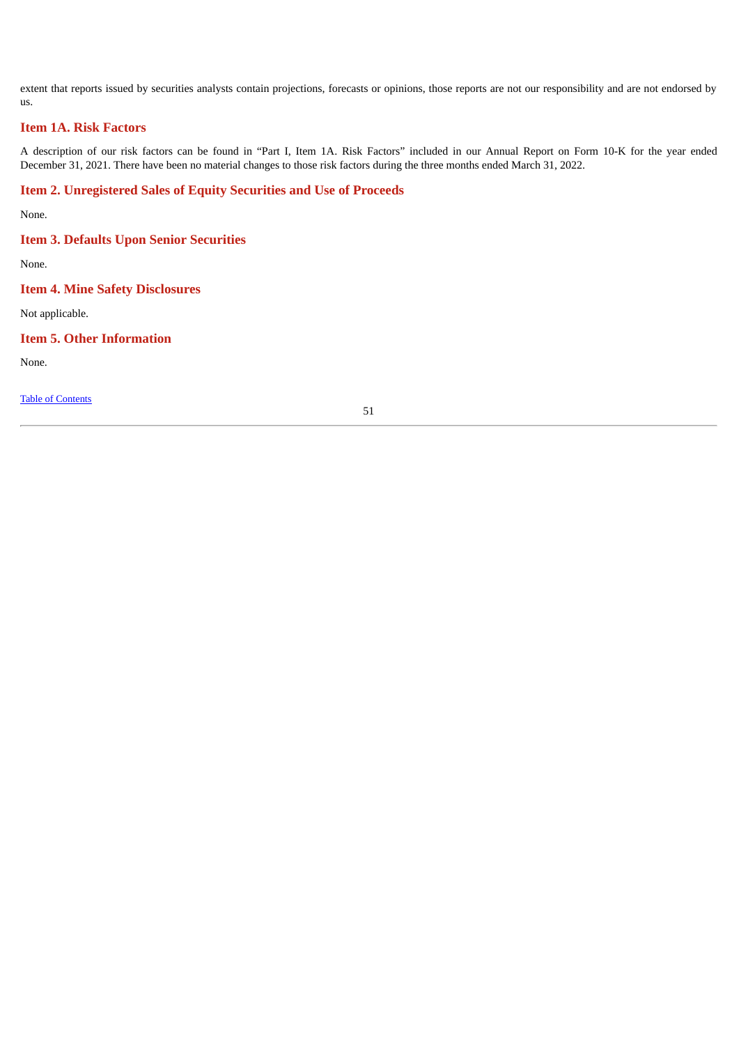extent that reports issued by securities analysts contain projections, forecasts or opinions, those reports are not our responsibility and are not endorsed by us.

## <span id="page-51-0"></span>**Item 1A. Risk Factors**

A description of our risk factors can be found in "Part I, Item 1A. Risk Factors" included in our Annual Report on Form 10-K for the year ended December 31, 2021. There have been no material changes to those risk factors during the three months ended March 31, 2022.

# <span id="page-51-1"></span>**Item 2. Unregistered Sales of Equity Securities and Use of Proceeds**

None.

<span id="page-51-2"></span>**Item 3. Defaults Upon Senior Securities**

<span id="page-51-3"></span>None.

## **Item 4. Mine Safety Disclosures**

Not applicable.

# <span id="page-51-4"></span>**Item 5. Other Information**

None.

<span id="page-51-5"></span>[Table of Contents](#page-0-0)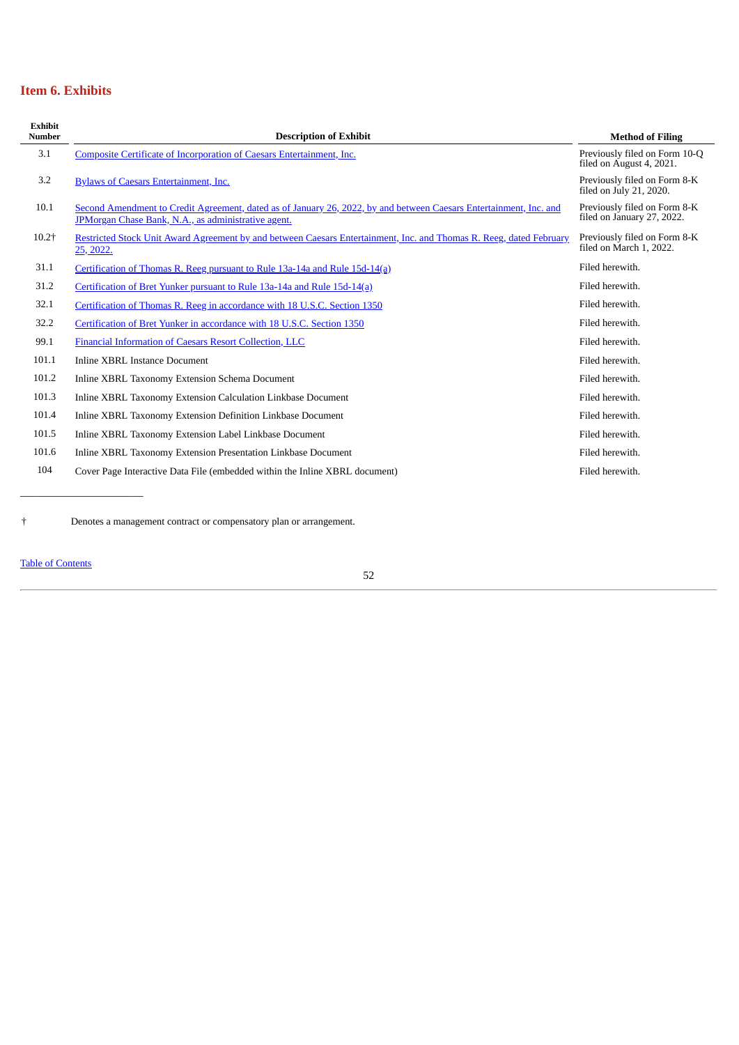# **Item 6. Exhibits**

| <b>Exhibit</b><br><b>Number</b> | <b>Description of Exhibit</b>                                                                                                                                             | <b>Method of Filing</b>                                    |
|---------------------------------|---------------------------------------------------------------------------------------------------------------------------------------------------------------------------|------------------------------------------------------------|
| 3.1                             | Composite Certificate of Incorporation of Caesars Entertainment, Inc.                                                                                                     | Previously filed on Form 10-Q<br>filed on August 4, 2021.  |
| 3.2                             | Bylaws of Caesars Entertainment, Inc.                                                                                                                                     | Previously filed on Form 8-K<br>filed on July 21, 2020.    |
| 10.1                            | Second Amendment to Credit Agreement, dated as of January 26, 2022, by and between Caesars Entertainment, Inc. and<br>JPMorgan Chase Bank, N.A., as administrative agent. | Previously filed on Form 8-K<br>filed on January 27, 2022. |
| $10.2+$                         | Restricted Stock Unit Award Agreement by and between Caesars Entertainment, Inc. and Thomas R. Reeg, dated February<br>25, 2022.                                          | Previously filed on Form 8-K<br>filed on March 1, 2022.    |
| 31.1                            | Certification of Thomas R. Reeg pursuant to Rule 13a-14a and Rule 15d-14(a)                                                                                               | Filed herewith.                                            |
| 31.2                            | Certification of Bret Yunker pursuant to Rule 13a-14a and Rule 15d-14(a)                                                                                                  | Filed herewith.                                            |
| 32.1                            | Certification of Thomas R. Reeg in accordance with 18 U.S.C. Section 1350                                                                                                 | Filed herewith.                                            |
| 32.2                            | Certification of Bret Yunker in accordance with 18 U.S.C. Section 1350                                                                                                    | Filed herewith.                                            |
| 99.1                            | Financial Information of Caesars Resort Collection, LLC                                                                                                                   | Filed herewith.                                            |
| 101.1                           | Inline XBRL Instance Document                                                                                                                                             | Filed herewith.                                            |
| 101.2                           | Inline XBRL Taxonomy Extension Schema Document                                                                                                                            | Filed herewith.                                            |
| 101.3                           | Inline XBRL Taxonomy Extension Calculation Linkbase Document                                                                                                              | Filed herewith.                                            |
| 101.4                           | Inline XBRL Taxonomy Extension Definition Linkbase Document                                                                                                               | Filed herewith.                                            |
| 101.5                           | Inline XBRL Taxonomy Extension Label Linkbase Document                                                                                                                    | Filed herewith.                                            |
| 101.6                           | Inline XBRL Taxonomy Extension Presentation Linkbase Document                                                                                                             | Filed herewith.                                            |
| 104                             | Cover Page Interactive Data File (embedded within the Inline XBRL document)                                                                                               | Filed herewith.                                            |

† Denotes a management contract or compensatory plan or arrangement.

<span id="page-52-0"></span>[Table of Contents](#page-0-0)

\_\_\_\_\_\_\_\_\_\_\_\_\_\_\_\_\_\_\_\_\_\_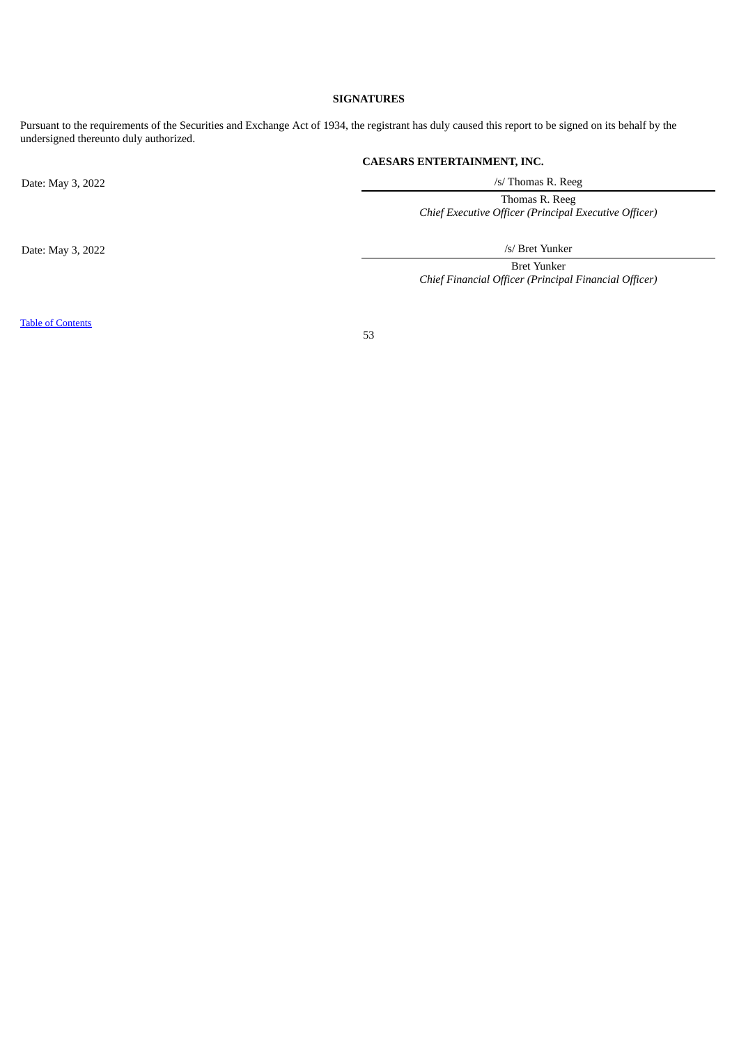#### **SIGNATURES**

Pursuant to the requirements of the Securities and Exchange Act of 1934, the registrant has duly caused this report to be signed on its behalf by the undersigned thereunto duly authorized.

# **CAESARS ENTERTAINMENT, INC.**

Thomas R. Reeg *Chief Executive Officer (Principal Executive Officer)*

Date: May 3, 2022 /s/ Bret Yunker

Bret Yunker *Chief Financial Officer (Principal Financial Officer)*

[Table of Contents](#page-0-0)

53

Date: May 3, 2022 /s/ Thomas R. Reeg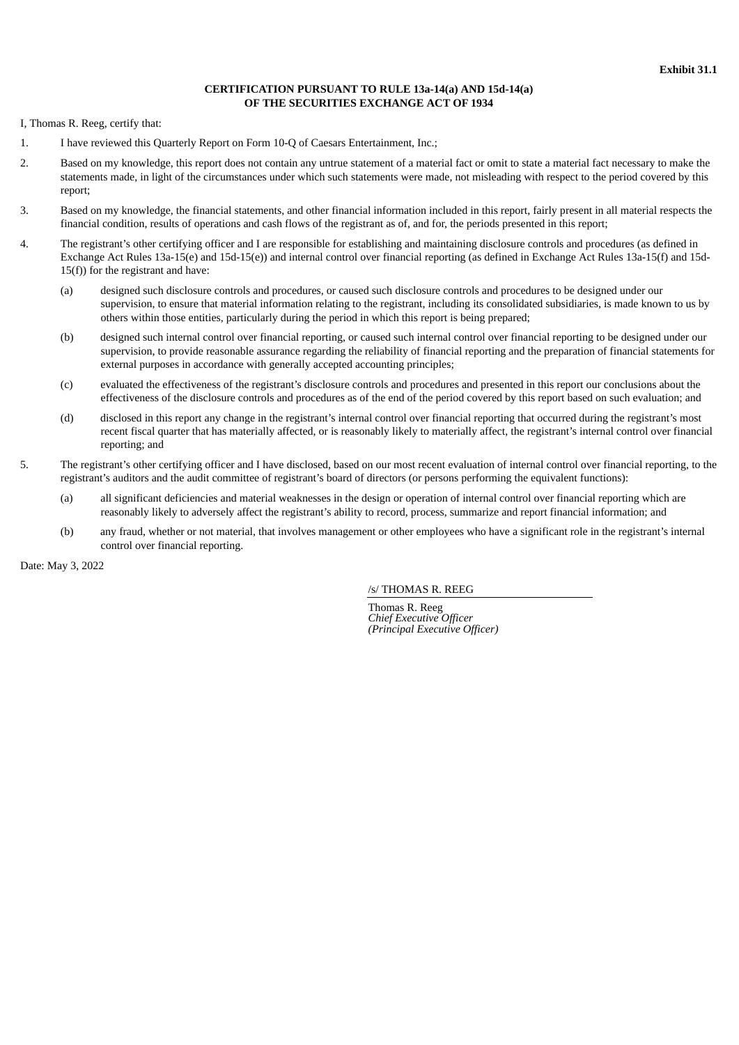## **CERTIFICATION PURSUANT TO RULE 13a-14(a) AND 15d-14(a) OF THE SECURITIES EXCHANGE ACT OF 1934**

<span id="page-54-0"></span>I, Thomas R. Reeg, certify that:

- 1. I have reviewed this Quarterly Report on Form 10-Q of Caesars Entertainment, Inc.;
- 2. Based on my knowledge, this report does not contain any untrue statement of a material fact or omit to state a material fact necessary to make the statements made, in light of the circumstances under which such statements were made, not misleading with respect to the period covered by this report;
- 3. Based on my knowledge, the financial statements, and other financial information included in this report, fairly present in all material respects the financial condition, results of operations and cash flows of the registrant as of, and for, the periods presented in this report;
- 4. The registrant's other certifying officer and I are responsible for establishing and maintaining disclosure controls and procedures (as defined in Exchange Act Rules 13a-15(e) and 15d-15(e)) and internal control over financial reporting (as defined in Exchange Act Rules 13a-15(f) and 15d- $15(f)$ ) for the registrant and have:
	- (a) designed such disclosure controls and procedures, or caused such disclosure controls and procedures to be designed under our supervision, to ensure that material information relating to the registrant, including its consolidated subsidiaries, is made known to us by others within those entities, particularly during the period in which this report is being prepared;
	- (b) designed such internal control over financial reporting, or caused such internal control over financial reporting to be designed under our supervision, to provide reasonable assurance regarding the reliability of financial reporting and the preparation of financial statements for external purposes in accordance with generally accepted accounting principles;
	- (c) evaluated the effectiveness of the registrant's disclosure controls and procedures and presented in this report our conclusions about the effectiveness of the disclosure controls and procedures as of the end of the period covered by this report based on such evaluation; and
	- (d) disclosed in this report any change in the registrant's internal control over financial reporting that occurred during the registrant's most recent fiscal quarter that has materially affected, or is reasonably likely to materially affect, the registrant's internal control over financial reporting; and
- 5. The registrant's other certifying officer and I have disclosed, based on our most recent evaluation of internal control over financial reporting, to the registrant's auditors and the audit committee of registrant's board of directors (or persons performing the equivalent functions):
	- (a) all significant deficiencies and material weaknesses in the design or operation of internal control over financial reporting which are reasonably likely to adversely affect the registrant's ability to record, process, summarize and report financial information; and
	- (b) any fraud, whether or not material, that involves management or other employees who have a significant role in the registrant's internal control over financial reporting.

Date: May 3, 2022

/s/ THOMAS R. REEG

Thomas R. Reeg *Chief Executive Officer (Principal Executive Officer)*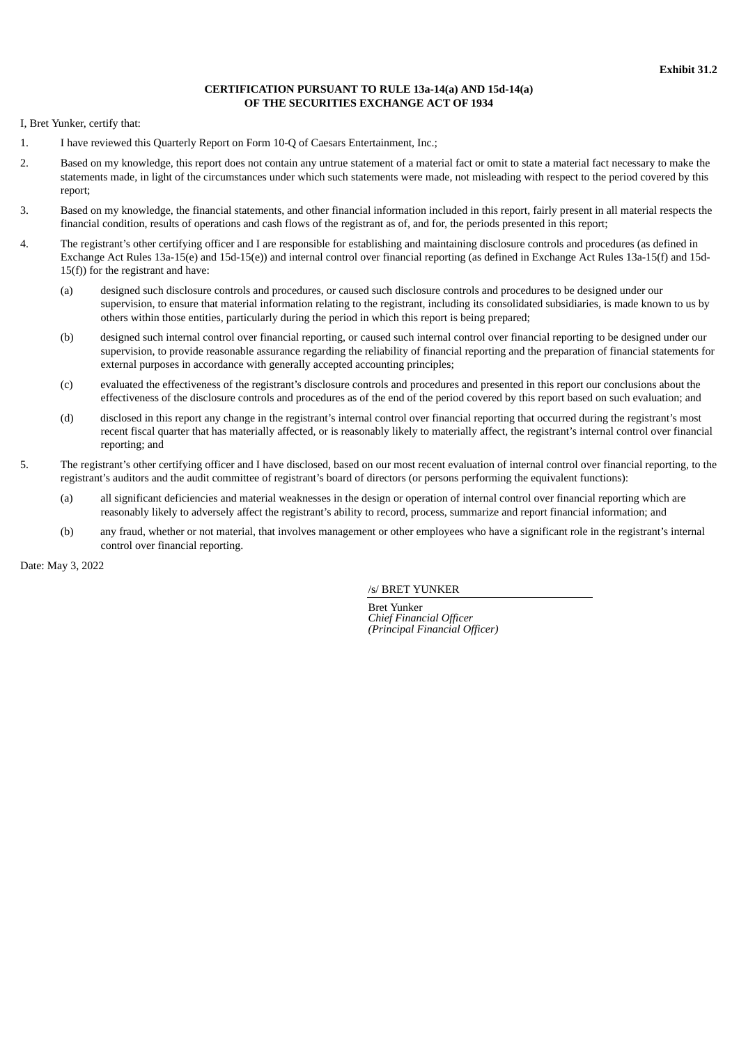## **CERTIFICATION PURSUANT TO RULE 13a-14(a) AND 15d-14(a) OF THE SECURITIES EXCHANGE ACT OF 1934**

<span id="page-55-0"></span>I, Bret Yunker, certify that:

- 1. I have reviewed this Quarterly Report on Form 10-Q of Caesars Entertainment, Inc.;
- 2. Based on my knowledge, this report does not contain any untrue statement of a material fact or omit to state a material fact necessary to make the statements made, in light of the circumstances under which such statements were made, not misleading with respect to the period covered by this report;
- 3. Based on my knowledge, the financial statements, and other financial information included in this report, fairly present in all material respects the financial condition, results of operations and cash flows of the registrant as of, and for, the periods presented in this report;
- 4. The registrant's other certifying officer and I are responsible for establishing and maintaining disclosure controls and procedures (as defined in Exchange Act Rules 13a-15(e) and 15d-15(e)) and internal control over financial reporting (as defined in Exchange Act Rules 13a-15(f) and 15d-15(f)) for the registrant and have:
	- (a) designed such disclosure controls and procedures, or caused such disclosure controls and procedures to be designed under our supervision, to ensure that material information relating to the registrant, including its consolidated subsidiaries, is made known to us by others within those entities, particularly during the period in which this report is being prepared;
	- (b) designed such internal control over financial reporting, or caused such internal control over financial reporting to be designed under our supervision, to provide reasonable assurance regarding the reliability of financial reporting and the preparation of financial statements for external purposes in accordance with generally accepted accounting principles;
	- (c) evaluated the effectiveness of the registrant's disclosure controls and procedures and presented in this report our conclusions about the effectiveness of the disclosure controls and procedures as of the end of the period covered by this report based on such evaluation; and
	- (d) disclosed in this report any change in the registrant's internal control over financial reporting that occurred during the registrant's most recent fiscal quarter that has materially affected, or is reasonably likely to materially affect, the registrant's internal control over financial reporting; and
- 5. The registrant's other certifying officer and I have disclosed, based on our most recent evaluation of internal control over financial reporting, to the registrant's auditors and the audit committee of registrant's board of directors (or persons performing the equivalent functions):
	- (a) all significant deficiencies and material weaknesses in the design or operation of internal control over financial reporting which are reasonably likely to adversely affect the registrant's ability to record, process, summarize and report financial information; and
	- (b) any fraud, whether or not material, that involves management or other employees who have a significant role in the registrant's internal control over financial reporting.

Date: May 3, 2022

/s/ BRET YUNKER

Bret Yunker *Chief Financial Officer (Principal Financial Officer)*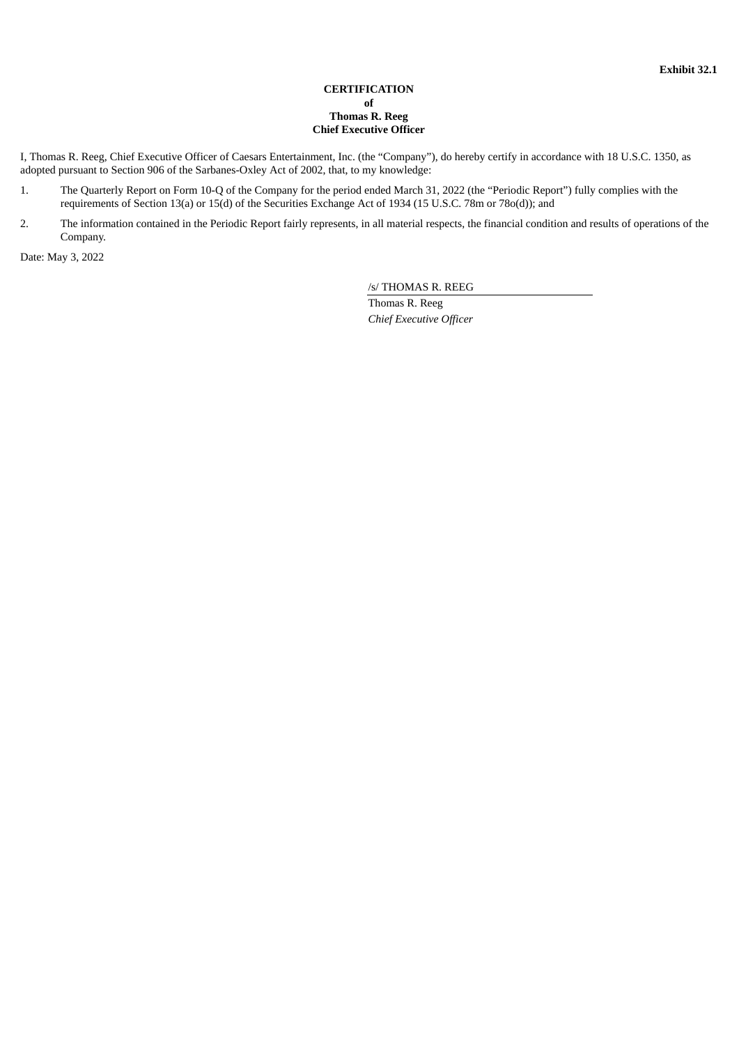## **CERTIFICATION of Thomas R. Reeg Chief Executive Officer**

<span id="page-56-0"></span>I, Thomas R. Reeg, Chief Executive Officer of Caesars Entertainment, Inc. (the "Company"), do hereby certify in accordance with 18 U.S.C. 1350, as adopted pursuant to Section 906 of the Sarbanes-Oxley Act of 2002, that, to my knowledge:

- 1. The Quarterly Report on Form 10-Q of the Company for the period ended March 31, 2022 (the "Periodic Report") fully complies with the requirements of Section 13(a) or 15(d) of the Securities Exchange Act of 1934 (15 U.S.C. 78m or 78o(d)); and
- 2. The information contained in the Periodic Report fairly represents, in all material respects, the financial condition and results of operations of the Company.

Date: May 3, 2022

/s/ THOMAS R. REEG

Thomas R. Reeg *Chief Executive Officer*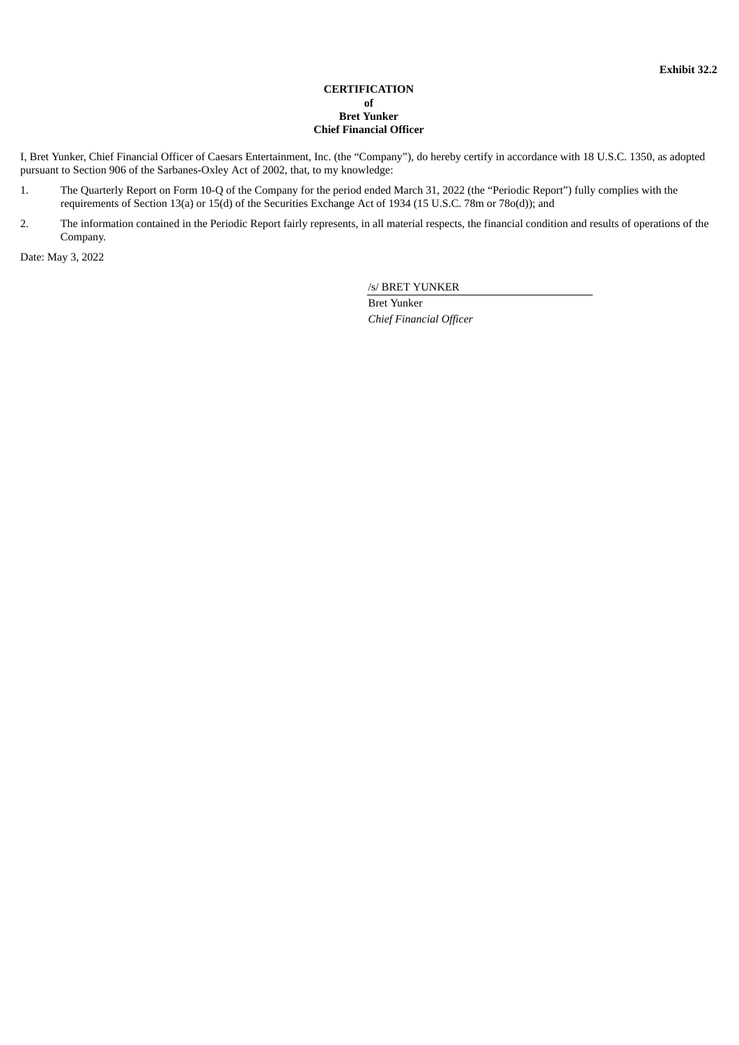## **CERTIFICATION of Bret Yunker Chief Financial Officer**

<span id="page-57-0"></span>I, Bret Yunker, Chief Financial Officer of Caesars Entertainment, Inc. (the "Company"), do hereby certify in accordance with 18 U.S.C. 1350, as adopted pursuant to Section 906 of the Sarbanes-Oxley Act of 2002, that, to my knowledge:

- 1. The Quarterly Report on Form 10-Q of the Company for the period ended March 31, 2022 (the "Periodic Report") fully complies with the requirements of Section 13(a) or 15(d) of the Securities Exchange Act of 1934 (15 U.S.C. 78m or 78o(d)); and
- 2. The information contained in the Periodic Report fairly represents, in all material respects, the financial condition and results of operations of the Company.

Date: May 3, 2022

/s/ BRET YUNKER

Bret Yunker *Chief Financial Officer*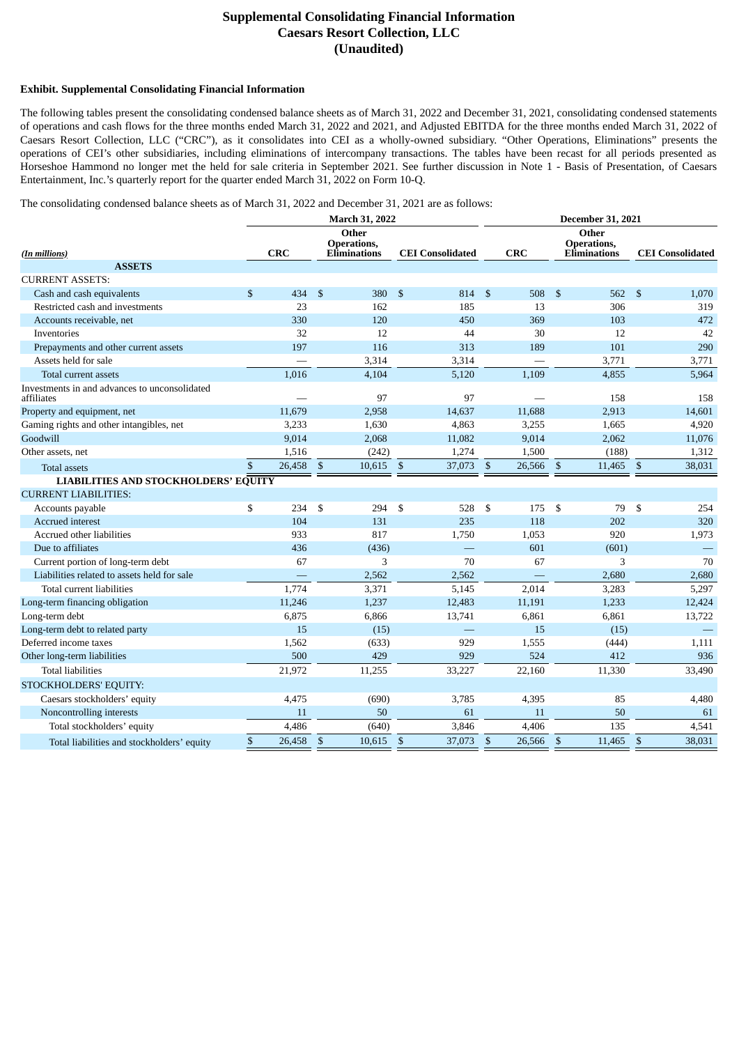#### <span id="page-58-0"></span>**Exhibit. Supplemental Consolidating Financial Information**

The following tables present the consolidating condensed balance sheets as of March 31, 2022 and December 31, 2021, consolidating condensed statements of operations and cash flows for the three months ended March 31, 2022 and 2021, and Adjusted EBITDA for the three months ended March 31, 2022 of Caesars Resort Collection, LLC ("CRC"), as it consolidates into CEI as a wholly-owned subsidiary. "Other Operations, Eliminations" presents the operations of CEI's other subsidiaries, including eliminations of intercompany transactions. The tables have been recast for all periods presented as Horseshoe Hammond no longer met the held for sale criteria in September 2021. See further discussion in Note 1 - Basis of Presentation, of Caesars Entertainment, Inc.'s quarterly report for the quarter ended March 31, 2022 on Form 10-Q.

The consolidating condensed balance sheets as of March 31, 2022 and December 31, 2021 are as follows:

|                                                             |                | March 31, 2022 |              |                      |                |                          |                |                   | December 31, 2021 |                      |                |                         |
|-------------------------------------------------------------|----------------|----------------|--------------|----------------------|----------------|--------------------------|----------------|-------------------|-------------------|----------------------|----------------|-------------------------|
|                                                             |                |                |              | Other<br>Operations, |                |                          |                |                   |                   | Other<br>Operations, |                |                         |
| (In millions)                                               |                | <b>CRC</b>     |              | <b>Eliminations</b>  |                | <b>CEI Consolidated</b>  |                | <b>CRC</b>        |                   | <b>Eliminations</b>  |                | <b>CEI Consolidated</b> |
| <b>ASSETS</b>                                               |                |                |              |                      |                |                          |                |                   |                   |                      |                |                         |
| <b>CURRENT ASSETS:</b>                                      |                |                |              |                      |                |                          |                |                   |                   |                      |                |                         |
| Cash and cash equivalents                                   | $\mathbf{s}$   | 434            | $\mathbf{s}$ | 380                  | $\mathbf{s}$   | 814                      | $\mathbf{s}$   | 508               | $\mathfrak{S}$    | 562                  | $\mathbf{s}$   | 1,070                   |
| Restricted cash and investments                             |                | 23             |              | 162                  |                | 185                      |                | 13                |                   | 306                  |                | 319                     |
| Accounts receivable, net                                    |                | 330            |              | 120                  |                | 450                      |                | 369               |                   | 103                  |                | 472                     |
| Inventories                                                 |                | 32             |              | 12                   |                | 44                       |                | 30                |                   | 12                   |                | 42                      |
| Prepayments and other current assets                        |                | 197            |              | 116                  |                | 313                      |                | 189               |                   | 101                  |                | 290                     |
| Assets held for sale                                        |                |                |              | 3,314                |                | 3,314                    |                |                   |                   | 3,771                |                | 3,771                   |
| Total current assets                                        |                | 1.016          |              | 4.104                |                | 5.120                    |                | 1.109             |                   | 4,855                |                | 5,964                   |
| Investments in and advances to unconsolidated<br>affiliates |                |                |              | 97                   |                | 97                       |                |                   |                   | 158                  |                | 158                     |
| Property and equipment, net                                 |                | 11,679         |              | 2,958                |                | 14,637                   |                | 11,688            |                   | 2,913                |                | 14,601                  |
| Gaming rights and other intangibles, net                    |                | 3,233          |              | 1,630                |                | 4,863                    |                | 3,255             |                   | 1,665                |                | 4,920                   |
| Goodwill                                                    |                | 9,014          |              | 2,068                |                | 11,082                   |                | 9,014             |                   | 2,062                |                | 11,076                  |
| Other assets, net                                           |                | 1,516          |              | (242)                |                | 1,274                    |                | 1,500             |                   | (188)                |                | 1,312                   |
| <b>Total assets</b>                                         | $\mathbf{s}$   | 26,458         | \$           | 10,615               | $\mathfrak{s}$ | 37,073                   | \$             | 26,566 \$         |                   | 11,465               | $\mathfrak{S}$ | 38,031                  |
| <b>LIABILITIES AND STOCKHOLDERS' EQUITY</b>                 |                |                |              |                      |                |                          |                |                   |                   |                      |                |                         |
| <b>CURRENT LIABILITIES:</b>                                 |                |                |              |                      |                |                          |                |                   |                   |                      |                |                         |
| Accounts payable                                            | \$             | 234            | \$           | 294                  | $\mathbf{s}$   | 528                      | \$             | 175               | $\mathbf{s}$      | 79                   | \$             | 254                     |
| Accrued interest                                            |                | 104            |              | 131                  |                | 235                      |                | 118               |                   | 202                  |                | 320                     |
| Accrued other liabilities                                   |                | 933            |              | 817                  |                | 1,750                    |                | 1,053             |                   | 920                  |                | 1,973                   |
| Due to affiliates                                           |                | 436            |              | (436)                |                |                          |                | 601               |                   | (601)                |                |                         |
| Current portion of long-term debt                           |                | 67             |              | 3                    |                | 70                       |                | 67                |                   | 3                    |                | 70                      |
| Liabilities related to assets held for sale                 |                |                |              | 2,562                |                | 2,562                    |                | $\qquad \qquad -$ |                   | 2,680                |                | 2,680                   |
| Total current liabilities                                   |                | 1,774          |              | 3,371                |                | 5,145                    |                | 2,014             |                   | 3,283                |                | 5,297                   |
| Long-term financing obligation                              |                | 11,246         |              | 1,237                |                | 12,483                   |                | 11,191            |                   | 1,233                |                | 12,424                  |
| Long-term debt                                              |                | 6,875          |              | 6,866                |                | 13,741                   |                | 6,861             |                   | 6,861                |                | 13,722                  |
| Long-term debt to related party                             |                | 15             |              | (15)                 |                | $\overline{\phantom{0}}$ |                | 15                |                   | (15)                 |                |                         |
| Deferred income taxes                                       |                | 1,562          |              | (633)                |                | 929                      |                | 1,555             |                   | (444)                |                | 1,111                   |
| Other long-term liabilities                                 |                | 500            |              | 429                  |                | 929                      |                | 524               |                   | 412                  |                | 936                     |
| <b>Total liabilities</b>                                    |                | 21,972         |              | 11,255               |                | 33,227                   |                | 22,160            |                   | 11,330               |                | 33,490                  |
| STOCKHOLDERS' EQUITY:                                       |                |                |              |                      |                |                          |                |                   |                   |                      |                |                         |
| Caesars stockholders' equity                                |                | 4,475          |              | (690)                |                | 3,785                    |                | 4,395             |                   | 85                   |                | 4,480                   |
| Noncontrolling interests                                    |                | 11             |              | 50                   |                | 61                       |                | 11                |                   | 50                   |                | 61                      |
| Total stockholders' equity                                  |                | 4,486          |              | (640)                |                | 3,846                    |                | 4,406             |                   | 135                  |                | 4,541                   |
| Total liabilities and stockholders' equity                  | $\mathfrak{S}$ | 26,458         | \$           | 10,615               | - \$           | 37,073                   | $\mathfrak{s}$ | 26,566 \$         |                   | 11,465               | $\mathfrak{S}$ | 38,031                  |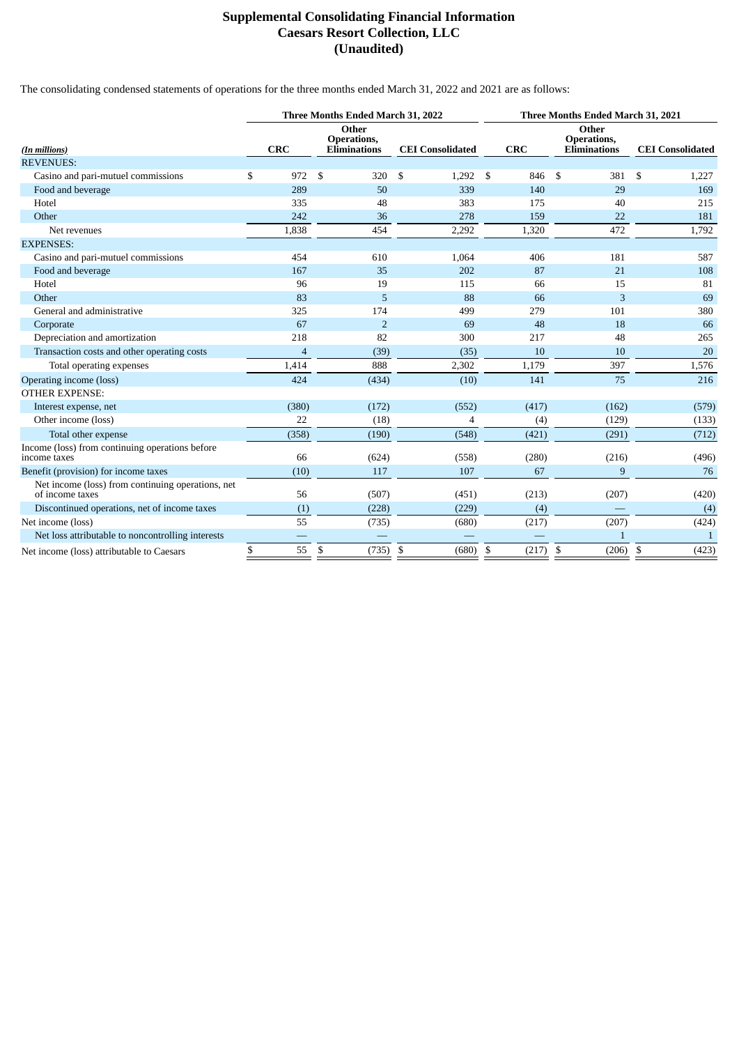The consolidating condensed statements of operations for the three months ended March 31, 2022 and 2021 are as follows:

|                                                                      |                | Three Months Ended March 31, 2022           |                         |            |                                             | Three Months Ended March 31, 2021 |  |  |  |
|----------------------------------------------------------------------|----------------|---------------------------------------------|-------------------------|------------|---------------------------------------------|-----------------------------------|--|--|--|
| (In millions)                                                        | <b>CRC</b>     | Other<br>Operations,<br><b>Eliminations</b> | <b>CEI</b> Consolidated | <b>CRC</b> | Other<br>Operations,<br><b>Eliminations</b> | <b>CEI</b> Consolidated           |  |  |  |
| <b>REVENUES:</b>                                                     |                |                                             |                         |            |                                             |                                   |  |  |  |
| Casino and pari-mutuel commissions                                   | \$<br>972      | \$<br>320                                   | -\$<br>1,292            | -\$<br>846 | 381<br>\$                                   | \$<br>1,227                       |  |  |  |
| Food and beverage                                                    | 289            | 50                                          | 339                     | 140        | 29                                          | 169                               |  |  |  |
| Hotel                                                                | 335            | 48                                          | 383                     | 175        | 40                                          | 215                               |  |  |  |
| Other                                                                | 242            | 36                                          | 278                     | 159        | 22                                          | 181                               |  |  |  |
| Net revenues                                                         | 1,838          | 454                                         | 2,292                   | 1,320      | 472                                         | 1,792                             |  |  |  |
| <b>EXPENSES:</b>                                                     |                |                                             |                         |            |                                             |                                   |  |  |  |
| Casino and pari-mutuel commissions                                   | 454            | 610                                         | 1,064                   | 406        | 181                                         | 587                               |  |  |  |
| Food and beverage                                                    | 167            | 35                                          | 202                     | 87         | 21                                          | 108                               |  |  |  |
| Hotel                                                                | 96             | 19                                          | 115                     | 66         | 15                                          | 81                                |  |  |  |
| Other                                                                | 83             | 5                                           | 88                      | 66         | 3                                           | 69                                |  |  |  |
| General and administrative                                           | 325            | 174                                         | 499                     | 279        | 101                                         | 380                               |  |  |  |
| Corporate                                                            | 67             | $\overline{2}$                              | 69                      | 48         | 18                                          | 66                                |  |  |  |
| Depreciation and amortization                                        | 218            | 82                                          | 300                     | 217        | 48                                          | 265                               |  |  |  |
| Transaction costs and other operating costs                          | $\overline{4}$ | (39)                                        | (35)                    | 10         | 10                                          | 20                                |  |  |  |
| Total operating expenses                                             | 1,414          | 888                                         | 2,302                   | 1,179      | 397                                         | 1,576                             |  |  |  |
| Operating income (loss)                                              | 424            | (434)                                       | (10)                    | 141        | 75                                          | 216                               |  |  |  |
| <b>OTHER EXPENSE:</b>                                                |                |                                             |                         |            |                                             |                                   |  |  |  |
| Interest expense, net                                                | (380)          | (172)                                       | (552)                   | (417)      | (162)                                       | (579)                             |  |  |  |
| Other income (loss)                                                  | 22             | (18)                                        | 4                       | (4)        | (129)                                       | (133)                             |  |  |  |
| Total other expense                                                  | (358)          | (190)                                       | (548)                   | (421)      | (291)                                       | (712)                             |  |  |  |
| Income (loss) from continuing operations before<br>income taxes      | 66             | (624)                                       | (558)                   | (280)      | (216)                                       | (496)                             |  |  |  |
| Benefit (provision) for income taxes                                 | (10)           | 117                                         | 107                     | 67         | 9                                           | 76                                |  |  |  |
| Net income (loss) from continuing operations, net<br>of income taxes | 56             | (507)                                       | (451)                   | (213)      | (207)                                       | (420)                             |  |  |  |
| Discontinued operations, net of income taxes                         | (1)            | (228)                                       | (229)                   | (4)        |                                             | (4)                               |  |  |  |
| Net income (loss)                                                    | 55             | (735)                                       | (680)                   | (217)      | (207)                                       | (424)                             |  |  |  |
| Net loss attributable to noncontrolling interests                    |                |                                             |                         |            | $\mathbf{1}$                                | $\mathbf{1}$                      |  |  |  |
| Net income (loss) attributable to Caesars                            | 55<br>\$       | \$<br>(735)                                 | \$<br>$(680)$ \$        | $(217)$ \$ | $(206)$ \$                                  | (423)                             |  |  |  |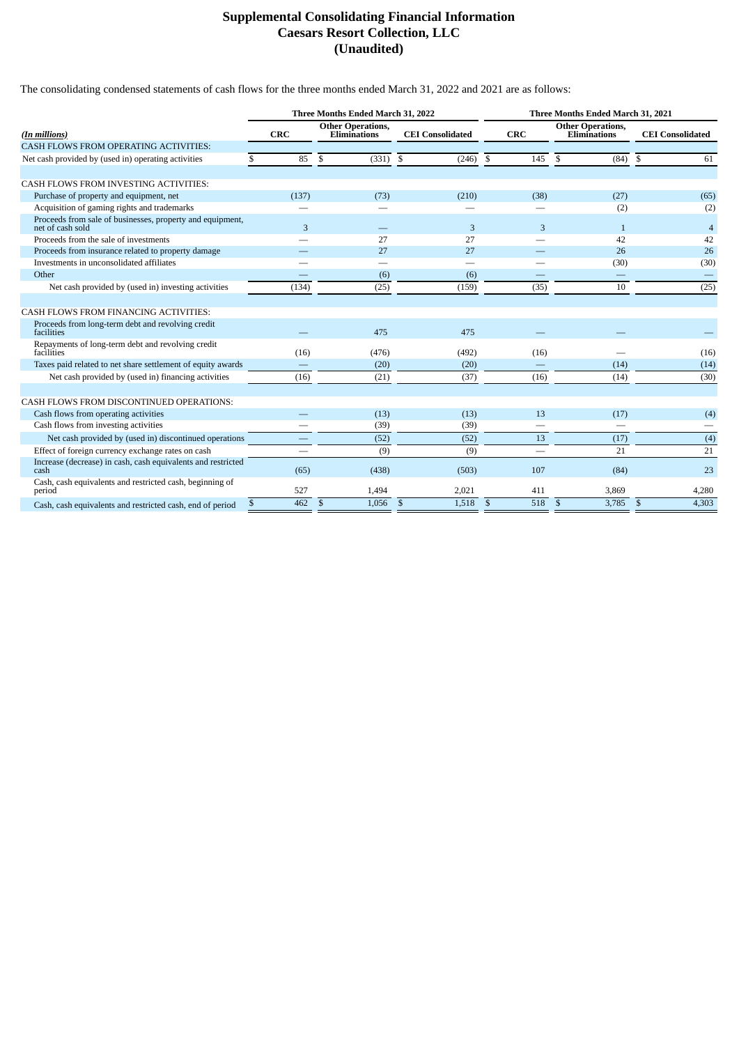The consolidating condensed statements of cash flows for the three months ended March 31, 2022 and 2021 are as follows:

|                                                                               |            | Three Months Ended March 31, 2022               |                         | Three Months Ended March 31, 2021 |                                                               |                         |  |
|-------------------------------------------------------------------------------|------------|-------------------------------------------------|-------------------------|-----------------------------------|---------------------------------------------------------------|-------------------------|--|
| (In millions)                                                                 | <b>CRC</b> | <b>Other Operations,</b><br><b>Eliminations</b> | <b>CEI</b> Consolidated |                                   | <b>Other Operations,</b><br><b>Eliminations</b><br><b>CRC</b> |                         |  |
| <b>CASH FLOWS FROM OPERATING ACTIVITIES:</b>                                  |            |                                                 |                         |                                   |                                                               |                         |  |
| Net cash provided by (used in) operating activities                           | 85<br>\$   | \$<br>$(331)$ \$                                | (246)                   | \$<br>145                         | \$<br>(84)                                                    | \$<br>61                |  |
| CASH FLOWS FROM INVESTING ACTIVITIES:                                         |            |                                                 |                         |                                   |                                                               |                         |  |
| Purchase of property and equipment, net                                       | (137)      | (73)                                            | (210)                   | (38)                              | (27)                                                          | (65)                    |  |
| Acquisition of gaming rights and trademarks                                   |            |                                                 |                         |                                   | (2)                                                           | (2)                     |  |
| Proceeds from sale of businesses, property and equipment,<br>net of cash sold | 3          |                                                 | 3                       | 3                                 | $\overline{1}$                                                | $\overline{4}$          |  |
| Proceeds from the sale of investments                                         |            | 27                                              | 27                      |                                   | 42                                                            | 42                      |  |
| Proceeds from insurance related to property damage                            |            | 27                                              | 27                      |                                   | 26                                                            | 26                      |  |
| Investments in unconsolidated affiliates                                      |            |                                                 |                         |                                   | (30)                                                          | (30)                    |  |
| Other                                                                         |            | (6)                                             | (6)                     |                                   | $\equiv$                                                      |                         |  |
| Net cash provided by (used in) investing activities                           | (134)      | (25)                                            | (159)                   | (35)                              | 10                                                            | (25)                    |  |
|                                                                               |            |                                                 |                         |                                   |                                                               |                         |  |
| CASH FLOWS FROM FINANCING ACTIVITIES:                                         |            |                                                 |                         |                                   |                                                               |                         |  |
| Proceeds from long-term debt and revolving credit<br>facilities               |            | 475                                             | 475                     |                                   |                                                               |                         |  |
| Repayments of long-term debt and revolving credit<br>facilities               | (16)       | (476)                                           | (492)                   | (16)                              |                                                               | (16)                    |  |
| Taxes paid related to net share settlement of equity awards                   |            | (20)                                            | (20)                    |                                   | (14)                                                          | (14)                    |  |
| Net cash provided by (used in) financing activities                           | (16)       | (21)                                            | (37)                    | (16)                              | (14)                                                          | (30)                    |  |
|                                                                               |            |                                                 |                         |                                   |                                                               |                         |  |
| CASH FLOWS FROM DISCONTINUED OPERATIONS:                                      |            |                                                 |                         |                                   |                                                               |                         |  |
| Cash flows from operating activities                                          |            | (13)                                            | (13)                    | 13                                | (17)                                                          | (4)                     |  |
| Cash flows from investing activities                                          |            | (39)                                            | (39)                    |                                   |                                                               |                         |  |
| Net cash provided by (used in) discontinued operations                        |            | (52)                                            | (52)                    | 13                                | (17)                                                          | (4)                     |  |
| Effect of foreign currency exchange rates on cash                             |            | (9)                                             | (9)                     |                                   | 21                                                            | 21                      |  |
| Increase (decrease) in cash, cash equivalents and restricted<br>cash          | (65)       | (438)                                           | (503)                   | 107                               | (84)                                                          | 23                      |  |
| Cash, cash equivalents and restricted cash, beginning of<br>period            | 527        | 1,494                                           | 2,021                   | 411                               | 3,869                                                         | 4,280                   |  |
| Cash, cash equivalents and restricted cash, end of period                     | 462<br>\$  | $\mathfrak{s}$<br>1,056                         | $\mathbb{S}$<br>1,518   | $\mathbb{S}$<br>518               | $\mathbb{S}$<br>3,785                                         | $\mathfrak{s}$<br>4,303 |  |